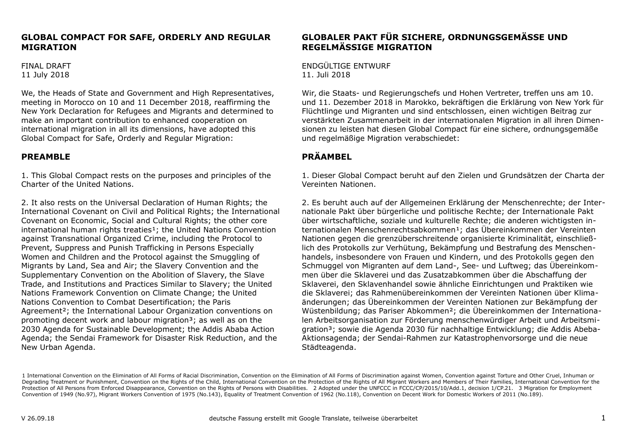### **GLOBAL COMPACT FOR SAFE, ORDERLY AND REGULAR MIGRATION**

FINAL DRAFT 11 July 2018

We, the Heads of State and Government and High Representatives, meeting in Morocco on 10 and 11 December 2018, reaffirming the New York Declaration for Refugees and Migrants and determined to make an important contribution to enhanced cooperation on international migration in all its dimensions, have adopted this Global Compact for Safe, Orderly and Regular Migration:

# **PREAMBLE**

1. This Global Compact rests on the purposes and principles of the Charter of the United Nations.

2. It also rests on the Universal Declaration of Human Rights; the International Covenant on Civil and Political Rights; the International Covenant on Economic, Social and Cultural Rights; the other core international human rights treaties<sup>1</sup>; the United Nations Convention against Transnational Organized Crime, including the Protocol to Prevent, Suppress and Punish Trafficking in Persons Especially Women and Children and the Protocol against the Smuggling of Migrants by Land, Sea and Air; the Slavery Convention and the Supplementary Convention on the Abolition of Slavery, the Slave Trade, and Institutions and Practices Similar to Slavery; the United Nations Framework Convention on Climate Change; the United Nations Convention to Combat Desertification; the Paris Agreement²; the International Labour Organization conventions on promoting decent work and labour migration<sup>3</sup>; as well as on the 2030 Agenda for Sustainable Development; the Addis Ababa Action Agenda; the Sendai Framework for Disaster Risk Reduction, and the New Urban Agenda.

# **GLOBALER PAKT FÜR SICHERE, ORDNUNGSGEMÄSSE UND REGELMÄSSIGE MIGRATION**

ENDGÜLTIGE ENTWURF 11. Juli 2018

Wir, die Staats- und Regierungschefs und Hohen Vertreter, treffen uns am 10. und 11. Dezember 2018 in Marokko, bekräftigen die Erklärung von New York für Flüchtlinge und Migranten und sind entschlossen, einen wichtigen Beitrag zur verstärkten Zusammenarbeit in der internationalen Migration in all ihren Dimensionen zu leisten hat diesen Global Compact für eine sichere, ordnungsgemäße und regelmäßige Migration verabschiedet:

# **PRÄAMBEL**

1. Dieser Global Compact beruht auf den Zielen und Grundsätzen der Charta der Vereinten Nationen.

2. Es beruht auch auf der Allgemeinen Erklärung der Menschenrechte; der Internationale Pakt über bürgerliche und politische Rechte; der Internationale Pakt über wirtschaftliche, soziale und kulturelle Rechte; die anderen wichtigsten internationalen Menschenrechtsabkommen<sup>1</sup>; das Übereinkommen der Vereinten Nationen gegen die grenzüberschreitende organisierte Kriminalität, einschließlich des Protokolls zur Verhütung, Bekämpfung und Bestrafung des Menschenhandels, insbesondere von Frauen und Kindern, und des Protokolls gegen den Schmuggel von Migranten auf dem Land-, See- und Luftweg; das Übereinkommen über die Sklaverei und das Zusatzabkommen über die Abschaffung der Sklaverei, den Sklavenhandel sowie ähnliche Einrichtungen und Praktiken wie die Sklaverei; das Rahmenübereinkommen der Vereinten Nationen über Klimaänderungen; das Übereinkommen der Vereinten Nationen zur Bekämpfung der Wüstenbildung; das Pariser Abkommen²; die Übereinkommen der Internationalen Arbeitsorganisation zur Förderung menschenwürdiger Arbeit und Arbeitsmigration<sup>3</sup>; sowie die Agenda 2030 für nachhaltige Entwicklung; die Addis Abeba-Aktionsagenda; der Sendai-Rahmen zur Katastrophenvorsorge und die neue Städteagenda.

<sup>1</sup> International Convention on the Elimination of All Forms of Racial Discrimination, Convention on the Elimination of All Forms of Discrimination against Women, Convention against Torture and Other Cruel, Inhuman or Degrading Treatment or Punishment, Convention on the Rights of the Child, International Convention on the Protection of the Rights of All Migrant Workers and Members of Their Families, International Convention for the Protection of All Persons from Enforced Disappearance, Convention on the Rights of Persons with Disabilities. 2 Adopted under the UNFCCC in FCCC/CP/2015/10/Add.1, decision 1/CP.21. 3 Migration for Employment Convention of 1949 (No.97), Migrant Workers Convention of 1975 (No.143), Equality of Treatment Convention of 1962 (No.118), Convention on Decent Work for Domestic Workers of 2011 (No.189).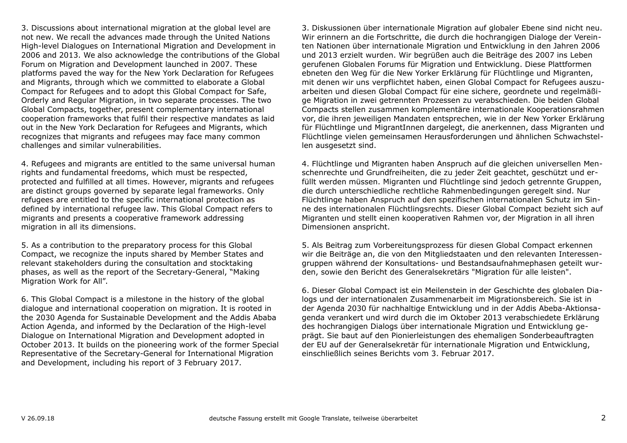3. Discussions about international migration at the global level are not new. We recall the advances made through the United Nations High-level Dialogues on International Migration and Development in 2006 and 2013. We also acknowledge the contributions of the Global Forum on Migration and Development launched in 2007. These platforms paved the way for the New York Declaration for Refugees and Migrants, through which we committed to elaborate a Global Compact for Refugees and to adopt this Global Compact for Safe, Orderly and Regular Migration, in two separate processes. The two Global Compacts, together, present complementary international cooperation frameworks that fulfil their respective mandates as laid out in the New York Declaration for Refugees and Migrants, which recognizes that migrants and refugees may face many common challenges and similar vulnerabilities.

4. Refugees and migrants are entitled to the same universal human rights and fundamental freedoms, which must be respected, protected and fulfilled at all times. However, migrants and refugees are distinct groups governed by separate legal frameworks. Only refugees are entitled to the specific international protection as defined by international refugee law. This Global Compact refers to migrants and presents a cooperative framework addressing migration in all its dimensions.

5. As a contribution to the preparatory process for this Global Compact, we recognize the inputs shared by Member States and relevant stakeholders during the consultation and stocktaking phases, as well as the report of the Secretary-General, "Making Migration Work for All".

6. This Global Compact is a milestone in the history of the global dialogue and international cooperation on migration. It is rooted in the 2030 Agenda for Sustainable Development and the Addis Ababa Action Agenda, and informed by the Declaration of the High-level Dialogue on International Migration and Development adopted in October 2013. It builds on the pioneering work of the former Special Representative of the Secretary-General for International Migration and Development, including his report of 3 February 2017.

3. Diskussionen über internationale Migration auf globaler Ebene sind nicht neu. Wir erinnern an die Fortschritte, die durch die hochrangigen Dialoge der Vereinten Nationen über internationale Migration und Entwicklung in den Jahren 2006 und 2013 erzielt wurden. Wir begrüßen auch die Beiträge des 2007 ins Leben gerufenen Globalen Forums für Migration und Entwicklung. Diese Plattformen ebneten den Weg für die New Yorker Erklärung für Flüchtlinge und Migranten, mit denen wir uns verpflichtet haben, einen Global Compact for Refugees auszuarbeiten und diesen Global Compact für eine sichere, geordnete und regelmäßige Migration in zwei getrennten Prozessen zu verabschieden. Die beiden Global Compacts stellen zusammen komplementäre internationale Kooperationsrahmen vor, die ihren jeweiligen Mandaten entsprechen, wie in der New Yorker Erklärung für Flüchtlinge und MigrantInnen dargelegt, die anerkennen, dass Migranten und Flüchtlinge vielen gemeinsamen Herausforderungen und ähnlichen Schwachstellen ausgesetzt sind.

4. Flüchtlinge und Migranten haben Anspruch auf die gleichen universellen Menschenrechte und Grundfreiheiten, die zu jeder Zeit geachtet, geschützt und erfüllt werden müssen. Migranten und Flüchtlinge sind jedoch getrennte Gruppen, die durch unterschiedliche rechtliche Rahmenbedingungen geregelt sind. Nur Flüchtlinge haben Anspruch auf den spezifischen internationalen Schutz im Sinne des internationalen Flüchtlingsrechts. Dieser Global Compact bezieht sich auf Migranten und stellt einen kooperativen Rahmen vor, der Migration in all ihren Dimensionen anspricht.

5. Als Beitrag zum Vorbereitungsprozess für diesen Global Compact erkennen wir die Beiträge an, die von den Mitgliedstaaten und den relevanten Interessengruppen während der Konsultations- und Bestandsaufnahmephasen geteilt wurden, sowie den Bericht des Generalsekretärs "Migration für alle leisten".

6. Dieser Global Compact ist ein Meilenstein in der Geschichte des globalen Dialogs und der internationalen Zusammenarbeit im Migrationsbereich. Sie ist in der Agenda 2030 für nachhaltige Entwicklung und in der Addis Abeba-Aktionsagenda verankert und wird durch die im Oktober 2013 verabschiedete Erklärung des hochrangigen Dialogs über internationale Migration und Entwicklung geprägt. Sie baut auf den Pionierleistungen des ehemaligen Sonderbeauftragten der EU auf der Generalsekretär für internationale Migration und Entwicklung, einschließlich seines Berichts vom 3. Februar 2017.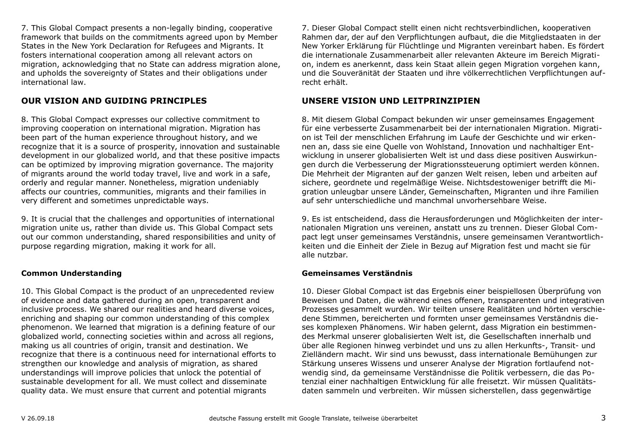7. This Global Compact presents a non-legally binding, cooperative framework that builds on the commitments agreed upon by Member States in the New York Declaration for Refugees and Migrants. It fosters international cooperation among all relevant actors on migration, acknowledging that no State can address migration alone, and upholds the sovereignty of States and their obligations under international law.

# **OUR VISION AND GUIDING PRINCIPLES**

8. This Global Compact expresses our collective commitment to improving cooperation on international migration. Migration has been part of the human experience throughout history, and we recognize that it is a source of prosperity, innovation and sustainable development in our globalized world, and that these positive impacts can be optimized by improving migration governance. The majority of migrants around the world today travel, live and work in a safe, orderly and regular manner. Nonetheless, migration undeniably affects our countries, communities, migrants and their families in very different and sometimes unpredictable ways.

9. It is crucial that the challenges and opportunities of international migration unite us, rather than divide us. This Global Compact sets out our common understanding, shared responsibilities and unity of purpose regarding migration, making it work for all.

#### **Common Understanding**

10. This Global Compact is the product of an unprecedented review of evidence and data gathered during an open, transparent and inclusive process. We shared our realities and heard diverse voices, enriching and shaping our common understanding of this complex phenomenon. We learned that migration is a defining feature of our globalized world, connecting societies within and across all regions, making us all countries of origin, transit and destination. We recognize that there is a continuous need for international efforts to strengthen our knowledge and analysis of migration, as shared understandings will improve policies that unlock the potential of sustainable development for all. We must collect and disseminate quality data. We must ensure that current and potential migrants

7. Dieser Global Compact stellt einen nicht rechtsverbindlichen, kooperativen Rahmen dar, der auf den Verpflichtungen aufbaut, die die Mitgliedstaaten in der New Yorker Erklärung für Flüchtlinge und Migranten vereinbart haben. Es fördert die internationale Zusammenarbeit aller relevanten Akteure im Bereich Migration, indem es anerkennt, dass kein Staat allein gegen Migration vorgehen kann, und die Souveränität der Staaten und ihre völkerrechtlichen Verpflichtungen aufrecht erhält.

### **UNSERE VISION UND LEITPRINZIPIEN**

8. Mit diesem Global Compact bekunden wir unser gemeinsames Engagement für eine verbesserte Zusammenarbeit bei der internationalen Migration. Migration ist Teil der menschlichen Erfahrung im Laufe der Geschichte und wir erkennen an, dass sie eine Quelle von Wohlstand, Innovation und nachhaltiger Entwicklung in unserer globalisierten Welt ist und dass diese positiven Auswirkungen durch die Verbesserung der Migrationssteuerung optimiert werden können. Die Mehrheit der Migranten auf der ganzen Welt reisen, leben und arbeiten auf sichere, geordnete und regelmäßige Weise. Nichtsdestoweniger betrifft die Migration unleugbar unsere Länder, Gemeinschaften, Migranten und ihre Familien auf sehr unterschiedliche und manchmal unvorhersehbare Weise.

9. Es ist entscheidend, dass die Herausforderungen und Möglichkeiten der internationalen Migration uns vereinen, anstatt uns zu trennen. Dieser Global Compact legt unser gemeinsames Verständnis, unsere gemeinsamen Verantwortlichkeiten und die Einheit der Ziele in Bezug auf Migration fest und macht sie für alle nutzbar.

#### **Gemeinsames Verständnis**

10. Dieser Global Compact ist das Ergebnis einer beispiellosen Überprüfung von Beweisen und Daten, die während eines offenen, transparenten und integrativen Prozesses gesammelt wurden. Wir teilten unsere Realitäten und hörten verschiedene Stimmen, bereicherten und formten unser gemeinsames Verständnis dieses komplexen Phänomens. Wir haben gelernt, dass Migration ein bestimmendes Merkmal unserer globalisierten Welt ist, die Gesellschaften innerhalb und über alle Regionen hinweg verbindet und uns zu allen Herkunfts-, Transit- und Zielländern macht. Wir sind uns bewusst, dass internationale Bemühungen zur Stärkung unseres Wissens und unserer Analyse der Migration fortlaufend notwendig sind, da gemeinsame Verständnisse die Politik verbessern, die das Potenzial einer nachhaltigen Entwicklung für alle freisetzt. Wir müssen Qualitätsdaten sammeln und verbreiten. Wir müssen sicherstellen, dass gegenwärtige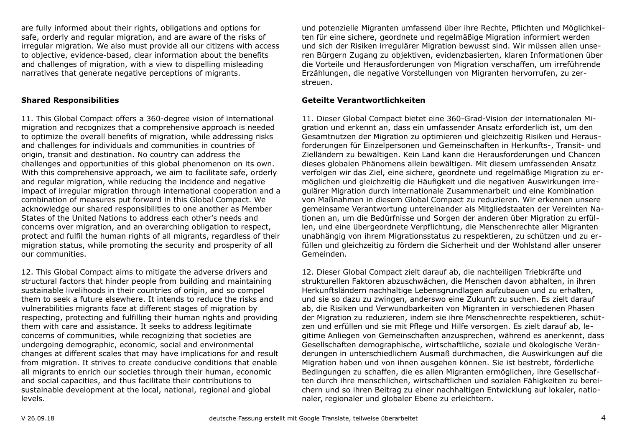are fully informed about their rights, obligations and options for safe, orderly and regular migration, and are aware of the risks of irregular migration. We also must provide all our citizens with access to objective, evidence-based, clear information about the benefits and challenges of migration, with a view to dispelling misleading narratives that generate negative perceptions of migrants.

### **Shared Responsibilities**

11. This Global Compact offers a 360-degree vision of international migration and recognizes that a comprehensive approach is needed to optimize the overall benefits of migration, while addressing risks and challenges for individuals and communities in countries of origin, transit and destination. No country can address the challenges and opportunities of this global phenomenon on its own. With this comprehensive approach, we aim to facilitate safe, orderly and regular migration, while reducing the incidence and negative impact of irregular migration through international cooperation and a combination of measures put forward in this Global Compact. We acknowledge our shared responsibilities to one another as Member States of the United Nations to address each other's needs and concerns over migration, and an overarching obligation to respect, protect and fulfil the human rights of all migrants, regardless of their migration status, while promoting the security and prosperity of all our communities.

12. This Global Compact aims to mitigate the adverse drivers and structural factors that hinder people from building and maintaining sustainable livelihoods in their countries of origin, and so compel them to seek a future elsewhere. It intends to reduce the risks and vulnerabilities migrants face at different stages of migration by respecting, protecting and fulfilling their human rights and providing them with care and assistance. It seeks to address legitimate concerns of communities, while recognizing that societies are undergoing demographic, economic, social and environmental changes at different scales that may have implications for and result from migration. It strives to create conducive conditions that enable all migrants to enrich our societies through their human, economic and social capacities, and thus facilitate their contributions to sustainable development at the local, national, regional and global levels.

und potenzielle Migranten umfassend über ihre Rechte, Pflichten und Möglichkeiten für eine sichere, geordnete und regelmäßige Migration informiert werden und sich der Risiken irregulärer Migration bewusst sind. Wir müssen allen unseren Bürgern Zugang zu objektiven, evidenzbasierten, klaren Informationen über die Vorteile und Herausforderungen von Migration verschaffen, um irreführende Erzählungen, die negative Vorstellungen von Migranten hervorrufen, zu zerstreuen.

### **Geteilte Verantwortlichkeiten**

11. Dieser Global Compact bietet eine 360-Grad-Vision der internationalen Migration und erkennt an, dass ein umfassender Ansatz erforderlich ist, um den Gesamtnutzen der Migration zu optimieren und gleichzeitig Risiken und Herausforderungen für Einzelpersonen und Gemeinschaften in Herkunfts-, Transit- und Zielländern zu bewältigen. Kein Land kann die Herausforderungen und Chancen dieses globalen Phänomens allein bewältigen. Mit diesem umfassenden Ansatz verfolgen wir das Ziel, eine sichere, geordnete und regelmäßige Migration zu ermöglichen und gleichzeitig die Häufigkeit und die negativen Auswirkungen irregulärer Migration durch internationale Zusammenarbeit und eine Kombination von Maßnahmen in diesem Global Compact zu reduzieren. Wir erkennen unsere gemeinsame Verantwortung untereinander als Mitgliedstaaten der Vereinten Nationen an, um die Bedürfnisse und Sorgen der anderen über Migration zu erfüllen, und eine übergeordnete Verpflichtung, die Menschenrechte aller Migranten unabhängig von ihrem Migrationsstatus zu respektieren, zu schützen und zu erfüllen und gleichzeitig zu fördern die Sicherheit und der Wohlstand aller unserer Gemeinden.

12. Dieser Global Compact zielt darauf ab, die nachteiligen Triebkräfte und strukturellen Faktoren abzuschwächen, die Menschen davon abhalten, in ihren Herkunftsländern nachhaltige Lebensgrundlagen aufzubauen und zu erhalten, und sie so dazu zu zwingen, anderswo eine Zukunft zu suchen. Es zielt darauf ab, die Risiken und Verwundbarkeiten von Migranten in verschiedenen Phasen der Migration zu reduzieren, indem sie ihre Menschenrechte respektieren, schützen und erfüllen und sie mit Pflege und Hilfe versorgen. Es zielt darauf ab, legitime Anliegen von Gemeinschaften anzusprechen, während es anerkennt, dass Gesellschaften demographische, wirtschaftliche, soziale und ökologische Veränderungen in unterschiedlichem Ausmaß durchmachen, die Auswirkungen auf die Migration haben und von ihnen ausgehen können. Sie ist bestrebt, förderliche Bedingungen zu schaffen, die es allen Migranten ermöglichen, ihre Gesellschaften durch ihre menschlichen, wirtschaftlichen und sozialen Fähigkeiten zu bereichern und so ihren Beitrag zu einer nachhaltigen Entwicklung auf lokaler, nationaler, regionaler und globaler Ebene zu erleichtern.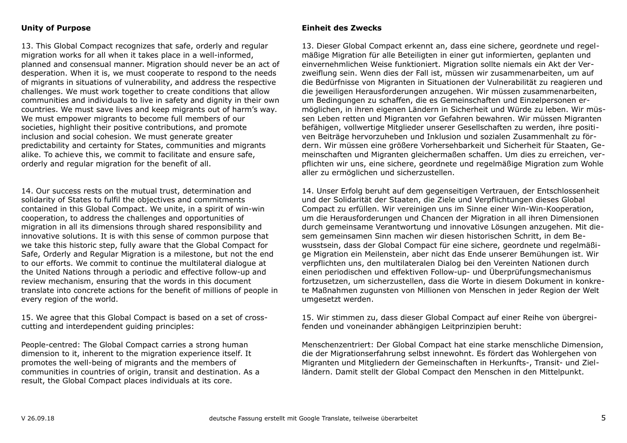#### **Unity of Purpose**

13. This Global Compact recognizes that safe, orderly and regular migration works for all when it takes place in a well-informed, planned and consensual manner. Migration should never be an act of desperation. When it is, we must cooperate to respond to the needs of migrants in situations of vulnerability, and address the respective challenges. We must work together to create conditions that allow communities and individuals to live in safety and dignity in their own countries. We must save lives and keep migrants out of harm's way. We must empower migrants to become full members of our societies, highlight their positive contributions, and promote inclusion and social cohesion. We must generate greater predictability and certainty for States, communities and migrants alike. To achieve this, we commit to facilitate and ensure safe, orderly and regular migration for the benefit of all.

14. Our success rests on the mutual trust, determination and solidarity of States to fulfil the objectives and commitments contained in this Global Compact. We unite, in a spirit of win-win cooperation, to address the challenges and opportunities of migration in all its dimensions through shared responsibility and innovative solutions. It is with this sense of common purpose that we take this historic step, fully aware that the Global Compact for Safe, Orderly and Regular Migration is a milestone, but not the end to our efforts. We commit to continue the multilateral dialogue at the United Nations through a periodic and effective follow-up and review mechanism, ensuring that the words in this document translate into concrete actions for the benefit of millions of people in every region of the world.

15. We agree that this Global Compact is based on a set of crosscutting and interdependent guiding principles:

People-centred: The Global Compact carries a strong human dimension to it, inherent to the migration experience itself. It promotes the well-being of migrants and the members of communities in countries of origin, transit and destination. As a result, the Global Compact places individuals at its core.

### **Einheit des Zwecks**

13. Dieser Global Compact erkennt an, dass eine sichere, geordnete und regelmäßige Migration für alle Beteiligten in einer gut informierten, geplanten und einvernehmlichen Weise funktioniert. Migration sollte niemals ein Akt der Verzweiflung sein. Wenn dies der Fall ist, müssen wir zusammenarbeiten, um auf die Bedürfnisse von Migranten in Situationen der Vulnerabilität zu reagieren und die jeweiligen Herausforderungen anzugehen. Wir müssen zusammenarbeiten, um Bedingungen zu schaffen, die es Gemeinschaften und Einzelpersonen ermöglichen, in ihren eigenen Ländern in Sicherheit und Würde zu leben. Wir müssen Leben retten und Migranten vor Gefahren bewahren. Wir müssen Migranten befähigen, vollwertige Mitglieder unserer Gesellschaften zu werden, ihre positiven Beiträge hervorzuheben und Inklusion und sozialen Zusammenhalt zu fördern. Wir müssen eine größere Vorhersehbarkeit und Sicherheit für Staaten, Gemeinschaften und Migranten gleichermaßen schaffen. Um dies zu erreichen, verpflichten wir uns, eine sichere, geordnete und regelmäßige Migration zum Wohle aller zu ermöglichen und sicherzustellen.

14. Unser Erfolg beruht auf dem gegenseitigen Vertrauen, der Entschlossenheit und der Solidarität der Staaten, die Ziele und Verpflichtungen dieses Global Compact zu erfüllen. Wir vereinigen uns im Sinne einer Win-Win-Kooperation, um die Herausforderungen und Chancen der Migration in all ihren Dimensionen durch gemeinsame Verantwortung und innovative Lösungen anzugehen. Mit diesem gemeinsamen Sinn machen wir diesen historischen Schritt, in dem Bewusstsein, dass der Global Compact für eine sichere, geordnete und regelmäßige Migration ein Meilenstein, aber nicht das Ende unserer Bemühungen ist. Wir verpflichten uns, den multilateralen Dialog bei den Vereinten Nationen durch einen periodischen und effektiven Follow-up- und Überprüfungsmechanismus fortzusetzen, um sicherzustellen, dass die Worte in diesem Dokument in konkrete Maßnahmen zugunsten von Millionen von Menschen in jeder Region der Welt umgesetzt werden.

15. Wir stimmen zu, dass dieser Global Compact auf einer Reihe von übergreifenden und voneinander abhängigen Leitprinzipien beruht:

Menschenzentriert: Der Global Compact hat eine starke menschliche Dimension, die der Migrationserfahrung selbst innewohnt. Es fördert das Wohlergehen von Migranten und Mitgliedern der Gemeinschaften in Herkunfts-, Transit- und Zielländern. Damit stellt der Global Compact den Menschen in den Mittelpunkt.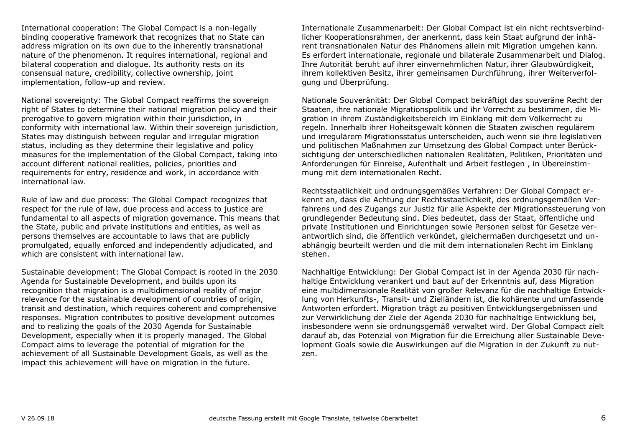International cooperation: The Global Compact is a non-legally binding cooperative framework that recognizes that no State can address migration on its own due to the inherently transnational nature of the phenomenon. It requires international, regional and bilateral cooperation and dialogue. Its authority rests on its consensual nature, credibility, collective ownership, joint implementation, follow-up and review.

National sovereignty: The Global Compact reaffirms the sovereign right of States to determine their national migration policy and their prerogative to govern migration within their jurisdiction, in conformity with international law. Within their sovereign jurisdiction, States may distinguish between regular and irregular migration status, including as they determine their legislative and policy measures for the implementation of the Global Compact, taking into account different national realities, policies, priorities and requirements for entry, residence and work, in accordance with international law.

Rule of law and due process: The Global Compact recognizes that respect for the rule of law, due process and access to justice are fundamental to all aspects of migration governance. This means that the State, public and private institutions and entities, as well as persons themselves are accountable to laws that are publicly promulgated, equally enforced and independently adjudicated, and which are consistent with international law.

Sustainable development: The Global Compact is rooted in the 2030 Agenda for Sustainable Development, and builds upon its recognition that migration is a multidimensional reality of major relevance for the sustainable development of countries of origin, transit and destination, which requires coherent and comprehensive responses. Migration contributes to positive development outcomes and to realizing the goals of the 2030 Agenda for Sustainable Development, especially when it is properly managed. The Global Compact aims to leverage the potential of migration for the achievement of all Sustainable Development Goals, as well as the impact this achievement will have on migration in the future.

Internationale Zusammenarbeit: Der Global Compact ist ein nicht rechtsverbindlicher Kooperationsrahmen, der anerkennt, dass kein Staat aufgrund der inhärent transnationalen Natur des Phänomens allein mit Migration umgehen kann. Es erfordert internationale, regionale und bilaterale Zusammenarbeit und Dialog. Ihre Autorität beruht auf ihrer einvernehmlichen Natur, ihrer Glaubwürdigkeit, ihrem kollektiven Besitz, ihrer gemeinsamen Durchführung, ihrer Weiterverfolgung und Überprüfung.

Nationale Souveränität: Der Global Compact bekräftigt das souveräne Recht der Staaten, ihre nationale Migrationspolitik und ihr Vorrecht zu bestimmen, die Migration in ihrem Zuständigkeitsbereich im Einklang mit dem Völkerrecht zu regeln. Innerhalb ihrer Hoheitsgewalt können die Staaten zwischen regulärem und irregulärem Migrationsstatus unterscheiden, auch wenn sie ihre legislativen und politischen Maßnahmen zur Umsetzung des Global Compact unter Berücksichtigung der unterschiedlichen nationalen Realitäten, Politiken, Prioritäten und Anforderungen für Einreise, Aufenthalt und Arbeit festlegen , in Übereinstimmung mit dem internationalen Recht.

Rechtsstaatlichkeit und ordnungsgemäßes Verfahren: Der Global Compact erkennt an, dass die Achtung der Rechtsstaatlichkeit, des ordnungsgemäßen Verfahrens und des Zugangs zur Justiz für alle Aspekte der Migrationssteuerung von grundlegender Bedeutung sind. Dies bedeutet, dass der Staat, öffentliche und private Institutionen und Einrichtungen sowie Personen selbst für Gesetze verantwortlich sind, die öffentlich verkündet, gleichermaßen durchgesetzt und unabhängig beurteilt werden und die mit dem internationalen Recht im Einklang stehen.

Nachhaltige Entwicklung: Der Global Compact ist in der Agenda 2030 für nachhaltige Entwicklung verankert und baut auf der Erkenntnis auf, dass Migration eine multidimensionale Realität von großer Relevanz für die nachhaltige Entwicklung von Herkunfts-, Transit- und Zielländern ist, die kohärente und umfassende Antworten erfordert. Migration trägt zu positiven Entwicklungsergebnissen und zur Verwirklichung der Ziele der Agenda 2030 für nachhaltige Entwicklung bei, insbesondere wenn sie ordnungsgemäß verwaltet wird. Der Global Compact zielt darauf ab, das Potenzial von Migration für die Erreichung aller Sustainable Development Goals sowie die Auswirkungen auf die Migration in der Zukunft zu nutzen.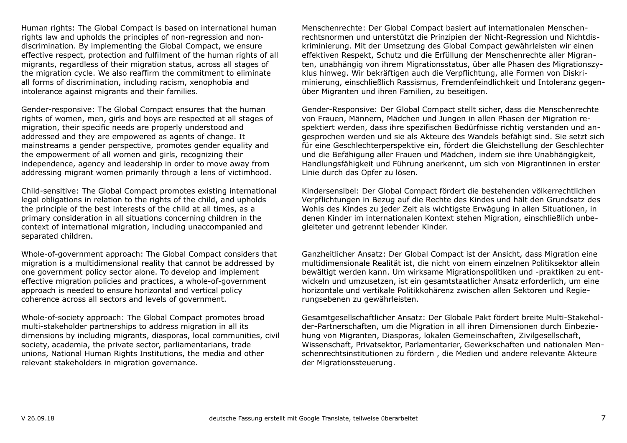Human rights: The Global Compact is based on international human rights law and upholds the principles of non-regression and nondiscrimination. By implementing the Global Compact, we ensure effective respect, protection and fulfilment of the human rights of all migrants, regardless of their migration status, across all stages of the migration cycle. We also reaffirm the commitment to eliminate all forms of discrimination, including racism, xenophobia and intolerance against migrants and their families.

Gender-responsive: The Global Compact ensures that the human rights of women, men, girls and boys are respected at all stages of migration, their specific needs are properly understood and addressed and they are empowered as agents of change. It mainstreams a gender perspective, promotes gender equality and the empowerment of all women and girls, recognizing their independence, agency and leadership in order to move away from addressing migrant women primarily through a lens of victimhood.

Child-sensitive: The Global Compact promotes existing international legal obligations in relation to the rights of the child, and upholds the principle of the best interests of the child at all times, as a primary consideration in all situations concerning children in the context of international migration, including unaccompanied and separated children.

Whole-of-government approach: The Global Compact considers that migration is a multidimensional reality that cannot be addressed by one government policy sector alone. To develop and implement effective migration policies and practices, a whole-of-government approach is needed to ensure horizontal and vertical policy coherence across all sectors and levels of government.

Whole-of-society approach: The Global Compact promotes broad multi-stakeholder partnerships to address migration in all its dimensions by including migrants, diasporas, local communities, civil society, academia, the private sector, parliamentarians, trade unions, National Human Rights Institutions, the media and other relevant stakeholders in migration governance.

Menschenrechte: Der Global Compact basiert auf internationalen Menschenrechtsnormen und unterstützt die Prinzipien der Nicht-Regression und Nichtdiskriminierung. Mit der Umsetzung des Global Compact gewährleisten wir einen effektiven Respekt, Schutz und die Erfüllung der Menschenrechte aller Migranten, unabhängig von ihrem Migrationsstatus, über alle Phasen des Migrationszyklus hinweg. Wir bekräftigen auch die Verpflichtung, alle Formen von Diskriminierung, einschließlich Rassismus, Fremdenfeindlichkeit und Intoleranz gegenüber Migranten und ihren Familien, zu beseitigen.

Gender-Responsive: Der Global Compact stellt sicher, dass die Menschenrechte von Frauen, Männern, Mädchen und Jungen in allen Phasen der Migration respektiert werden, dass ihre spezifischen Bedürfnisse richtig verstanden und angesprochen werden und sie als Akteure des Wandels befähigt sind. Sie setzt sich für eine Geschlechterperspektive ein, fördert die Gleichstellung der Geschlechter und die Befähigung aller Frauen und Mädchen, indem sie ihre Unabhängigkeit, Handlungsfähigkeit und Führung anerkennt, um sich von Migrantinnen in erster Linie durch das Opfer zu lösen.

Kindersensibel: Der Global Compact fördert die bestehenden völkerrechtlichen Verpflichtungen in Bezug auf die Rechte des Kindes und hält den Grundsatz des Wohls des Kindes zu jeder Zeit als wichtigste Erwägung in allen Situationen, in denen Kinder im internationalen Kontext stehen Migration, einschließlich unbegleiteter und getrennt lebender Kinder.

Ganzheitlicher Ansatz: Der Global Compact ist der Ansicht, dass Migration eine multidimensionale Realität ist, die nicht von einem einzelnen Politiksektor allein bewältigt werden kann. Um wirksame Migrationspolitiken und -praktiken zu entwickeln und umzusetzen, ist ein gesamtstaatlicher Ansatz erforderlich, um eine horizontale und vertikale Politikkohärenz zwischen allen Sektoren und Regierungsebenen zu gewährleisten.

Gesamtgesellschaftlicher Ansatz: Der Globale Pakt fördert breite Multi-Stakeholder-Partnerschaften, um die Migration in all ihren Dimensionen durch Einbeziehung von Migranten, Diasporas, lokalen Gemeinschaften, Zivilgesellschaft, Wissenschaft, Privatsektor, Parlamentarier, Gewerkschaften und nationalen Menschenrechtsinstitutionen zu fördern , die Medien und andere relevante Akteure der Migrationssteuerung.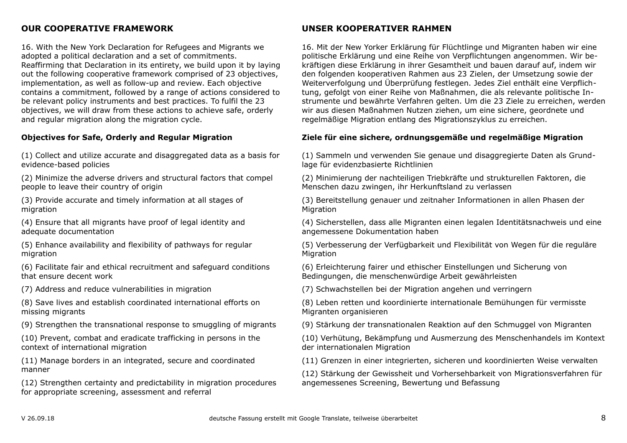# **OUR COOPERATIVE FRAMEWORK**

16. With the New York Declaration for Refugees and Migrants we adopted a political declaration and a set of commitments. Reaffirming that Declaration in its entirety, we build upon it by laying out the following cooperative framework comprised of 23 objectives, implementation, as well as follow-up and review. Each objective contains a commitment, followed by a range of actions considered to be relevant policy instruments and best practices. To fulfil the 23 objectives, we will draw from these actions to achieve safe, orderly and regular migration along the migration cycle.

### **Objectives for Safe, Orderly and Regular Migration**

(1) Collect and utilize accurate and disaggregated data as a basis for evidence-based policies

(2) Minimize the adverse drivers and structural factors that compel people to leave their country of origin

(3) Provide accurate and timely information at all stages of migration

(4) Ensure that all migrants have proof of legal identity and adequate documentation

(5) Enhance availability and flexibility of pathways for regular migration

(6) Facilitate fair and ethical recruitment and safeguard conditions that ensure decent work

(7) Address and reduce vulnerabilities in migration

(8) Save lives and establish coordinated international efforts on missing migrants

(9) Strengthen the transnational response to smuggling of migrants

(10) Prevent, combat and eradicate trafficking in persons in the context of international migration

(11) Manage borders in an integrated, secure and coordinated manner

(12) Strengthen certainty and predictability in migration procedures for appropriate screening, assessment and referral

### **UNSER KOOPERATIVER RAHMEN**

16. Mit der New Yorker Erklärung für Flüchtlinge und Migranten haben wir eine politische Erklärung und eine Reihe von Verpflichtungen angenommen. Wir bekräftigen diese Erklärung in ihrer Gesamtheit und bauen darauf auf, indem wir den folgenden kooperativen Rahmen aus 23 Zielen, der Umsetzung sowie der Weiterverfolgung und Überprüfung festlegen. Jedes Ziel enthält eine Verpflichtung, gefolgt von einer Reihe von Maßnahmen, die als relevante politische Instrumente und bewährte Verfahren gelten. Um die 23 Ziele zu erreichen, werden wir aus diesen Maßnahmen Nutzen ziehen, um eine sichere, geordnete und regelmäßige Migration entlang des Migrationszyklus zu erreichen.

### **Ziele für eine sichere, ordnungsgemäße und regelmäßige Migration**

(1) Sammeln und verwenden Sie genaue und disaggregierte Daten als Grundlage für evidenzbasierte Richtlinien

(2) Minimierung der nachteiligen Triebkräfte und strukturellen Faktoren, die Menschen dazu zwingen, ihr Herkunftsland zu verlassen

(3) Bereitstellung genauer und zeitnaher Informationen in allen Phasen der Migration

(4) Sicherstellen, dass alle Migranten einen legalen Identitätsnachweis und eine angemessene Dokumentation haben

(5) Verbesserung der Verfügbarkeit und Flexibilität von Wegen für die reguläre Migration

(6) Erleichterung fairer und ethischer Einstellungen und Sicherung von Bedingungen, die menschenwürdige Arbeit gewährleisten

(7) Schwachstellen bei der Migration angehen und verringern

(8) Leben retten und koordinierte internationale Bemühungen für vermisste Migranten organisieren

(9) Stärkung der transnationalen Reaktion auf den Schmuggel von Migranten

(10) Verhütung, Bekämpfung und Ausmerzung des Menschenhandels im Kontext der internationalen Migration

(11) Grenzen in einer integrierten, sicheren und koordinierten Weise verwalten

(12) Stärkung der Gewissheit und Vorhersehbarkeit von Migrationsverfahren für angemessenes Screening, Bewertung und Befassung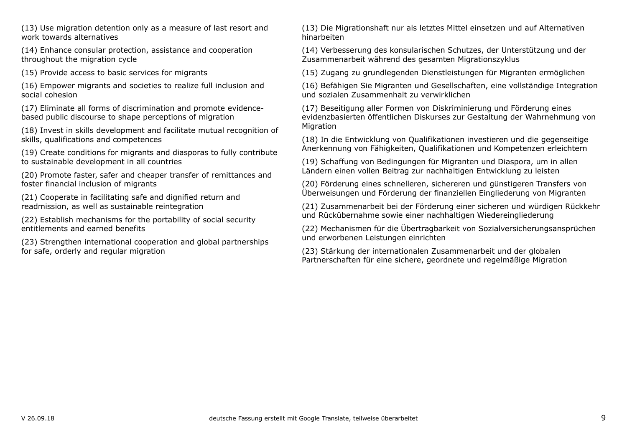(13) Use migration detention only as a measure of last resort and work towards alternatives

(14) Enhance consular protection, assistance and cooperation throughout the migration cycle

(15) Provide access to basic services for migrants

(16) Empower migrants and societies to realize full inclusion and social cohesion

(17) Eliminate all forms of discrimination and promote evidencebased public discourse to shape perceptions of migration

(18) Invest in skills development and facilitate mutual recognition of skills, qualifications and competences

(19) Create conditions for migrants and diasporas to fully contribute to sustainable development in all countries

(20) Promote faster, safer and cheaper transfer of remittances and foster financial inclusion of migrants

(21) Cooperate in facilitating safe and dignified return and readmission, as well as sustainable reintegration

(22) Establish mechanisms for the portability of social security entitlements and earned benefits

(23) Strengthen international cooperation and global partnerships for safe, orderly and regular migration

(13) Die Migrationshaft nur als letztes Mittel einsetzen und auf Alternativen hinarbeiten

(14) Verbesserung des konsularischen Schutzes, der Unterstützung und der Zusammenarbeit während des gesamten Migrationszyklus

(15) Zugang zu grundlegenden Dienstleistungen für Migranten ermöglichen

(16) Befähigen Sie Migranten und Gesellschaften, eine vollständige Integration und sozialen Zusammenhalt zu verwirklichen

(17) Beseitigung aller Formen von Diskriminierung und Förderung eines evidenzbasierten öffentlichen Diskurses zur Gestaltung der Wahrnehmung von Migration

(18) In die Entwicklung von Qualifikationen investieren und die gegenseitige Anerkennung von Fähigkeiten, Qualifikationen und Kompetenzen erleichtern

(19) Schaffung von Bedingungen für Migranten und Diaspora, um in allen Ländern einen vollen Beitrag zur nachhaltigen Entwicklung zu leisten

(20) Förderung eines schnelleren, sichereren und günstigeren Transfers von Überweisungen und Förderung der finanziellen Eingliederung von Migranten

(21) Zusammenarbeit bei der Förderung einer sicheren und würdigen Rückkehr und Rückübernahme sowie einer nachhaltigen Wiedereingliederung

(22) Mechanismen für die Übertragbarkeit von Sozialversicherungsansprüchen und erworbenen Leistungen einrichten

(23) Stärkung der internationalen Zusammenarbeit und der globalen Partnerschaften für eine sichere, geordnete und regelmäßige Migration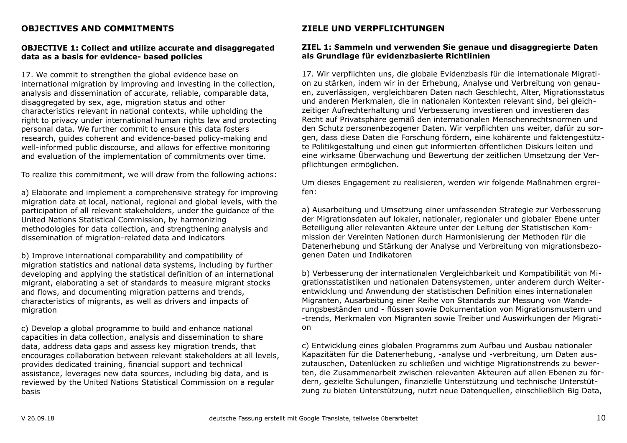### **OBJECTIVES AND COMMITMENTS**

#### **OBJECTIVE 1: Collect and utilize accurate and disaggregated data as a basis for evidence- based policies**

17. We commit to strengthen the global evidence base on international migration by improving and investing in the collection, analysis and dissemination of accurate, reliable, comparable data, disaggregated by sex, age, migration status and other characteristics relevant in national contexts, while upholding the right to privacy under international human rights law and protecting personal data. We further commit to ensure this data fosters research, guides coherent and evidence-based policy-making and well-informed public discourse, and allows for effective monitoring and evaluation of the implementation of commitments over time.

To realize this commitment, we will draw from the following actions:

a) Elaborate and implement a comprehensive strategy for improving migration data at local, national, regional and global levels, with the participation of all relevant stakeholders, under the guidance of the United Nations Statistical Commission, by harmonizing methodologies for data collection, and strengthening analysis and dissemination of migration-related data and indicators

b) Improve international comparability and compatibility of migration statistics and national data systems, including by further developing and applying the statistical definition of an international migrant, elaborating a set of standards to measure migrant stocks and flows, and documenting migration patterns and trends, characteristics of migrants, as well as drivers and impacts of migration

c) Develop a global programme to build and enhance national capacities in data collection, analysis and dissemination to share data, address data gaps and assess key migration trends, that encourages collaboration between relevant stakeholders at all levels, provides dedicated training, financial support and technical assistance, leverages new data sources, including big data, and is reviewed by the United Nations Statistical Commission on a regular basis

### **ZIELE UND VERPFLICHTUNGEN**

#### **ZIEL 1: Sammeln und verwenden Sie genaue und disaggregierte Daten als Grundlage für evidenzbasierte Richtlinien**

17. Wir verpflichten uns, die globale Evidenzbasis für die internationale Migration zu stärken, indem wir in der Erhebung, Analyse und Verbreitung von genauen, zuverlässigen, vergleichbaren Daten nach Geschlecht, Alter, Migrationsstatus und anderen Merkmalen, die in nationalen Kontexten relevant sind, bei gleichzeitiger Aufrechterhaltung und Verbesserung investieren und investieren das Recht auf Privatsphäre gemäß den internationalen Menschenrechtsnormen und den Schutz personenbezogener Daten. Wir verpflichten uns weiter, dafür zu sorgen, dass diese Daten die Forschung fördern, eine kohärente und faktengestützte Politikgestaltung und einen gut informierten öffentlichen Diskurs leiten und eine wirksame Überwachung und Bewertung der zeitlichen Umsetzung der Verpflichtungen ermöglichen.

Um dieses Engagement zu realisieren, werden wir folgende Maßnahmen ergreifen:

a) Ausarbeitung und Umsetzung einer umfassenden Strategie zur Verbesserung der Migrationsdaten auf lokaler, nationaler, regionaler und globaler Ebene unter Beteiligung aller relevanten Akteure unter der Leitung der Statistischen Kommission der Vereinten Nationen durch Harmonisierung der Methoden für die Datenerhebung und Stärkung der Analyse und Verbreitung von migrationsbezogenen Daten und Indikatoren

b) Verbesserung der internationalen Vergleichbarkeit und Kompatibilität von Migrationsstatistiken und nationalen Datensystemen, unter anderem durch Weiterentwicklung und Anwendung der statistischen Definition eines internationalen Migranten, Ausarbeitung einer Reihe von Standards zur Messung von Wanderungsbeständen und - flüssen sowie Dokumentation von Migrationsmustern und -trends, Merkmalen von Migranten sowie Treiber und Auswirkungen der Migration

c) Entwicklung eines globalen Programms zum Aufbau und Ausbau nationaler Kapazitäten für die Datenerhebung, -analyse und -verbreitung, um Daten auszutauschen, Datenlücken zu schließen und wichtige Migrationstrends zu bewerten, die Zusammenarbeit zwischen relevanten Akteuren auf allen Ebenen zu fördern, gezielte Schulungen, finanzielle Unterstützung und technische Unterstützung zu bieten Unterstützung, nutzt neue Datenquellen, einschließlich Big Data,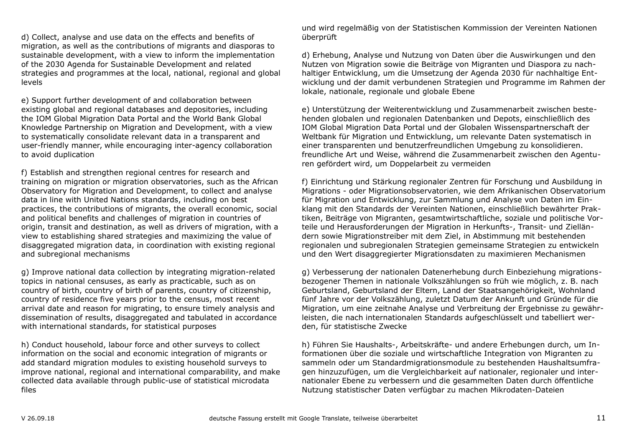d) Collect, analyse and use data on the effects and benefits of migration, as well as the contributions of migrants and diasporas to sustainable development, with a view to inform the implementation of the 2030 Agenda for Sustainable Development and related strategies and programmes at the local, national, regional and global levels

e) Support further development of and collaboration between existing global and regional databases and depositories, including the IOM Global Migration Data Portal and the World Bank Global Knowledge Partnership on Migration and Development, with a view to systematically consolidate relevant data in a transparent and user-friendly manner, while encouraging inter-agency collaboration to avoid duplication

f) Establish and strengthen regional centres for research and training on migration or migration observatories, such as the African Observatory for Migration and Development, to collect and analyse data in line with United Nations standards, including on best practices, the contributions of migrants, the overall economic, social and political benefits and challenges of migration in countries of origin, transit and destination, as well as drivers of migration, with a view to establishing shared strategies and maximizing the value of disaggregated migration data, in coordination with existing regional and subregional mechanisms

g) Improve national data collection by integrating migration-related topics in national censuses, as early as practicable, such as on country of birth, country of birth of parents, country of citizenship, country of residence five years prior to the census, most recent arrival date and reason for migrating, to ensure timely analysis and dissemination of results, disaggregated and tabulated in accordance with international standards, for statistical purposes

h) Conduct household, labour force and other surveys to collect information on the social and economic integration of migrants or add standard migration modules to existing household surveys to improve national, regional and international comparability, and make collected data available through public-use of statistical microdata files

und wird regelmäßig von der Statistischen Kommission der Vereinten Nationen überprüft

d) Erhebung, Analyse und Nutzung von Daten über die Auswirkungen und den Nutzen von Migration sowie die Beiträge von Migranten und Diaspora zu nachhaltiger Entwicklung, um die Umsetzung der Agenda 2030 für nachhaltige Entwicklung und der damit verbundenen Strategien und Programme im Rahmen der lokale, nationale, regionale und globale Ebene

e) Unterstützung der Weiterentwicklung und Zusammenarbeit zwischen bestehenden globalen und regionalen Datenbanken und Depots, einschließlich des IOM Global Migration Data Portal und der Globalen Wissenspartnerschaft der Weltbank für Migration und Entwicklung, um relevante Daten systematisch in einer transparenten und benutzerfreundlichen Umgebung zu konsolidieren. freundliche Art und Weise, während die Zusammenarbeit zwischen den Agenturen gefördert wird, um Doppelarbeit zu vermeiden

f) Einrichtung und Stärkung regionaler Zentren für Forschung und Ausbildung in Migrations - oder Migrationsobservatorien, wie dem Afrikanischen Observatorium für Migration und Entwicklung, zur Sammlung und Analyse von Daten im Einklang mit den Standards der Vereinten Nationen, einschließlich bewährter Praktiken, Beiträge von Migranten, gesamtwirtschaftliche, soziale und politische Vorteile und Herausforderungen der Migration in Herkunfts-, Transit- und Zielländern sowie Migrationstreiber mit dem Ziel, in Abstimmung mit bestehenden regionalen und subregionalen Strategien gemeinsame Strategien zu entwickeln und den Wert disaggregierter Migrationsdaten zu maximieren Mechanismen

g) Verbesserung der nationalen Datenerhebung durch Einbeziehung migrationsbezogener Themen in nationale Volkszählungen so früh wie möglich, z. B. nach Geburtsland, Geburtsland der Eltern, Land der Staatsangehörigkeit, Wohnland fünf Jahre vor der Volkszählung, zuletzt Datum der Ankunft und Gründe für die Migration, um eine zeitnahe Analyse und Verbreitung der Ergebnisse zu gewährleisten, die nach internationalen Standards aufgeschlüsselt und tabelliert werden, für statistische Zwecke

h) Führen Sie Haushalts-, Arbeitskräfte- und andere Erhebungen durch, um Informationen über die soziale und wirtschaftliche Integration von Migranten zu sammeln oder um Standardmigrationsmodule zu bestehenden Haushaltsumfragen hinzuzufügen, um die Vergleichbarkeit auf nationaler, regionaler und internationaler Ebene zu verbessern und die gesammelten Daten durch öffentliche Nutzung statistischer Daten verfügbar zu machen Mikrodaten-Dateien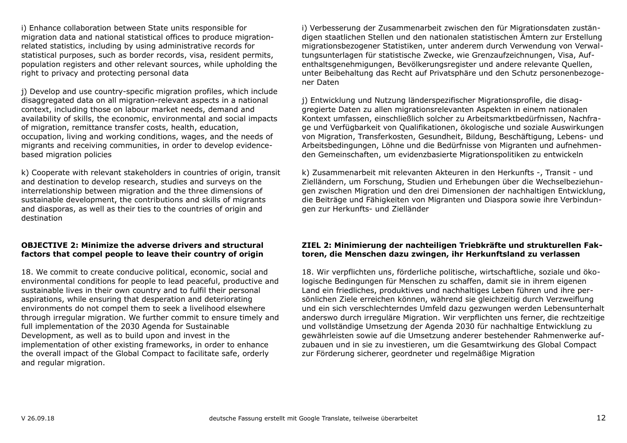i) Enhance collaboration between State units responsible for migration data and national statistical offices to produce migrationrelated statistics, including by using administrative records for statistical purposes, such as border records, visa, resident permits, population registers and other relevant sources, while upholding the right to privacy and protecting personal data

j) Develop and use country-specific migration profiles, which include disaggregated data on all migration-relevant aspects in a national context, including those on labour market needs, demand and availability of skills, the economic, environmental and social impacts of migration, remittance transfer costs, health, education, occupation, living and working conditions, wages, and the needs of migrants and receiving communities, in order to develop evidencebased migration policies

k) Cooperate with relevant stakeholders in countries of origin, transit and destination to develop research, studies and surveys on the interrelationship between migration and the three dimensions of sustainable development, the contributions and skills of migrants and diasporas, as well as their ties to the countries of origin and destination

#### **OBJECTIVE 2: Minimize the adverse drivers and structural factors that compel people to leave their country of origin**

18. We commit to create conducive political, economic, social and environmental conditions for people to lead peaceful, productive and sustainable lives in their own country and to fulfil their personal aspirations, while ensuring that desperation and deteriorating environments do not compel them to seek a livelihood elsewhere through irregular migration. We further commit to ensure timely and full implementation of the 2030 Agenda for Sustainable Development, as well as to build upon and invest in the implementation of other existing frameworks, in order to enhance the overall impact of the Global Compact to facilitate safe, orderly and regular migration.

i) Verbesserung der Zusammenarbeit zwischen den für Migrationsdaten zuständigen staatlichen Stellen und den nationalen statistischen Ämtern zur Erstellung migrationsbezogener Statistiken, unter anderem durch Verwendung von Verwaltungsunterlagen für statistische Zwecke, wie Grenzaufzeichnungen, Visa, Aufenthaltsgenehmigungen, Bevölkerungsregister und andere relevante Quellen, unter Beibehaltung das Recht auf Privatsphäre und den Schutz personenbezogener Daten

j) Entwicklung und Nutzung länderspezifischer Migrationsprofile, die disaggregierte Daten zu allen migrationsrelevanten Aspekten in einem nationalen Kontext umfassen, einschließlich solcher zu Arbeitsmarktbedürfnissen, Nachfrage und Verfügbarkeit von Qualifikationen, ökologische und soziale Auswirkungen von Migration, Transferkosten, Gesundheit, Bildung, Beschäftigung, Lebens- und Arbeitsbedingungen, Löhne und die Bedürfnisse von Migranten und aufnehmenden Gemeinschaften, um evidenzbasierte Migrationspolitiken zu entwickeln

k) Zusammenarbeit mit relevanten Akteuren in den Herkunfts -, Transit - und Zielländern, um Forschung, Studien und Erhebungen über die Wechselbeziehungen zwischen Migration und den drei Dimensionen der nachhaltigen Entwicklung, die Beiträge und Fähigkeiten von Migranten und Diaspora sowie ihre Verbindungen zur Herkunfts- und Zielländer

### **ZIEL 2: Minimierung der nachteiligen Triebkräfte und strukturellen Faktoren, die Menschen dazu zwingen, ihr Herkunftsland zu verlassen**

18. Wir verpflichten uns, förderliche politische, wirtschaftliche, soziale und ökologische Bedingungen für Menschen zu schaffen, damit sie in ihrem eigenen Land ein friedliches, produktives und nachhaltiges Leben führen und ihre persönlichen Ziele erreichen können, während sie gleichzeitig durch Verzweiflung und ein sich verschlechterndes Umfeld dazu gezwungen werden Lebensunterhalt anderswo durch irreguläre Migration. Wir verpflichten uns ferner, die rechtzeitige und vollständige Umsetzung der Agenda 2030 für nachhaltige Entwicklung zu gewährleisten sowie auf die Umsetzung anderer bestehender Rahmenwerke aufzubauen und in sie zu investieren, um die Gesamtwirkung des Global Compact zur Förderung sicherer, geordneter und regelmäßige Migration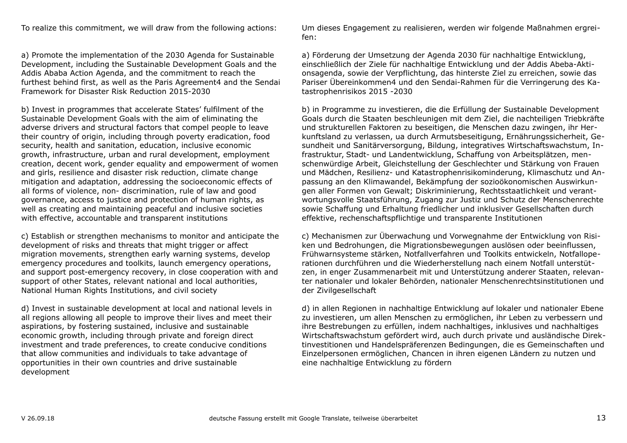To realize this commitment, we will draw from the following actions:

a) Promote the implementation of the 2030 Agenda for Sustainable Development, including the Sustainable Development Goals and the Addis Ababa Action Agenda, and the commitment to reach the furthest behind first, as well as the Paris Agreement4 and the Sendai Framework for Disaster Risk Reduction 2015-2030

b) Invest in programmes that accelerate States' fulfilment of the Sustainable Development Goals with the aim of eliminating the adverse drivers and structural factors that compel people to leave their country of origin, including through poverty eradication, food security, health and sanitation, education, inclusive economic growth, infrastructure, urban and rural development, employment creation, decent work, gender equality and empowerment of women and girls, resilience and disaster risk reduction, climate change mitigation and adaptation, addressing the socioeconomic effects of all forms of violence, non- discrimination, rule of law and good governance, access to justice and protection of human rights, as well as creating and maintaining peaceful and inclusive societies with effective, accountable and transparent institutions

c) Establish or strengthen mechanisms to monitor and anticipate the development of risks and threats that might trigger or affect migration movements, strengthen early warning systems, develop emergency procedures and toolkits, launch emergency operations, and support post-emergency recovery, in close cooperation with and support of other States, relevant national and local authorities, National Human Rights Institutions, and civil society

d) Invest in sustainable development at local and national levels in all regions allowing all people to improve their lives and meet their aspirations, by fostering sustained, inclusive and sustainable economic growth, including through private and foreign direct investment and trade preferences, to create conducive conditions that allow communities and individuals to take advantage of opportunities in their own countries and drive sustainable development

Um dieses Engagement zu realisieren, werden wir folgende Maßnahmen ergreifen:

a) Förderung der Umsetzung der Agenda 2030 für nachhaltige Entwicklung, einschließlich der Ziele für nachhaltige Entwicklung und der Addis Abeba-Aktionsagenda, sowie der Verpflichtung, das hinterste Ziel zu erreichen, sowie das Pariser Übereinkommen4 und den Sendai-Rahmen für die Verringerung des Katastrophenrisikos 2015 -2030

b) in Programme zu investieren, die die Erfüllung der Sustainable Development Goals durch die Staaten beschleunigen mit dem Ziel, die nachteiligen Triebkräfte und strukturellen Faktoren zu beseitigen, die Menschen dazu zwingen, ihr Herkunftsland zu verlassen, ua durch Armutsbeseitigung, Ernährungssicherheit, Gesundheit und Sanitärversorgung, Bildung, integratives Wirtschaftswachstum, Infrastruktur, Stadt- und Landentwicklung, Schaffung von Arbeitsplätzen, menschenwürdige Arbeit, Gleichstellung der Geschlechter und Stärkung von Frauen und Mädchen, Resilienz- und Katastrophenrisikominderung, Klimaschutz und Anpassung an den Klimawandel, Bekämpfung der sozioökonomischen Auswirkungen aller Formen von Gewalt; Diskriminierung, Rechtsstaatlichkeit und verantwortungsvolle Staatsführung, Zugang zur Justiz und Schutz der Menschenrechte sowie Schaffung und Erhaltung friedlicher und inklusiver Gesellschaften durch effektive, rechenschaftspflichtige und transparente Institutionen

c) Mechanismen zur Überwachung und Vorwegnahme der Entwicklung von Risiken und Bedrohungen, die Migrationsbewegungen auslösen oder beeinflussen, Frühwarnsysteme stärken, Notfallverfahren und Toolkits entwickeln, Notfalloperationen durchführen und die Wiederherstellung nach einem Notfall unterstützen, in enger Zusammenarbeit mit und Unterstützung anderer Staaten, relevanter nationaler und lokaler Behörden, nationaler Menschenrechtsinstitutionen und der Zivilgesellschaft

d) in allen Regionen in nachhaltige Entwicklung auf lokaler und nationaler Ebene zu investieren, um allen Menschen zu ermöglichen, ihr Leben zu verbessern und ihre Bestrebungen zu erfüllen, indem nachhaltiges, inklusives und nachhaltiges Wirtschaftswachstum gefördert wird, auch durch private und ausländische Direktinvestitionen und Handelspräferenzen Bedingungen, die es Gemeinschaften und Einzelpersonen ermöglichen, Chancen in ihren eigenen Ländern zu nutzen und eine nachhaltige Entwicklung zu fördern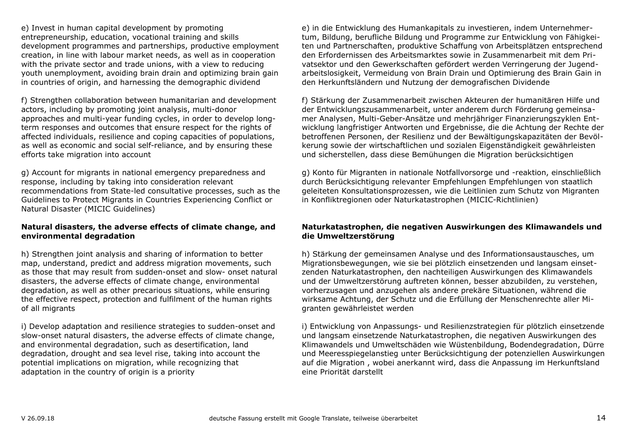e) Invest in human capital development by promoting entrepreneurship, education, vocational training and skills development programmes and partnerships, productive employment creation, in line with labour market needs, as well as in cooperation with the private sector and trade unions, with a view to reducing youth unemployment, avoiding brain drain and optimizing brain gain in countries of origin, and harnessing the demographic dividend

f) Strengthen collaboration between humanitarian and development actors, including by promoting joint analysis, multi-donor approaches and multi-year funding cycles, in order to develop longterm responses and outcomes that ensure respect for the rights of affected individuals, resilience and coping capacities of populations, as well as economic and social self-reliance, and by ensuring these efforts take migration into account

g) Account for migrants in national emergency preparedness and response, including by taking into consideration relevant recommendations from State-led consultative processes, such as the Guidelines to Protect Migrants in Countries Experiencing Conflict or Natural Disaster (MICIC Guidelines)

### **Natural disasters, the adverse effects of climate change, and environmental degradation**

h) Strengthen joint analysis and sharing of information to better map, understand, predict and address migration movements, such as those that may result from sudden-onset and slow- onset natural disasters, the adverse effects of climate change, environmental degradation, as well as other precarious situations, while ensuring the effective respect, protection and fulfilment of the human rights of all migrants

i) Develop adaptation and resilience strategies to sudden-onset and slow-onset natural disasters, the adverse effects of climate change, and environmental degradation, such as desertification, land degradation, drought and sea level rise, taking into account the potential implications on migration, while recognizing that adaptation in the country of origin is a priority

e) in die Entwicklung des Humankapitals zu investieren, indem Unternehmertum, Bildung, berufliche Bildung und Programme zur Entwicklung von Fähigkeiten und Partnerschaften, produktive Schaffung von Arbeitsplätzen entsprechend den Erfordernissen des Arbeitsmarktes sowie in Zusammenarbeit mit dem Privatsektor und den Gewerkschaften gefördert werden Verringerung der Jugendarbeitslosigkeit, Vermeidung von Brain Drain und Optimierung des Brain Gain in den Herkunftsländern und Nutzung der demografischen Dividende

f) Stärkung der Zusammenarbeit zwischen Akteuren der humanitären Hilfe und der Entwicklungszusammenarbeit, unter anderem durch Förderung gemeinsamer Analysen, Multi-Geber-Ansätze und mehrjähriger Finanzierungszyklen Entwicklung langfristiger Antworten und Ergebnisse, die die Achtung der Rechte der betroffenen Personen, der Resilienz und der Bewältigungskapazitäten der Bevölkerung sowie der wirtschaftlichen und sozialen Eigenständigkeit gewährleisten und sicherstellen, dass diese Bemühungen die Migration berücksichtigen

g) Konto für Migranten in nationale Notfallvorsorge und -reaktion, einschließlich durch Berücksichtigung relevanter Empfehlungen Empfehlungen von staatlich geleiteten Konsultationsprozessen, wie die Leitlinien zum Schutz von Migranten in Konfliktregionen oder Naturkatastrophen (MICIC-Richtlinien)

### **Naturkatastrophen, die negativen Auswirkungen des Klimawandels und die Umweltzerstörung**

h) Stärkung der gemeinsamen Analyse und des Informationsaustausches, um Migrationsbewegungen, wie sie bei plötzlich einsetzenden und langsam einsetzenden Naturkatastrophen, den nachteiligen Auswirkungen des Klimawandels und der Umweltzerstörung auftreten können, besser abzubilden, zu verstehen, vorherzusagen und anzugehen als andere prekäre Situationen, während die wirksame Achtung, der Schutz und die Erfüllung der Menschenrechte aller Migranten gewährleistet werden

i) Entwicklung von Anpassungs- und Resilienzstrategien für plötzlich einsetzende und langsam einsetzende Naturkatastrophen, die negativen Auswirkungen des Klimawandels und Umweltschäden wie Wüstenbildung, Bodendegradation, Dürre und Meeresspiegelanstieg unter Berücksichtigung der potenziellen Auswirkungen auf die Migration , wobei anerkannt wird, dass die Anpassung im Herkunftsland eine Priorität darstellt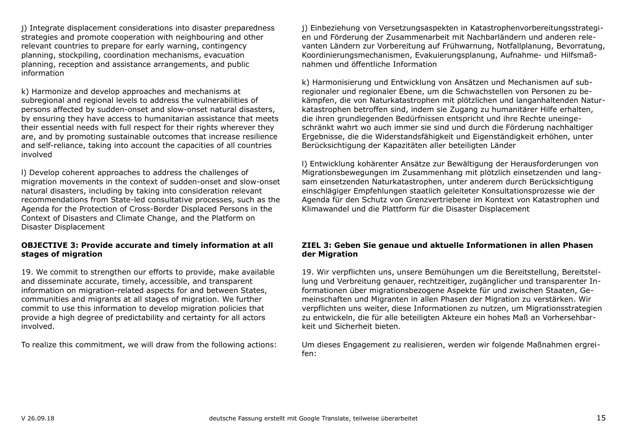j) Integrate displacement considerations into disaster preparedness strategies and promote cooperation with neighbouring and other relevant countries to prepare for early warning, contingency planning, stockpiling, coordination mechanisms, evacuation planning, reception and assistance arrangements, and public information

k) Harmonize and develop approaches and mechanisms at subregional and regional levels to address the vulnerabilities of persons affected by sudden-onset and slow-onset natural disasters, by ensuring they have access to humanitarian assistance that meets their essential needs with full respect for their rights wherever they are, and by promoting sustainable outcomes that increase resilience and self-reliance, taking into account the capacities of all countries involved

l) Develop coherent approaches to address the challenges of migration movements in the context of sudden-onset and slow-onset natural disasters, including by taking into consideration relevant recommendations from State-led consultative processes, such as the Agenda for the Protection of Cross-Border Displaced Persons in the Context of Disasters and Climate Change, and the Platform on Disaster Displacement

### **OBJECTIVE 3: Provide accurate and timely information at all stages of migration**

19. We commit to strengthen our efforts to provide, make available and disseminate accurate, timely, accessible, and transparent information on migration-related aspects for and between States, communities and migrants at all stages of migration. We further commit to use this information to develop migration policies that provide a high degree of predictability and certainty for all actors involved.

To realize this commitment, we will draw from the following actions:

j) Einbeziehung von Versetzungsaspekten in Katastrophenvorbereitungsstrategien und Förderung der Zusammenarbeit mit Nachbarländern und anderen relevanten Ländern zur Vorbereitung auf Frühwarnung, Notfallplanung, Bevorratung, Koordinierungsmechanismen, Evakuierungsplanung, Aufnahme- und Hilfsmaßnahmen und öffentliche Information

k) Harmonisierung und Entwicklung von Ansätzen und Mechanismen auf subregionaler und regionaler Ebene, um die Schwachstellen von Personen zu bekämpfen, die von Naturkatastrophen mit plötzlichen und langanhaltenden Naturkatastrophen betroffen sind, indem sie Zugang zu humanitärer Hilfe erhalten, die ihren grundlegenden Bedürfnissen entspricht und ihre Rechte uneingeschränkt wahrt wo auch immer sie sind und durch die Förderung nachhaltiger Ergebnisse, die die Widerstandsfähigkeit und Eigenständigkeit erhöhen, unter Berücksichtigung der Kapazitäten aller beteiligten Länder

l) Entwicklung kohärenter Ansätze zur Bewältigung der Herausforderungen von Migrationsbewegungen im Zusammenhang mit plötzlich einsetzenden und langsam einsetzenden Naturkatastrophen, unter anderem durch Berücksichtigung einschlägiger Empfehlungen staatlich geleiteter Konsultationsprozesse wie der Agenda für den Schutz von Grenzvertriebene im Kontext von Katastrophen und Klimawandel und die Plattform für die Disaster Displacement

### **ZIEL 3: Geben Sie genaue und aktuelle Informationen in allen Phasen der Migration**

19. Wir verpflichten uns, unsere Bemühungen um die Bereitstellung, Bereitstellung und Verbreitung genauer, rechtzeitiger, zugänglicher und transparenter Informationen über migrationsbezogene Aspekte für und zwischen Staaten, Gemeinschaften und Migranten in allen Phasen der Migration zu verstärken. Wir verpflichten uns weiter, diese Informationen zu nutzen, um Migrationsstrategien zu entwickeln, die für alle beteiligten Akteure ein hohes Maß an Vorhersehbarkeit und Sicherheit bieten.

Um dieses Engagement zu realisieren, werden wir folgende Maßnahmen ergreifen: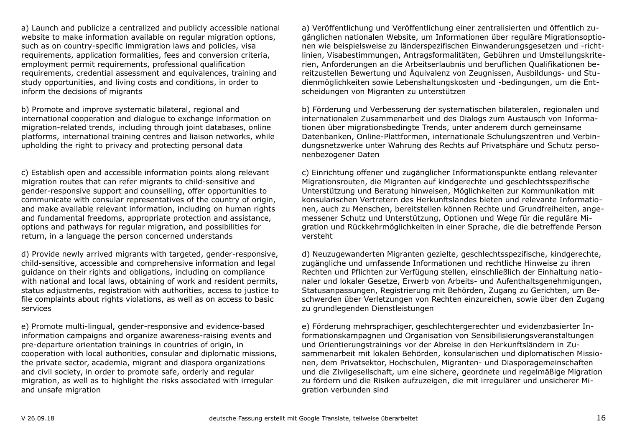a) Launch and publicize a centralized and publicly accessible national website to make information available on regular migration options, such as on country-specific immigration laws and policies, visa requirements, application formalities, fees and conversion criteria, employment permit requirements, professional qualification requirements, credential assessment and equivalences, training and study opportunities, and living costs and conditions, in order to inform the decisions of migrants

b) Promote and improve systematic bilateral, regional and international cooperation and dialogue to exchange information on migration-related trends, including through joint databases, online platforms, international training centres and liaison networks, while upholding the right to privacy and protecting personal data

c) Establish open and accessible information points along relevant migration routes that can refer migrants to child-sensitive and gender-responsive support and counselling, offer opportunities to communicate with consular representatives of the country of origin, and make available relevant information, including on human rights and fundamental freedoms, appropriate protection and assistance, options and pathways for regular migration, and possibilities for return, in a language the person concerned understands

d) Provide newly arrived migrants with targeted, gender-responsive, child-sensitive, accessible and comprehensive information and legal guidance on their rights and obligations, including on compliance with national and local laws, obtaining of work and resident permits, status adjustments, registration with authorities, access to justice to file complaints about rights violations, as well as on access to basic services

e) Promote multi-lingual, gender-responsive and evidence-based information campaigns and organize awareness-raising events and pre-departure orientation trainings in countries of origin, in cooperation with local authorities, consular and diplomatic missions, the private sector, academia, migrant and diaspora organizations and civil society, in order to promote safe, orderly and regular migration, as well as to highlight the risks associated with irregular and unsafe migration

a) Veröffentlichung und Veröffentlichung einer zentralisierten und öffentlich zugänglichen nationalen Website, um Informationen über reguläre Migrationsoptionen wie beispielsweise zu länderspezifischen Einwanderungsgesetzen und -richtlinien, Visabestimmungen, Antragsformalitäten, Gebühren und Umstellungskriterien, Anforderungen an die Arbeitserlaubnis und beruflichen Qualifikationen bereitzustellen Bewertung und Äquivalenz von Zeugnissen, Ausbildungs- und Studienmöglichkeiten sowie Lebenshaltungskosten und -bedingungen, um die Entscheidungen von Migranten zu unterstützen

b) Förderung und Verbesserung der systematischen bilateralen, regionalen und internationalen Zusammenarbeit und des Dialogs zum Austausch von Informationen über migrationsbedingte Trends, unter anderem durch gemeinsame Datenbanken, Online-Plattformen, internationale Schulungszentren und Verbindungsnetzwerke unter Wahrung des Rechts auf Privatsphäre und Schutz personenbezogener Daten

c) Einrichtung offener und zugänglicher Informationspunkte entlang relevanter Migrationsrouten, die Migranten auf kindgerechte und geschlechtsspezifische Unterstützung und Beratung hinweisen, Möglichkeiten zur Kommunikation mit konsularischen Vertretern des Herkunftslandes bieten und relevante Informationen, auch zu Menschen, bereitstellen können Rechte und Grundfreiheiten, angemessener Schutz und Unterstützung, Optionen und Wege für die reguläre Migration und Rückkehrmöglichkeiten in einer Sprache, die die betreffende Person versteht

d) Neuzugewanderten Migranten gezielte, geschlechtsspezifische, kindgerechte, zugängliche und umfassende Informationen und rechtliche Hinweise zu ihren Rechten und Pflichten zur Verfügung stellen, einschließlich der Einhaltung nationaler und lokaler Gesetze, Erwerb von Arbeits- und Aufenthaltsgenehmigungen, Statusanpassungen, Registrierung mit Behörden, Zugang zu Gerichten, um Beschwerden über Verletzungen von Rechten einzureichen, sowie über den Zugang zu grundlegenden Dienstleistungen

e) Förderung mehrsprachiger, geschlechtergerechter und evidenzbasierter Informationskampagnen und Organisation von Sensibilisierungsveranstaltungen und Orientierungstrainings vor der Abreise in den Herkunftsländern in Zusammenarbeit mit lokalen Behörden, konsularischen und diplomatischen Missionen, dem Privatsektor, Hochschulen, Migranten- und Diasporagemeinschaften und die Zivilgesellschaft, um eine sichere, geordnete und regelmäßige Migration zu fördern und die Risiken aufzuzeigen, die mit irregulärer und unsicherer Migration verbunden sind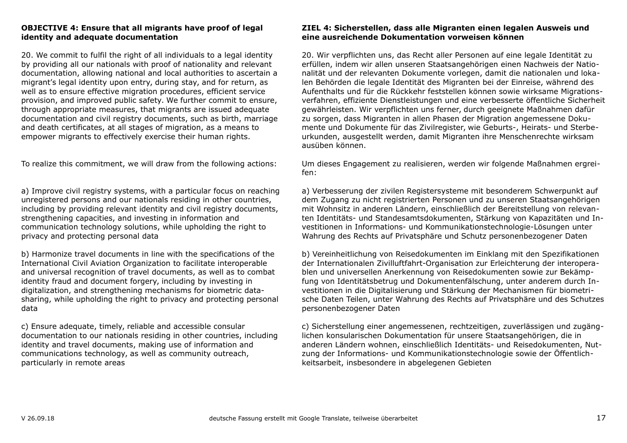#### **OBJECTIVE 4: Ensure that all migrants have proof of legal identity and adequate documentation**

20. We commit to fulfil the right of all individuals to a legal identity by providing all our nationals with proof of nationality and relevant documentation, allowing national and local authorities to ascertain a migrant's legal identity upon entry, during stay, and for return, as well as to ensure effective migration procedures, efficient service provision, and improved public safety. We further commit to ensure, through appropriate measures, that migrants are issued adequate documentation and civil registry documents, such as birth, marriage and death certificates, at all stages of migration, as a means to empower migrants to effectively exercise their human rights.

To realize this commitment, we will draw from the following actions:

a) Improve civil registry systems, with a particular focus on reaching unregistered persons and our nationals residing in other countries, including by providing relevant identity and civil registry documents, strengthening capacities, and investing in information and communication technology solutions, while upholding the right to privacy and protecting personal data

b) Harmonize travel documents in line with the specifications of the International Civil Aviation Organization to facilitate interoperable and universal recognition of travel documents, as well as to combat identity fraud and document forgery, including by investing in digitalization, and strengthening mechanisms for biometric datasharing, while upholding the right to privacy and protecting personal data

c) Ensure adequate, timely, reliable and accessible consular documentation to our nationals residing in other countries, including identity and travel documents, making use of information and communications technology, as well as community outreach, particularly in remote areas

### **ZIEL 4: Sicherstellen, dass alle Migranten einen legalen Ausweis und eine ausreichende Dokumentation vorweisen können**

20. Wir verpflichten uns, das Recht aller Personen auf eine legale Identität zu erfüllen, indem wir allen unseren Staatsangehörigen einen Nachweis der Nationalität und der relevanten Dokumente vorlegen, damit die nationalen und lokalen Behörden die legale Identität des Migranten bei der Einreise, während des Aufenthalts und für die Rückkehr feststellen können sowie wirksame Migrationsverfahren, effiziente Dienstleistungen und eine verbesserte öffentliche Sicherheit gewährleisten. Wir verpflichten uns ferner, durch geeignete Maßnahmen dafür zu sorgen, dass Migranten in allen Phasen der Migration angemessene Dokumente und Dokumente für das Zivilregister, wie Geburts-, Heirats- und Sterbeurkunden, ausgestellt werden, damit Migranten ihre Menschenrechte wirksam ausüben können.

Um dieses Engagement zu realisieren, werden wir folgende Maßnahmen ergreifen:

a) Verbesserung der zivilen Registersysteme mit besonderem Schwerpunkt auf dem Zugang zu nicht registrierten Personen und zu unseren Staatsangehörigen mit Wohnsitz in anderen Ländern, einschließlich der Bereitstellung von relevanten Identitäts- und Standesamtsdokumenten, Stärkung von Kapazitäten und Investitionen in Informations- und Kommunikationstechnologie-Lösungen unter Wahrung des Rechts auf Privatsphäre und Schutz personenbezogener Daten

b) Vereinheitlichung von Reisedokumenten im Einklang mit den Spezifikationen der Internationalen Zivilluftfahrt-Organisation zur Erleichterung der interoperablen und universellen Anerkennung von Reisedokumenten sowie zur Bekämpfung von Identitätsbetrug und Dokumentenfälschung, unter anderem durch Investitionen in die Digitalisierung und Stärkung der Mechanismen für biometrische Daten Teilen, unter Wahrung des Rechts auf Privatsphäre und des Schutzes personenbezogener Daten

c) Sicherstellung einer angemessenen, rechtzeitigen, zuverlässigen und zugänglichen konsularischen Dokumentation für unsere Staatsangehörigen, die in anderen Ländern wohnen, einschließlich Identitäts- und Reisedokumenten, Nutzung der Informations- und Kommunikationstechnologie sowie der Öffentlichkeitsarbeit, insbesondere in abgelegenen Gebieten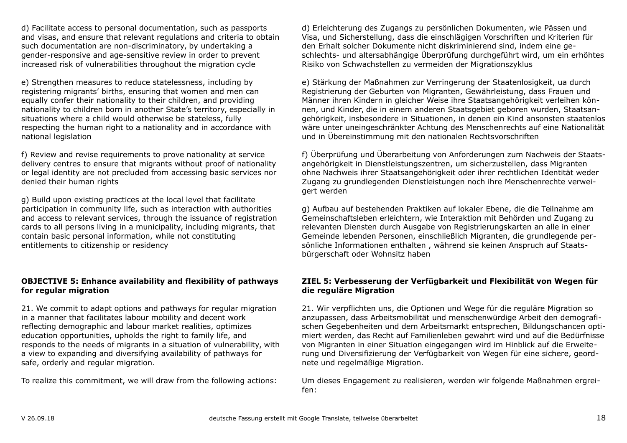d) Facilitate access to personal documentation, such as passports and visas, and ensure that relevant regulations and criteria to obtain such documentation are non-discriminatory, by undertaking a gender-responsive and age-sensitive review in order to prevent increased risk of vulnerabilities throughout the migration cycle

e) Strengthen measures to reduce statelessness, including by registering migrants' births, ensuring that women and men can equally confer their nationality to their children, and providing nationality to children born in another State's territory, especially in situations where a child would otherwise be stateless, fully respecting the human right to a nationality and in accordance with national legislation

f) Review and revise requirements to prove nationality at service delivery centres to ensure that migrants without proof of nationality or legal identity are not precluded from accessing basic services nor denied their human rights

g) Build upon existing practices at the local level that facilitate participation in community life, such as interaction with authorities and access to relevant services, through the issuance of registration cards to all persons living in a municipality, including migrants, that contain basic personal information, while not constituting entitlements to citizenship or residency

### **OBJECTIVE 5: Enhance availability and flexibility of pathways for regular migration**

21. We commit to adapt options and pathways for regular migration in a manner that facilitates labour mobility and decent work reflecting demographic and labour market realities, optimizes education opportunities, upholds the right to family life, and responds to the needs of migrants in a situation of vulnerability, with a view to expanding and diversifying availability of pathways for safe, orderly and regular migration.

To realize this commitment, we will draw from the following actions:

d) Erleichterung des Zugangs zu persönlichen Dokumenten, wie Pässen und Visa, und Sicherstellung, dass die einschlägigen Vorschriften und Kriterien für den Erhalt solcher Dokumente nicht diskriminierend sind, indem eine geschlechts- und altersabhängige Überprüfung durchgeführt wird, um ein erhöhtes Risiko von Schwachstellen zu vermeiden der Migrationszyklus

e) Stärkung der Maßnahmen zur Verringerung der Staatenlosigkeit, ua durch Registrierung der Geburten von Migranten, Gewährleistung, dass Frauen und Männer ihren Kindern in gleicher Weise ihre Staatsangehörigkeit verleihen können, und Kinder, die in einem anderen Staatsgebiet geboren wurden, Staatsangehörigkeit, insbesondere in Situationen, in denen ein Kind ansonsten staatenlos wäre unter uneingeschränkter Achtung des Menschenrechts auf eine Nationalität und in Übereinstimmung mit den nationalen Rechtsvorschriften

f) Überprüfung und Überarbeitung von Anforderungen zum Nachweis der Staatsangehörigkeit in Dienstleistungszentren, um sicherzustellen, dass Migranten ohne Nachweis ihrer Staatsangehörigkeit oder ihrer rechtlichen Identität weder Zugang zu grundlegenden Dienstleistungen noch ihre Menschenrechte verweigert werden

g) Aufbau auf bestehenden Praktiken auf lokaler Ebene, die die Teilnahme am Gemeinschaftsleben erleichtern, wie Interaktion mit Behörden und Zugang zu relevanten Diensten durch Ausgabe von Registrierungskarten an alle in einer Gemeinde lebenden Personen, einschließlich Migranten, die grundlegende persönliche Informationen enthalten , während sie keinen Anspruch auf Staatsbürgerschaft oder Wohnsitz haben

### **ZIEL 5: Verbesserung der Verfügbarkeit und Flexibilität von Wegen für die reguläre Migration**

21. Wir verpflichten uns, die Optionen und Wege für die reguläre Migration so anzupassen, dass Arbeitsmobilität und menschenwürdige Arbeit den demografischen Gegebenheiten und dem Arbeitsmarkt entsprechen, Bildungschancen optimiert werden, das Recht auf Familienleben gewahrt wird und auf die Bedürfnisse von Migranten in einer Situation eingegangen wird im Hinblick auf die Erweiterung und Diversifizierung der Verfügbarkeit von Wegen für eine sichere, geordnete und regelmäßige Migration.

Um dieses Engagement zu realisieren, werden wir folgende Maßnahmen ergreifen: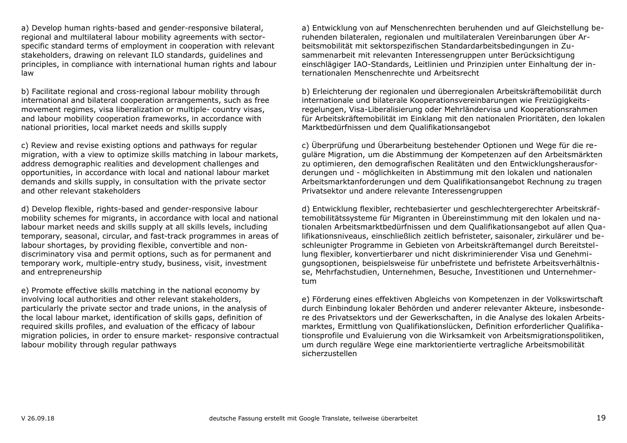a) Develop human rights-based and gender-responsive bilateral, regional and multilateral labour mobility agreements with sectorspecific standard terms of employment in cooperation with relevant stakeholders, drawing on relevant ILO standards, guidelines and principles, in compliance with international human rights and labour law

b) Facilitate regional and cross-regional labour mobility through international and bilateral cooperation arrangements, such as free movement regimes, visa liberalization or multiple- country visas, and labour mobility cooperation frameworks, in accordance with national priorities, local market needs and skills supply

c) Review and revise existing options and pathways for regular migration, with a view to optimize skills matching in labour markets, address demographic realities and development challenges and opportunities, in accordance with local and national labour market demands and skills supply, in consultation with the private sector and other relevant stakeholders

d) Develop flexible, rights-based and gender-responsive labour mobility schemes for migrants, in accordance with local and national labour market needs and skills supply at all skills levels, including temporary, seasonal, circular, and fast-track programmes in areas of labour shortages, by providing flexible, convertible and nondiscriminatory visa and permit options, such as for permanent and temporary work, multiple-entry study, business, visit, investment and entrepreneurship

e) Promote effective skills matching in the national economy by involving local authorities and other relevant stakeholders, particularly the private sector and trade unions, in the analysis of the local labour market, identification of skills gaps, definition of required skills profiles, and evaluation of the efficacy of labour migration policies, in order to ensure market- responsive contractual labour mobility through regular pathways

a) Entwicklung von auf Menschenrechten beruhenden und auf Gleichstellung beruhenden bilateralen, regionalen und multilateralen Vereinbarungen über Arbeitsmobilität mit sektorspezifischen Standardarbeitsbedingungen in Zusammenarbeit mit relevanten Interessengruppen unter Berücksichtigung einschlägiger IAO-Standards, Leitlinien und Prinzipien unter Einhaltung der internationalen Menschenrechte und Arbeitsrecht

b) Erleichterung der regionalen und überregionalen Arbeitskräftemobilität durch internationale und bilaterale Kooperationsvereinbarungen wie Freizügigkeitsregelungen, Visa-Liberalisierung oder Mehrländervisa und Kooperationsrahmen für Arbeitskräftemobilität im Einklang mit den nationalen Prioritäten, den lokalen Marktbedürfnissen und dem Qualifikationsangebot

c) Überprüfung und Überarbeitung bestehender Optionen und Wege für die reguläre Migration, um die Abstimmung der Kompetenzen auf den Arbeitsmärkten zu optimieren, den demografischen Realitäten und den Entwicklungsherausforderungen und - möglichkeiten in Abstimmung mit den lokalen und nationalen Arbeitsmarktanforderungen und dem Qualifikationsangebot Rechnung zu tragen Privatsektor und andere relevante Interessengruppen

d) Entwicklung flexibler, rechtebasierter und geschlechtergerechter Arbeitskräftemobilitätssysteme für Migranten in Übereinstimmung mit den lokalen und nationalen Arbeitsmarktbedürfnissen und dem Qualifikationsangebot auf allen Qualifikationsniveaus, einschließlich zeitlich befristeter, saisonaler, zirkulärer und beschleunigter Programme in Gebieten von Arbeitskräftemangel durch Bereitstellung flexibler, konvertierbarer und nicht diskriminierender Visa und Genehmigungsoptionen, beispielsweise für unbefristete und befristete Arbeitsverhältnisse, Mehrfachstudien, Unternehmen, Besuche, Investitionen und Unternehmertum

e) Förderung eines effektiven Abgleichs von Kompetenzen in der Volkswirtschaft durch Einbindung lokaler Behörden und anderer relevanter Akteure, insbesondere des Privatsektors und der Gewerkschaften, in die Analyse des lokalen Arbeitsmarktes, Ermittlung von Qualifikationslücken, Definition erforderlicher Qualifikationsprofile und Evaluierung von die Wirksamkeit von Arbeitsmigrationspolitiken, um durch reguläre Wege eine marktorientierte vertragliche Arbeitsmobilität sicherzustellen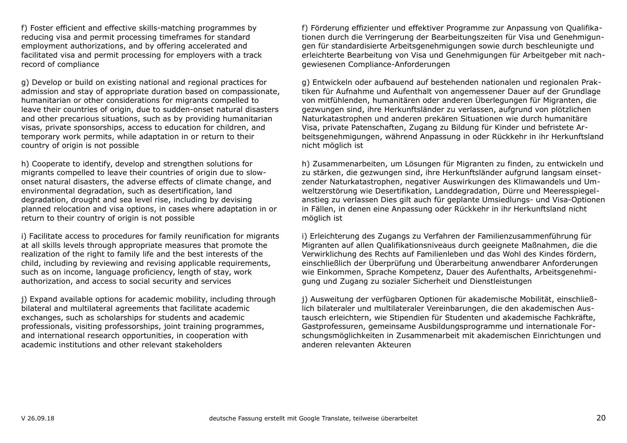f) Foster efficient and effective skills-matching programmes by reducing visa and permit processing timeframes for standard employment authorizations, and by offering accelerated and facilitated visa and permit processing for employers with a track record of compliance

g) Develop or build on existing national and regional practices for admission and stay of appropriate duration based on compassionate, humanitarian or other considerations for migrants compelled to leave their countries of origin, due to sudden-onset natural disasters and other precarious situations, such as by providing humanitarian visas, private sponsorships, access to education for children, and temporary work permits, while adaptation in or return to their country of origin is not possible

h) Cooperate to identify, develop and strengthen solutions for migrants compelled to leave their countries of origin due to slowonset natural disasters, the adverse effects of climate change, and environmental degradation, such as desertification, land degradation, drought and sea level rise, including by devising planned relocation and visa options, in cases where adaptation in or return to their country of origin is not possible

i) Facilitate access to procedures for family reunification for migrants at all skills levels through appropriate measures that promote the realization of the right to family life and the best interests of the child, including by reviewing and revising applicable requirements, such as on income, language proficiency, length of stay, work authorization, and access to social security and services

j) Expand available options for academic mobility, including through bilateral and multilateral agreements that facilitate academic exchanges, such as scholarships for students and academic professionals, visiting professorships, joint training programmes, and international research opportunities, in cooperation with academic institutions and other relevant stakeholders

f) Förderung effizienter und effektiver Programme zur Anpassung von Qualifikationen durch die Verringerung der Bearbeitungszeiten für Visa und Genehmigungen für standardisierte Arbeitsgenehmigungen sowie durch beschleunigte und erleichterte Bearbeitung von Visa und Genehmigungen für Arbeitgeber mit nachgewiesenen Compliance-Anforderungen

g) Entwickeln oder aufbauend auf bestehenden nationalen und regionalen Praktiken für Aufnahme und Aufenthalt von angemessener Dauer auf der Grundlage von mitfühlenden, humanitären oder anderen Überlegungen für Migranten, die gezwungen sind, ihre Herkunftsländer zu verlassen, aufgrund von plötzlichen Naturkatastrophen und anderen prekären Situationen wie durch humanitäre Visa, private Patenschaften, Zugang zu Bildung für Kinder und befristete Arbeitsgenehmigungen, während Anpassung in oder Rückkehr in ihr Herkunftsland nicht möglich ist

h) Zusammenarbeiten, um Lösungen für Migranten zu finden, zu entwickeln und zu stärken, die gezwungen sind, ihre Herkunftsländer aufgrund langsam einsetzender Naturkatastrophen, negativer Auswirkungen des Klimawandels und Umweltzerstörung wie Desertifikation, Landdegradation, Dürre und Meeresspiegelanstieg zu verlassen Dies gilt auch für geplante Umsiedlungs- und Visa-Optionen in Fällen, in denen eine Anpassung oder Rückkehr in ihr Herkunftsland nicht möglich ist

i) Erleichterung des Zugangs zu Verfahren der Familienzusammenführung für Migranten auf allen Qualifikationsniveaus durch geeignete Maßnahmen, die die Verwirklichung des Rechts auf Familienleben und das Wohl des Kindes fördern, einschließlich der Überprüfung und Überarbeitung anwendbarer Anforderungen wie Einkommen, Sprache Kompetenz, Dauer des Aufenthalts, Arbeitsgenehmigung und Zugang zu sozialer Sicherheit und Dienstleistungen

j) Ausweitung der verfügbaren Optionen für akademische Mobilität, einschließlich bilateraler und multilateraler Vereinbarungen, die den akademischen Austausch erleichtern, wie Stipendien für Studenten und akademische Fachkräfte, Gastprofessuren, gemeinsame Ausbildungsprogramme und internationale Forschungsmöglichkeiten in Zusammenarbeit mit akademischen Einrichtungen und anderen relevanten Akteuren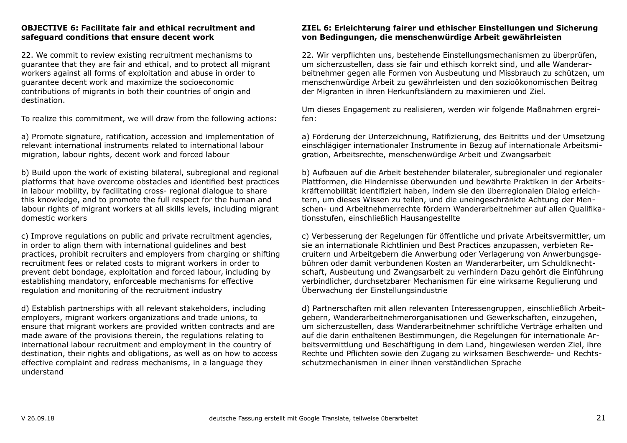#### **OBJECTIVE 6: Facilitate fair and ethical recruitment and safeguard conditions that ensure decent work**

22. We commit to review existing recruitment mechanisms to guarantee that they are fair and ethical, and to protect all migrant workers against all forms of exploitation and abuse in order to guarantee decent work and maximize the socioeconomic contributions of migrants in both their countries of origin and destination.

To realize this commitment, we will draw from the following actions:

a) Promote signature, ratification, accession and implementation of relevant international instruments related to international labour migration, labour rights, decent work and forced labour

b) Build upon the work of existing bilateral, subregional and regional platforms that have overcome obstacles and identified best practices in labour mobility, by facilitating cross- regional dialogue to share this knowledge, and to promote the full respect for the human and labour rights of migrant workers at all skills levels, including migrant domestic workers

c) Improve regulations on public and private recruitment agencies, in order to align them with international guidelines and best practices, prohibit recruiters and employers from charging or shifting recruitment fees or related costs to migrant workers in order to prevent debt bondage, exploitation and forced labour, including by establishing mandatory, enforceable mechanisms for effective regulation and monitoring of the recruitment industry

d) Establish partnerships with all relevant stakeholders, including employers, migrant workers organizations and trade unions, to ensure that migrant workers are provided written contracts and are made aware of the provisions therein, the regulations relating to international labour recruitment and employment in the country of destination, their rights and obligations, as well as on how to access effective complaint and redress mechanisms, in a language they understand

### **ZIEL 6: Erleichterung fairer und ethischer Einstellungen und Sicherung von Bedingungen, die menschenwürdige Arbeit gewährleisten**

22. Wir verpflichten uns, bestehende Einstellungsmechanismen zu überprüfen, um sicherzustellen, dass sie fair und ethisch korrekt sind, und alle Wanderarbeitnehmer gegen alle Formen von Ausbeutung und Missbrauch zu schützen, um menschenwürdige Arbeit zu gewährleisten und den sozioökonomischen Beitrag der Migranten in ihren Herkunftsländern zu maximieren und Ziel.

Um dieses Engagement zu realisieren, werden wir folgende Maßnahmen ergreifen:

a) Förderung der Unterzeichnung, Ratifizierung, des Beitritts und der Umsetzung einschlägiger internationaler Instrumente in Bezug auf internationale Arbeitsmigration, Arbeitsrechte, menschenwürdige Arbeit und Zwangsarbeit

b) Aufbauen auf die Arbeit bestehender bilateraler, subregionaler und regionaler Plattformen, die Hindernisse überwunden und bewährte Praktiken in der Arbeitskräftemobilität identifiziert haben, indem sie den überregionalen Dialog erleichtern, um dieses Wissen zu teilen, und die uneingeschränkte Achtung der Menschen- und Arbeitnehmerrechte fördern Wanderarbeitnehmer auf allen Qualifikationsstufen, einschließlich Hausangestellte

c) Verbesserung der Regelungen für öffentliche und private Arbeitsvermittler, um sie an internationale Richtlinien und Best Practices anzupassen, verbieten Recruitern und Arbeitgebern die Anwerbung oder Verlagerung von Anwerbungsgebühren oder damit verbundenen Kosten an Wanderarbeiter, um Schuldknechtschaft, Ausbeutung und Zwangsarbeit zu verhindern Dazu gehört die Einführung verbindlicher, durchsetzbarer Mechanismen für eine wirksame Regulierung und Überwachung der Einstellungsindustrie

d) Partnerschaften mit allen relevanten Interessengruppen, einschließlich Arbeitgebern, Wanderarbeitnehmerorganisationen und Gewerkschaften, einzugehen, um sicherzustellen, dass Wanderarbeitnehmer schriftliche Verträge erhalten und auf die darin enthaltenen Bestimmungen, die Regelungen für internationale Arbeitsvermittlung und Beschäftigung in dem Land, hingewiesen werden Ziel, ihre Rechte und Pflichten sowie den Zugang zu wirksamen Beschwerde- und Rechtsschutzmechanismen in einer ihnen verständlichen Sprache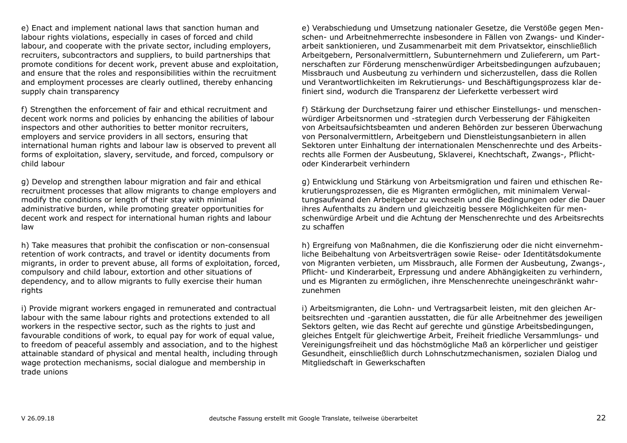e) Enact and implement national laws that sanction human and labour rights violations, especially in cases of forced and child labour, and cooperate with the private sector, including employers, recruiters, subcontractors and suppliers, to build partnerships that promote conditions for decent work, prevent abuse and exploitation, and ensure that the roles and responsibilities within the recruitment and employment processes are clearly outlined, thereby enhancing supply chain transparency

f) Strengthen the enforcement of fair and ethical recruitment and decent work norms and policies by enhancing the abilities of labour inspectors and other authorities to better monitor recruiters, employers and service providers in all sectors, ensuring that international human rights and labour law is observed to prevent all forms of exploitation, slavery, servitude, and forced, compulsory or child labour

g) Develop and strengthen labour migration and fair and ethical recruitment processes that allow migrants to change employers and modify the conditions or length of their stay with minimal administrative burden, while promoting greater opportunities for decent work and respect for international human rights and labour law

h) Take measures that prohibit the confiscation or non-consensual retention of work contracts, and travel or identity documents from migrants, in order to prevent abuse, all forms of exploitation, forced, compulsory and child labour, extortion and other situations of dependency, and to allow migrants to fully exercise their human rights

i) Provide migrant workers engaged in remunerated and contractual labour with the same labour rights and protections extended to all workers in the respective sector, such as the rights to just and favourable conditions of work, to equal pay for work of equal value, to freedom of peaceful assembly and association, and to the highest attainable standard of physical and mental health, including through wage protection mechanisms, social dialogue and membership in trade unions

e) Verabschiedung und Umsetzung nationaler Gesetze, die Verstöße gegen Menschen- und Arbeitnehmerrechte insbesondere in Fällen von Zwangs- und Kinderarbeit sanktionieren, und Zusammenarbeit mit dem Privatsektor, einschließlich Arbeitgebern, Personalvermittlern, Subunternehmern und Zulieferern, um Partnerschaften zur Förderung menschenwürdiger Arbeitsbedingungen aufzubauen; Missbrauch und Ausbeutung zu verhindern und sicherzustellen, dass die Rollen und Verantwortlichkeiten im Rekrutierungs- und Beschäftigungsprozess klar definiert sind, wodurch die Transparenz der Lieferkette verbessert wird

f) Stärkung der Durchsetzung fairer und ethischer Einstellungs- und menschenwürdiger Arbeitsnormen und -strategien durch Verbesserung der Fähigkeiten von Arbeitsaufsichtsbeamten und anderen Behörden zur besseren Überwachung von Personalvermittlern, Arbeitgebern und Dienstleistungsanbietern in allen Sektoren unter Einhaltung der internationalen Menschenrechte und des Arbeitsrechts alle Formen der Ausbeutung, Sklaverei, Knechtschaft, Zwangs-, Pflichtoder Kinderarbeit verhindern

g) Entwicklung und Stärkung von Arbeitsmigration und fairen und ethischen Rekrutierungsprozessen, die es Migranten ermöglichen, mit minimalem Verwaltungsaufwand den Arbeitgeber zu wechseln und die Bedingungen oder die Dauer ihres Aufenthalts zu ändern und gleichzeitig bessere Möglichkeiten für menschenwürdige Arbeit und die Achtung der Menschenrechte und des Arbeitsrechts zu schaffen

h) Ergreifung von Maßnahmen, die die Konfiszierung oder die nicht einvernehmliche Beibehaltung von Arbeitsverträgen sowie Reise- oder Identitätsdokumente von Migranten verbieten, um Missbrauch, alle Formen der Ausbeutung, Zwangs-, Pflicht- und Kinderarbeit, Erpressung und andere Abhängigkeiten zu verhindern, und es Migranten zu ermöglichen, ihre Menschenrechte uneingeschränkt wahrzunehmen

i) Arbeitsmigranten, die Lohn- und Vertragsarbeit leisten, mit den gleichen Arbeitsrechten und -garantien ausstatten, die für alle Arbeitnehmer des jeweiligen Sektors gelten, wie das Recht auf gerechte und günstige Arbeitsbedingungen, gleiches Entgelt für gleichwertige Arbeit, Freiheit friedliche Versammlungs- und Vereinigungsfreiheit und das höchstmögliche Maß an körperlicher und geistiger Gesundheit, einschließlich durch Lohnschutzmechanismen, sozialen Dialog und Mitgliedschaft in Gewerkschaften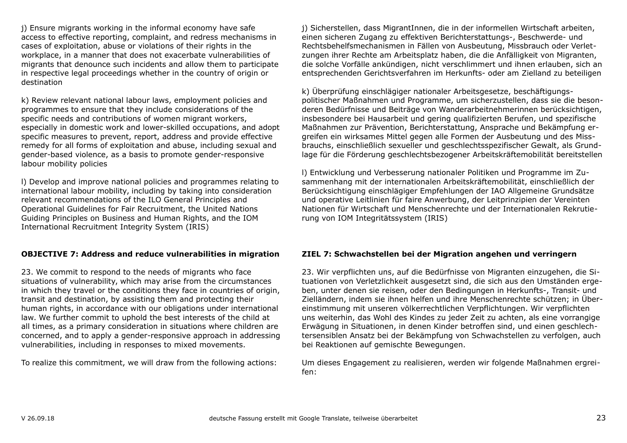j) Ensure migrants working in the informal economy have safe access to effective reporting, complaint, and redress mechanisms in cases of exploitation, abuse or violations of their rights in the workplace, in a manner that does not exacerbate vulnerabilities of migrants that denounce such incidents and allow them to participate in respective legal proceedings whether in the country of origin or destination

k) Review relevant national labour laws, employment policies and programmes to ensure that they include considerations of the specific needs and contributions of women migrant workers, especially in domestic work and lower-skilled occupations, and adopt specific measures to prevent, report, address and provide effective remedy for all forms of exploitation and abuse, including sexual and gender-based violence, as a basis to promote gender-responsive labour mobility policies

l) Develop and improve national policies and programmes relating to international labour mobility, including by taking into consideration relevant recommendations of the ILO General Principles and Operational Guidelines for Fair Recruitment, the United Nations Guiding Principles on Business and Human Rights, and the IOM International Recruitment Integrity System (IRIS)

#### **OBJECTIVE 7: Address and reduce vulnerabilities in migration**

23. We commit to respond to the needs of migrants who face situations of vulnerability, which may arise from the circumstances in which they travel or the conditions they face in countries of origin, transit and destination, by assisting them and protecting their human rights, in accordance with our obligations under international law. We further commit to uphold the best interests of the child at all times, as a primary consideration in situations where children are concerned, and to apply a gender-responsive approach in addressing vulnerabilities, including in responses to mixed movements.

To realize this commitment, we will draw from the following actions:

j) Sicherstellen, dass MigrantInnen, die in der informellen Wirtschaft arbeiten, einen sicheren Zugang zu effektiven Berichterstattungs-, Beschwerde- und Rechtsbehelfsmechanismen in Fällen von Ausbeutung, Missbrauch oder Verletzungen ihrer Rechte am Arbeitsplatz haben, die die Anfälligkeit von Migranten, die solche Vorfälle ankündigen, nicht verschlimmert und ihnen erlauben, sich an entsprechenden Gerichtsverfahren im Herkunfts- oder am Zielland zu beteiligen

k) Überprüfung einschlägiger nationaler Arbeitsgesetze, beschäftigungspolitischer Maßnahmen und Programme, um sicherzustellen, dass sie die besonderen Bedürfnisse und Beiträge von Wanderarbeitnehmerinnen berücksichtigen, insbesondere bei Hausarbeit und gering qualifizierten Berufen, und spezifische Maßnahmen zur Prävention, Berichterstattung, Ansprache und Bekämpfung ergreifen ein wirksames Mittel gegen alle Formen der Ausbeutung und des Missbrauchs, einschließlich sexueller und geschlechtsspezifischer Gewalt, als Grundlage für die Förderung geschlechtsbezogener Arbeitskräftemobilität bereitstellen

l) Entwicklung und Verbesserung nationaler Politiken und Programme im Zusammenhang mit der internationalen Arbeitskräftemobilität, einschließlich der Berücksichtigung einschlägiger Empfehlungen der IAO Allgemeine Grundsätze und operative Leitlinien für faire Anwerbung, der Leitprinzipien der Vereinten Nationen für Wirtschaft und Menschenrechte und der Internationalen Rekrutierung von IOM Integritätssystem (IRIS)

#### **ZIEL 7: Schwachstellen bei der Migration angehen und verringern**

23. Wir verpflichten uns, auf die Bedürfnisse von Migranten einzugehen, die Situationen von Verletzlichkeit ausgesetzt sind, die sich aus den Umständen ergeben, unter denen sie reisen, oder den Bedingungen in Herkunfts-, Transit- und Zielländern, indem sie ihnen helfen und ihre Menschenrechte schützen; in Übereinstimmung mit unseren völkerrechtlichen Verpflichtungen. Wir verpflichten uns weiterhin, das Wohl des Kindes zu jeder Zeit zu achten, als eine vorrangige Erwägung in Situationen, in denen Kinder betroffen sind, und einen geschlechtersensiblen Ansatz bei der Bekämpfung von Schwachstellen zu verfolgen, auch bei Reaktionen auf gemischte Bewegungen.

Um dieses Engagement zu realisieren, werden wir folgende Maßnahmen ergreifen: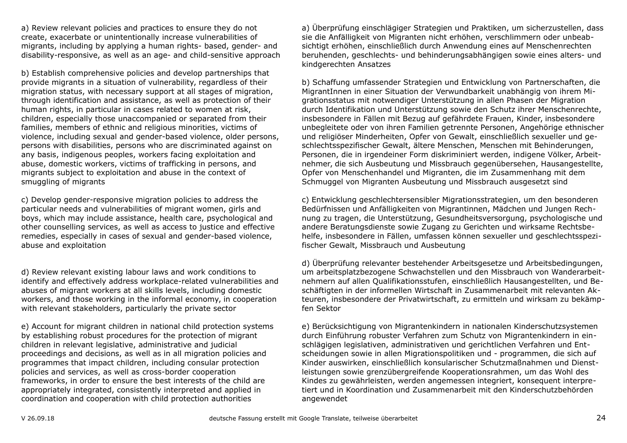a) Review relevant policies and practices to ensure they do not create, exacerbate or unintentionally increase vulnerabilities of migrants, including by applying a human rights- based, gender- and disability-responsive, as well as an age- and child-sensitive approach

b) Establish comprehensive policies and develop partnerships that provide migrants in a situation of vulnerability, regardless of their migration status, with necessary support at all stages of migration, through identification and assistance, as well as protection of their human rights, in particular in cases related to women at risk, children, especially those unaccompanied or separated from their families, members of ethnic and religious minorities, victims of violence, including sexual and gender-based violence, older persons, persons with disabilities, persons who are discriminated against on any basis, indigenous peoples, workers facing exploitation and abuse, domestic workers, victims of trafficking in persons, and migrants subject to exploitation and abuse in the context of smuggling of migrants

c) Develop gender-responsive migration policies to address the particular needs and vulnerabilities of migrant women, girls and boys, which may include assistance, health care, psychological and other counselling services, as well as access to justice and effective remedies, especially in cases of sexual and gender-based violence, abuse and exploitation

d) Review relevant existing labour laws and work conditions to identify and effectively address workplace-related vulnerabilities and abuses of migrant workers at all skills levels, including domestic workers, and those working in the informal economy, in cooperation with relevant stakeholders, particularly the private sector

e) Account for migrant children in national child protection systems by establishing robust procedures for the protection of migrant children in relevant legislative, administrative and judicial proceedings and decisions, as well as in all migration policies and programmes that impact children, including consular protection policies and services, as well as cross-border cooperation frameworks, in order to ensure the best interests of the child are appropriately integrated, consistently interpreted and applied in coordination and cooperation with child protection authorities

a) Überprüfung einschlägiger Strategien und Praktiken, um sicherzustellen, dass sie die Anfälligkeit von Migranten nicht erhöhen, verschlimmern oder unbeabsichtigt erhöhen, einschließlich durch Anwendung eines auf Menschenrechten beruhenden, geschlechts- und behinderungsabhängigen sowie eines alters- und kindgerechten Ansatzes

b) Schaffung umfassender Strategien und Entwicklung von Partnerschaften, die MigrantInnen in einer Situation der Verwundbarkeit unabhängig von ihrem Migrationsstatus mit notwendiger Unterstützung in allen Phasen der Migration durch Identifikation und Unterstützung sowie den Schutz ihrer Menschenrechte, insbesondere in Fällen mit Bezug auf gefährdete Frauen, Kinder, insbesondere unbegleitete oder von ihren Familien getrennte Personen, Angehörige ethnischer und religiöser Minderheiten, Opfer von Gewalt, einschließlich sexueller und geschlechtsspezifischer Gewalt, ältere Menschen, Menschen mit Behinderungen, Personen, die in irgendeiner Form diskriminiert werden, indigene Völker, Arbeitnehmer, die sich Ausbeutung und Missbrauch gegenübersehen, Hausangestellte, Opfer von Menschenhandel und Migranten, die im Zusammenhang mit dem Schmuggel von Migranten Ausbeutung und Missbrauch ausgesetzt sind

c) Entwicklung geschlechtersensibler Migrationsstrategien, um den besonderen Bedürfnissen und Anfälligkeiten von Migrantinnen, Mädchen und Jungen Rechnung zu tragen, die Unterstützung, Gesundheitsversorgung, psychologische und andere Beratungsdienste sowie Zugang zu Gerichten und wirksame Rechtsbehelfe, insbesondere in Fällen, umfassen können sexueller und geschlechtsspezifischer Gewalt, Missbrauch und Ausbeutung

d) Überprüfung relevanter bestehender Arbeitsgesetze und Arbeitsbedingungen, um arbeitsplatzbezogene Schwachstellen und den Missbrauch von Wanderarbeitnehmern auf allen Qualifikationsstufen, einschließlich Hausangestellten, und Beschäftigten in der informellen Wirtschaft in Zusammenarbeit mit relevanten Akteuren, insbesondere der Privatwirtschaft, zu ermitteln und wirksam zu bekämpfen Sektor

e) Berücksichtigung von Migrantenkindern in nationalen Kinderschutzsystemen durch Einführung robuster Verfahren zum Schutz von Migrantenkindern in einschlägigen legislativen, administrativen und gerichtlichen Verfahren und Entscheidungen sowie in allen Migrationspolitiken und - programmen, die sich auf Kinder auswirken, einschließlich konsularischer Schutzmaßnahmen und Dienstleistungen sowie grenzübergreifende Kooperationsrahmen, um das Wohl des Kindes zu gewährleisten, werden angemessen integriert, konsequent interpretiert und in Koordination und Zusammenarbeit mit den Kinderschutzbehörden angewendet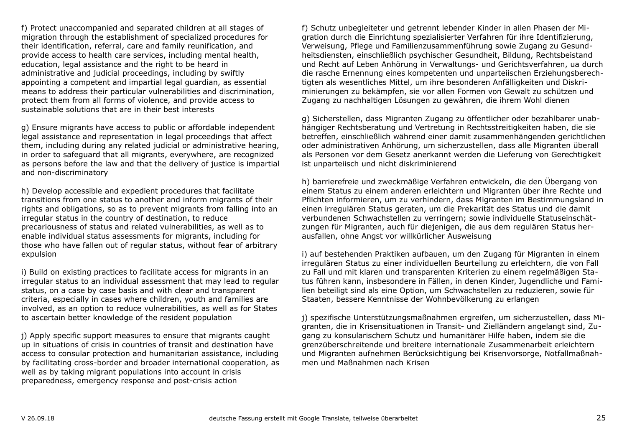f) Protect unaccompanied and separated children at all stages of migration through the establishment of specialized procedures for their identification, referral, care and family reunification, and provide access to health care services, including mental health, education, legal assistance and the right to be heard in administrative and judicial proceedings, including by swiftly appointing a competent and impartial legal guardian, as essential means to address their particular vulnerabilities and discrimination, protect them from all forms of violence, and provide access to sustainable solutions that are in their best interests

g) Ensure migrants have access to public or affordable independent legal assistance and representation in legal proceedings that affect them, including during any related judicial or administrative hearing, in order to safeguard that all migrants, everywhere, are recognized as persons before the law and that the delivery of justice is impartial and non-discriminatory

h) Develop accessible and expedient procedures that facilitate transitions from one status to another and inform migrants of their rights and obligations, so as to prevent migrants from falling into an irregular status in the country of destination, to reduce precariousness of status and related vulnerabilities, as well as to enable individual status assessments for migrants, including for those who have fallen out of regular status, without fear of arbitrary expulsion

i) Build on existing practices to facilitate access for migrants in an irregular status to an individual assessment that may lead to regular status, on a case by case basis and with clear and transparent criteria, especially in cases where children, youth and families are involved, as an option to reduce vulnerabilities, as well as for States to ascertain better knowledge of the resident population

j) Apply specific support measures to ensure that migrants caught up in situations of crisis in countries of transit and destination have access to consular protection and humanitarian assistance, including by facilitating cross-border and broader international cooperation, as well as by taking migrant populations into account in crisis preparedness, emergency response and post-crisis action

f) Schutz unbegleiteter und getrennt lebender Kinder in allen Phasen der Migration durch die Einrichtung spezialisierter Verfahren für ihre Identifizierung, Verweisung, Pflege und Familienzusammenführung sowie Zugang zu Gesundheitsdiensten, einschließlich psychischer Gesundheit, Bildung, Rechtsbeistand und Recht auf Leben Anhörung in Verwaltungs- und Gerichtsverfahren, ua durch die rasche Ernennung eines kompetenten und unparteiischen Erziehungsberechtigten als wesentliches Mittel, um ihre besonderen Anfälligkeiten und Diskriminierungen zu bekämpfen, sie vor allen Formen von Gewalt zu schützen und Zugang zu nachhaltigen Lösungen zu gewähren, die ihrem Wohl dienen

g) Sicherstellen, dass Migranten Zugang zu öffentlicher oder bezahlbarer unabhängiger Rechtsberatung und Vertretung in Rechtsstreitigkeiten haben, die sie betreffen, einschließlich während einer damit zusammenhängenden gerichtlichen oder administrativen Anhörung, um sicherzustellen, dass alle Migranten überall als Personen vor dem Gesetz anerkannt werden die Lieferung von Gerechtigkeit ist unparteiisch und nicht diskriminierend

h) barrierefreie und zweckmäßige Verfahren entwickeln, die den Übergang von einem Status zu einem anderen erleichtern und Migranten über ihre Rechte und Pflichten informieren, um zu verhindern, dass Migranten im Bestimmungsland in einen irregulären Status geraten, um die Prekarität des Status und die damit verbundenen Schwachstellen zu verringern; sowie individuelle Statuseinschätzungen für Migranten, auch für diejenigen, die aus dem regulären Status herausfallen, ohne Angst vor willkürlicher Ausweisung

i) auf bestehenden Praktiken aufbauen, um den Zugang für Migranten in einem irregulären Status zu einer individuellen Beurteilung zu erleichtern, die von Fall zu Fall und mit klaren und transparenten Kriterien zu einem regelmäßigen Status führen kann, insbesondere in Fällen, in denen Kinder, Jugendliche und Familien beteiligt sind als eine Option, um Schwachstellen zu reduzieren, sowie für Staaten, bessere Kenntnisse der Wohnbevölkerung zu erlangen

j) spezifische Unterstützungsmaßnahmen ergreifen, um sicherzustellen, dass Migranten, die in Krisensituationen in Transit- und Zielländern angelangt sind, Zugang zu konsularischem Schutz und humanitärer Hilfe haben, indem sie die grenzüberschreitende und breitere internationale Zusammenarbeit erleichtern und Migranten aufnehmen Berücksichtigung bei Krisenvorsorge, Notfallmaßnahmen und Maßnahmen nach Krisen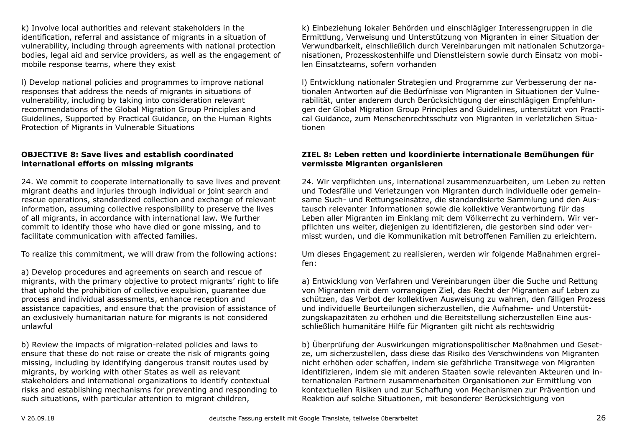k) Involve local authorities and relevant stakeholders in the identification, referral and assistance of migrants in a situation of vulnerability, including through agreements with national protection bodies, legal aid and service providers, as well as the engagement of mobile response teams, where they exist

l) Develop national policies and programmes to improve national responses that address the needs of migrants in situations of vulnerability, including by taking into consideration relevant recommendations of the Global Migration Group Principles and Guidelines, Supported by Practical Guidance, on the Human Rights Protection of Migrants in Vulnerable Situations

#### **OBJECTIVE 8: Save lives and establish coordinated international efforts on missing migrants**

24. We commit to cooperate internationally to save lives and prevent migrant deaths and injuries through individual or joint search and rescue operations, standardized collection and exchange of relevant information, assuming collective responsibility to preserve the lives of all migrants, in accordance with international law. We further commit to identify those who have died or gone missing, and to facilitate communication with affected families.

To realize this commitment, we will draw from the following actions:

a) Develop procedures and agreements on search and rescue of migrants, with the primary objective to protect migrants' right to life that uphold the prohibition of collective expulsion, guarantee due process and individual assessments, enhance reception and assistance capacities, and ensure that the provision of assistance of an exclusively humanitarian nature for migrants is not considered unlawful

b) Review the impacts of migration-related policies and laws to ensure that these do not raise or create the risk of migrants going missing, including by identifying dangerous transit routes used by migrants, by working with other States as well as relevant stakeholders and international organizations to identify contextual risks and establishing mechanisms for preventing and responding to such situations, with particular attention to migrant children,

k) Einbeziehung lokaler Behörden und einschlägiger Interessengruppen in die Ermittlung, Verweisung und Unterstützung von Migranten in einer Situation der Verwundbarkeit, einschließlich durch Vereinbarungen mit nationalen Schutzorganisationen, Prozesskostenhilfe und Dienstleistern sowie durch Einsatz von mobilen Einsatzteams, sofern vorhanden

l) Entwicklung nationaler Strategien und Programme zur Verbesserung der nationalen Antworten auf die Bedürfnisse von Migranten in Situationen der Vulnerabilität, unter anderem durch Berücksichtigung der einschlägigen Empfehlungen der Global Migration Group Principles and Guidelines, unterstützt von Practical Guidance, zum Menschenrechtsschutz von Migranten in verletzlichen Situationen

### **ZIEL 8: Leben retten und koordinierte internationale Bemühungen für vermisste Migranten organisieren**

24. Wir verpflichten uns, international zusammenzuarbeiten, um Leben zu retten und Todesfälle und Verletzungen von Migranten durch individuelle oder gemeinsame Such- und Rettungseinsätze, die standardisierte Sammlung und den Austausch relevanter Informationen sowie die kollektive Verantwortung für das Leben aller Migranten im Einklang mit dem Völkerrecht zu verhindern. Wir verpflichten uns weiter, diejenigen zu identifizieren, die gestorben sind oder vermisst wurden, und die Kommunikation mit betroffenen Familien zu erleichtern.

Um dieses Engagement zu realisieren, werden wir folgende Maßnahmen ergreifen:

a) Entwicklung von Verfahren und Vereinbarungen über die Suche und Rettung von Migranten mit dem vorrangigen Ziel, das Recht der Migranten auf Leben zu schützen, das Verbot der kollektiven Ausweisung zu wahren, den fälligen Prozess und individuelle Beurteilungen sicherzustellen, die Aufnahme- und Unterstützungskapazitäten zu erhöhen und die Bereitstellung sicherzustellen Eine ausschließlich humanitäre Hilfe für Migranten gilt nicht als rechtswidrig

b) Überprüfung der Auswirkungen migrationspolitischer Maßnahmen und Gesetze, um sicherzustellen, dass diese das Risiko des Verschwindens von Migranten nicht erhöhen oder schaffen, indem sie gefährliche Transitwege von Migranten identifizieren, indem sie mit anderen Staaten sowie relevanten Akteuren und internationalen Partnern zusammenarbeiten Organisationen zur Ermittlung von kontextuellen Risiken und zur Schaffung von Mechanismen zur Prävention und Reaktion auf solche Situationen, mit besonderer Berücksichtigung von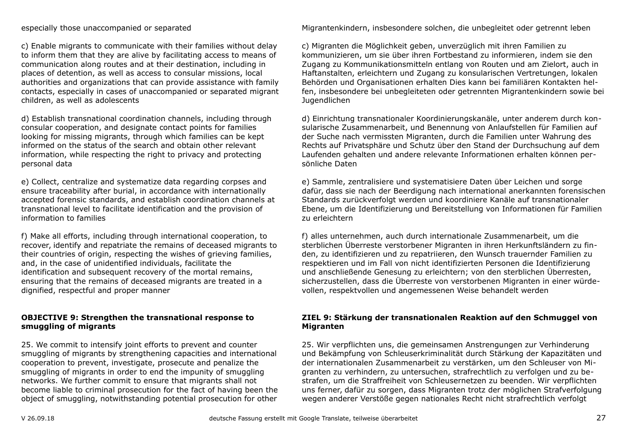### especially those unaccompanied or separated

c) Enable migrants to communicate with their families without delay to inform them that they are alive by facilitating access to means of communication along routes and at their destination, including in places of detention, as well as access to consular missions, local authorities and organizations that can provide assistance with family contacts, especially in cases of unaccompanied or separated migrant children, as well as adolescents

d) Establish transnational coordination channels, including through consular cooperation, and designate contact points for families looking for missing migrants, through which families can be kept informed on the status of the search and obtain other relevant information, while respecting the right to privacy and protecting personal data

e) Collect, centralize and systematize data regarding corpses and ensure traceability after burial, in accordance with internationally accepted forensic standards, and establish coordination channels at transnational level to facilitate identification and the provision of information to families

f) Make all efforts, including through international cooperation, to recover, identify and repatriate the remains of deceased migrants to their countries of origin, respecting the wishes of grieving families, and, in the case of unidentified individuals, facilitate the identification and subsequent recovery of the mortal remains, ensuring that the remains of deceased migrants are treated in a dignified, respectful and proper manner

### **OBJECTIVE 9: Strengthen the transnational response to smuggling of migrants**

25. We commit to intensify joint efforts to prevent and counter smuggling of migrants by strengthening capacities and international cooperation to prevent, investigate, prosecute and penalize the smuggling of migrants in order to end the impunity of smuggling networks. We further commit to ensure that migrants shall not become liable to criminal prosecution for the fact of having been the object of smuggling, notwithstanding potential prosecution for other

Migrantenkindern, insbesondere solchen, die unbegleitet oder getrennt leben

c) Migranten die Möglichkeit geben, unverzüglich mit ihren Familien zu kommunizieren, um sie über ihren Fortbestand zu informieren, indem sie den Zugang zu Kommunikationsmitteln entlang von Routen und am Zielort, auch in Haftanstalten, erleichtern und Zugang zu konsularischen Vertretungen, lokalen Behörden und Organisationen erhalten Dies kann bei familiären Kontakten helfen, insbesondere bei unbegleiteten oder getrennten Migrantenkindern sowie bei Jugendlichen

d) Einrichtung transnationaler Koordinierungskanäle, unter anderem durch konsularische Zusammenarbeit, und Benennung von Anlaufstellen für Familien auf der Suche nach vermissten Migranten, durch die Familien unter Wahrung des Rechts auf Privatsphäre und Schutz über den Stand der Durchsuchung auf dem Laufenden gehalten und andere relevante Informationen erhalten können persönliche Daten

e) Sammle, zentralisiere und systematisiere Daten über Leichen und sorge dafür, dass sie nach der Beerdigung nach international anerkannten forensischen Standards zurückverfolgt werden und koordiniere Kanäle auf transnationaler Ebene, um die Identifizierung und Bereitstellung von Informationen für Familien zu erleichtern

f) alles unternehmen, auch durch internationale Zusammenarbeit, um die sterblichen Überreste verstorbener Migranten in ihren Herkunftsländern zu finden, zu identifizieren und zu repatriieren, den Wunsch trauernder Familien zu respektieren und im Fall von nicht identifizierten Personen die Identifizierung und anschließende Genesung zu erleichtern; von den sterblichen Überresten, sicherzustellen, dass die Überreste von verstorbenen Migranten in einer würdevollen, respektvollen und angemessenen Weise behandelt werden

### **ZIEL 9: Stärkung der transnationalen Reaktion auf den Schmuggel von Migranten**

25. Wir verpflichten uns, die gemeinsamen Anstrengungen zur Verhinderung und Bekämpfung von Schleuserkriminalität durch Stärkung der Kapazitäten und der internationalen Zusammenarbeit zu verstärken, um den Schleuser von Migranten zu verhindern, zu untersuchen, strafrechtlich zu verfolgen und zu bestrafen, um die Straffreiheit von Schleusernetzen zu beenden. Wir verpflichten uns ferner, dafür zu sorgen, dass Migranten trotz der möglichen Strafverfolgung wegen anderer Verstöße gegen nationales Recht nicht strafrechtlich verfolgt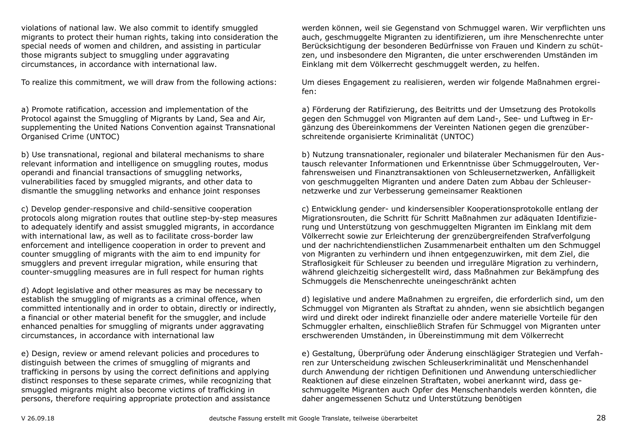violations of national law. We also commit to identify smuggled migrants to protect their human rights, taking into consideration the special needs of women and children, and assisting in particular those migrants subject to smuggling under aggravating circumstances, in accordance with international law.

To realize this commitment, we will draw from the following actions:

a) Promote ratification, accession and implementation of the Protocol against the Smuggling of Migrants by Land, Sea and Air, supplementing the United Nations Convention against Transnational Organised Crime (UNTOC)

b) Use transnational, regional and bilateral mechanisms to share relevant information and intelligence on smuggling routes, modus operandi and financial transactions of smuggling networks, vulnerabilities faced by smuggled migrants, and other data to dismantle the smuggling networks and enhance joint responses

c) Develop gender-responsive and child-sensitive cooperation protocols along migration routes that outline step-by-step measures to adequately identify and assist smuggled migrants, in accordance with international law, as well as to facilitate cross-border law enforcement and intelligence cooperation in order to prevent and counter smuggling of migrants with the aim to end impunity for smugglers and prevent irregular migration, while ensuring that counter-smuggling measures are in full respect for human rights

d) Adopt legislative and other measures as may be necessary to establish the smuggling of migrants as a criminal offence, when committed intentionally and in order to obtain, directly or indirectly, a financial or other material benefit for the smuggler, and include enhanced penalties for smuggling of migrants under aggravating circumstances, in accordance with international law

e) Design, review or amend relevant policies and procedures to distinguish between the crimes of smuggling of migrants and trafficking in persons by using the correct definitions and applying distinct responses to these separate crimes, while recognizing that smuggled migrants might also become victims of trafficking in persons, therefore requiring appropriate protection and assistance

werden können, weil sie Gegenstand von Schmuggel waren. Wir verpflichten uns auch, geschmuggelte Migranten zu identifizieren, um ihre Menschenrechte unter Berücksichtigung der besonderen Bedürfnisse von Frauen und Kindern zu schützen, und insbesondere den Migranten, die unter erschwerenden Umständen im Einklang mit dem Völkerrecht geschmuggelt werden, zu helfen.

Um dieses Engagement zu realisieren, werden wir folgende Maßnahmen ergreifen:

a) Förderung der Ratifizierung, des Beitritts und der Umsetzung des Protokolls gegen den Schmuggel von Migranten auf dem Land-, See- und Luftweg in Ergänzung des Übereinkommens der Vereinten Nationen gegen die grenzüberschreitende organisierte Kriminalität (UNTOC)

b) Nutzung transnationaler, regionaler und bilateraler Mechanismen für den Austausch relevanter Informationen und Erkenntnisse über Schmuggelrouten, Verfahrensweisen und Finanztransaktionen von Schleusernetzwerken, Anfälligkeit von geschmuggelten Migranten und andere Daten zum Abbau der Schleusernetzwerke und zur Verbesserung gemeinsamer Reaktionen

c) Entwicklung gender- und kindersensibler Kooperationsprotokolle entlang der Migrationsrouten, die Schritt für Schritt Maßnahmen zur adäquaten Identifizierung und Unterstützung von geschmuggelten Migranten im Einklang mit dem Völkerrecht sowie zur Erleichterung der grenzübergreifenden Strafverfolgung und der nachrichtendienstlichen Zusammenarbeit enthalten um den Schmuggel von Migranten zu verhindern und ihnen entgegenzuwirken, mit dem Ziel, die Straflosigkeit für Schleuser zu beenden und irreguläre Migration zu verhindern, während gleichzeitig sichergestellt wird, dass Maßnahmen zur Bekämpfung des Schmuggels die Menschenrechte uneingeschränkt achten

d) legislative und andere Maßnahmen zu ergreifen, die erforderlich sind, um den Schmuggel von Migranten als Straftat zu ahnden, wenn sie absichtlich begangen wird und direkt oder indirekt finanzielle oder andere materielle Vorteile für den Schmuggler erhalten, einschließlich Strafen für Schmuggel von Migranten unter erschwerenden Umständen, in Übereinstimmung mit dem Völkerrecht

e) Gestaltung, Überprüfung oder Änderung einschlägiger Strategien und Verfahren zur Unterscheidung zwischen Schleuserkriminalität und Menschenhandel durch Anwendung der richtigen Definitionen und Anwendung unterschiedlicher Reaktionen auf diese einzelnen Straftaten, wobei anerkannt wird, dass geschmuggelte Migranten auch Opfer des Menschenhandels werden könnten, die daher angemessenen Schutz und Unterstützung benötigen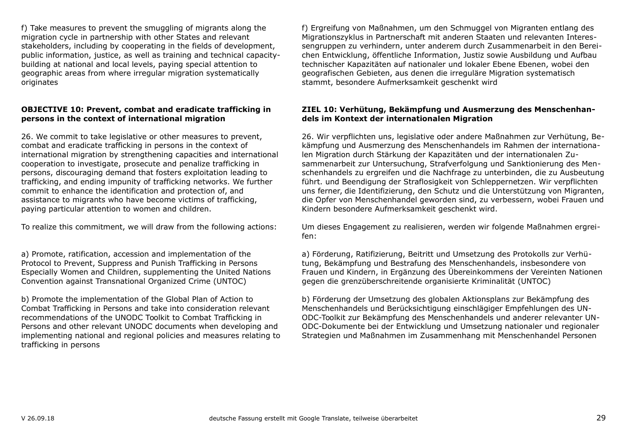f) Take measures to prevent the smuggling of migrants along the migration cycle in partnership with other States and relevant stakeholders, including by cooperating in the fields of development, public information, justice, as well as training and technical capacitybuilding at national and local levels, paying special attention to geographic areas from where irregular migration systematically originates

### **OBJECTIVE 10: Prevent, combat and eradicate trafficking in persons in the context of international migration**

26. We commit to take legislative or other measures to prevent, combat and eradicate trafficking in persons in the context of international migration by strengthening capacities and international cooperation to investigate, prosecute and penalize trafficking in persons, discouraging demand that fosters exploitation leading to trafficking, and ending impunity of trafficking networks. We further commit to enhance the identification and protection of, and assistance to migrants who have become victims of trafficking, paying particular attention to women and children.

To realize this commitment, we will draw from the following actions:

a) Promote, ratification, accession and implementation of the Protocol to Prevent, Suppress and Punish Trafficking in Persons Especially Women and Children, supplementing the United Nations Convention against Transnational Organized Crime (UNTOC)

b) Promote the implementation of the Global Plan of Action to Combat Trafficking in Persons and take into consideration relevant recommendations of the UNODC Toolkit to Combat Trafficking in Persons and other relevant UNODC documents when developing and implementing national and regional policies and measures relating to trafficking in persons

f) Ergreifung von Maßnahmen, um den Schmuggel von Migranten entlang des Migrationszyklus in Partnerschaft mit anderen Staaten und relevanten Interessengruppen zu verhindern, unter anderem durch Zusammenarbeit in den Bereichen Entwicklung, öffentliche Information, Justiz sowie Ausbildung und Aufbau technischer Kapazitäten auf nationaler und lokaler Ebene Ebenen, wobei den geografischen Gebieten, aus denen die irreguläre Migration systematisch stammt, besondere Aufmerksamkeit geschenkt wird

### **ZIEL 10: Verhütung, Bekämpfung und Ausmerzung des Menschenhandels im Kontext der internationalen Migration**

26. Wir verpflichten uns, legislative oder andere Maßnahmen zur Verhütung, Bekämpfung und Ausmerzung des Menschenhandels im Rahmen der internationalen Migration durch Stärkung der Kapazitäten und der internationalen Zusammenarbeit zur Untersuchung, Strafverfolgung und Sanktionierung des Menschenhandels zu ergreifen und die Nachfrage zu unterbinden, die zu Ausbeutung führt. und Beendigung der Straflosigkeit von Schleppernetzen. Wir verpflichten uns ferner, die Identifizierung, den Schutz und die Unterstützung von Migranten, die Opfer von Menschenhandel geworden sind, zu verbessern, wobei Frauen und Kindern besondere Aufmerksamkeit geschenkt wird.

Um dieses Engagement zu realisieren, werden wir folgende Maßnahmen ergreifen:

a) Förderung, Ratifizierung, Beitritt und Umsetzung des Protokolls zur Verhütung, Bekämpfung und Bestrafung des Menschenhandels, insbesondere von Frauen und Kindern, in Ergänzung des Übereinkommens der Vereinten Nationen gegen die grenzüberschreitende organisierte Kriminalität (UNTOC)

b) Förderung der Umsetzung des globalen Aktionsplans zur Bekämpfung des Menschenhandels und Berücksichtigung einschlägiger Empfehlungen des UN-ODC-Toolkit zur Bekämpfung des Menschenhandels und anderer relevanter UN-ODC-Dokumente bei der Entwicklung und Umsetzung nationaler und regionaler Strategien und Maßnahmen im Zusammenhang mit Menschenhandel Personen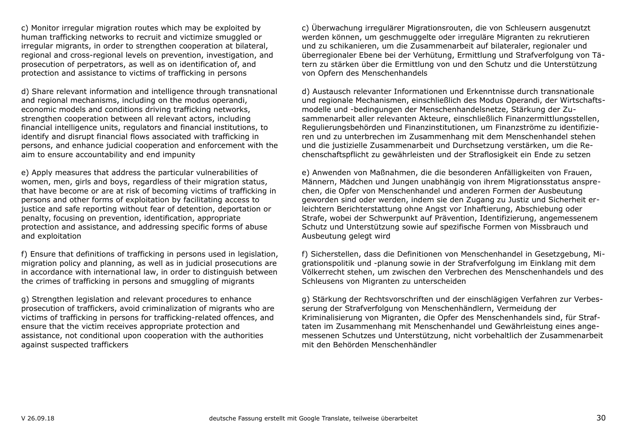c) Monitor irregular migration routes which may be exploited by human trafficking networks to recruit and victimize smuggled or irregular migrants, in order to strengthen cooperation at bilateral, regional and cross-regional levels on prevention, investigation, and prosecution of perpetrators, as well as on identification of, and protection and assistance to victims of trafficking in persons

d) Share relevant information and intelligence through transnational and regional mechanisms, including on the modus operandi, economic models and conditions driving trafficking networks, strengthen cooperation between all relevant actors, including financial intelligence units, regulators and financial institutions, to identify and disrupt financial flows associated with trafficking in persons, and enhance judicial cooperation and enforcement with the aim to ensure accountability and end impunity

e) Apply measures that address the particular vulnerabilities of women, men, girls and boys, regardless of their migration status, that have become or are at risk of becoming victims of trafficking in persons and other forms of exploitation by facilitating access to justice and safe reporting without fear of detention, deportation or penalty, focusing on prevention, identification, appropriate protection and assistance, and addressing specific forms of abuse and exploitation

f) Ensure that definitions of trafficking in persons used in legislation, migration policy and planning, as well as in judicial prosecutions are in accordance with international law, in order to distinguish between the crimes of trafficking in persons and smuggling of migrants

g) Strengthen legislation and relevant procedures to enhance prosecution of traffickers, avoid criminalization of migrants who are victims of trafficking in persons for trafficking-related offences, and ensure that the victim receives appropriate protection and assistance, not conditional upon cooperation with the authorities against suspected traffickers

c) Überwachung irregulärer Migrationsrouten, die von Schleusern ausgenutzt werden können, um geschmuggelte oder irreguläre Migranten zu rekrutieren und zu schikanieren, um die Zusammenarbeit auf bilateraler, regionaler und überregionaler Ebene bei der Verhütung, Ermittlung und Strafverfolgung von Tätern zu stärken über die Ermittlung von und den Schutz und die Unterstützung von Opfern des Menschenhandels

d) Austausch relevanter Informationen und Erkenntnisse durch transnationale und regionale Mechanismen, einschließlich des Modus Operandi, der Wirtschaftsmodelle und -bedingungen der Menschenhandelsnetze, Stärkung der Zusammenarbeit aller relevanten Akteure, einschließlich Finanzermittlungsstellen, Regulierungsbehörden und Finanzinstitutionen, um Finanzströme zu identifizieren und zu unterbrechen im Zusammenhang mit dem Menschenhandel stehen und die justizielle Zusammenarbeit und Durchsetzung verstärken, um die Rechenschaftspflicht zu gewährleisten und der Straflosigkeit ein Ende zu setzen

e) Anwenden von Maßnahmen, die die besonderen Anfälligkeiten von Frauen, Männern, Mädchen und Jungen unabhängig von ihrem Migrationsstatus ansprechen, die Opfer von Menschenhandel und anderen Formen der Ausbeutung geworden sind oder werden, indem sie den Zugang zu Justiz und Sicherheit erleichtern Berichterstattung ohne Angst vor Inhaftierung, Abschiebung oder Strafe, wobei der Schwerpunkt auf Prävention, Identifizierung, angemessenem Schutz und Unterstützung sowie auf spezifische Formen von Missbrauch und Ausbeutung gelegt wird

f) Sicherstellen, dass die Definitionen von Menschenhandel in Gesetzgebung, Migrationspolitik und -planung sowie in der Strafverfolgung im Einklang mit dem Völkerrecht stehen, um zwischen den Verbrechen des Menschenhandels und des Schleusens von Migranten zu unterscheiden

g) Stärkung der Rechtsvorschriften und der einschlägigen Verfahren zur Verbesserung der Strafverfolgung von Menschenhändlern, Vermeidung der Kriminalisierung von Migranten, die Opfer des Menschenhandels sind, für Straftaten im Zusammenhang mit Menschenhandel und Gewährleistung eines angemessenen Schutzes und Unterstützung, nicht vorbehaltlich der Zusammenarbeit mit den Behörden Menschenhändler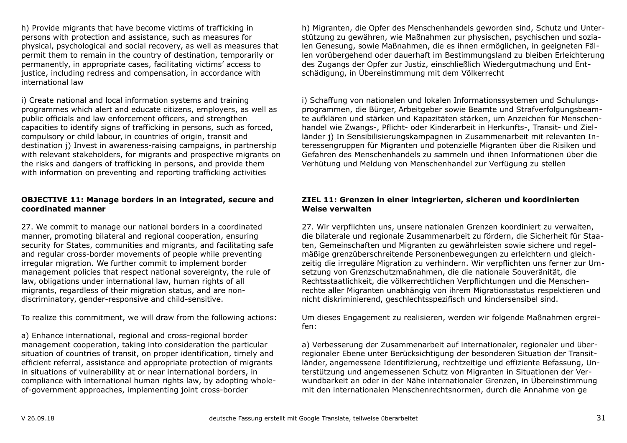h) Provide migrants that have become victims of trafficking in persons with protection and assistance, such as measures for physical, psychological and social recovery, as well as measures that permit them to remain in the country of destination, temporarily or permanently, in appropriate cases, facilitating victims' access to justice, including redress and compensation, in accordance with international law

i) Create national and local information systems and training programmes which alert and educate citizens, employers, as well as public officials and law enforcement officers, and strengthen capacities to identify signs of trafficking in persons, such as forced, compulsory or child labour, in countries of origin, transit and destination j) Invest in awareness-raising campaigns, in partnership with relevant stakeholders, for migrants and prospective migrants on the risks and dangers of trafficking in persons, and provide them with information on preventing and reporting trafficking activities

#### **OBJECTIVE 11: Manage borders in an integrated, secure and coordinated manner**

27. We commit to manage our national borders in a coordinated manner, promoting bilateral and regional cooperation, ensuring security for States, communities and migrants, and facilitating safe and regular cross-border movements of people while preventing irregular migration. We further commit to implement border management policies that respect national sovereignty, the rule of law, obligations under international law, human rights of all migrants, regardless of their migration status, and are nondiscriminatory, gender-responsive and child-sensitive.

To realize this commitment, we will draw from the following actions:

a) Enhance international, regional and cross-regional border management cooperation, taking into consideration the particular situation of countries of transit, on proper identification, timely and efficient referral, assistance and appropriate protection of migrants in situations of vulnerability at or near international borders, in compliance with international human rights law, by adopting wholeof-government approaches, implementing joint cross-border

h) Migranten, die Opfer des Menschenhandels geworden sind, Schutz und Unterstützung zu gewähren, wie Maßnahmen zur physischen, psychischen und sozialen Genesung, sowie Maßnahmen, die es ihnen ermöglichen, in geeigneten Fällen vorübergehend oder dauerhaft im Bestimmungsland zu bleiben Erleichterung des Zugangs der Opfer zur Justiz, einschließlich Wiedergutmachung und Entschädigung, in Übereinstimmung mit dem Völkerrecht

i) Schaffung von nationalen und lokalen Informationssystemen und Schulungsprogrammen, die Bürger, Arbeitgeber sowie Beamte und Strafverfolgungsbeamte aufklären und stärken und Kapazitäten stärken, um Anzeichen für Menschenhandel wie Zwangs-, Pflicht- oder Kinderarbeit in Herkunfts-, Transit- und Zielländer j) In Sensibilisierungskampagnen in Zusammenarbeit mit relevanten Interessengruppen für Migranten und potenzielle Migranten über die Risiken und Gefahren des Menschenhandels zu sammeln und ihnen Informationen über die Verhütung und Meldung von Menschenhandel zur Verfügung zu stellen

### **ZIEL 11: Grenzen in einer integrierten, sicheren und koordinierten Weise verwalten**

27. Wir verpflichten uns, unsere nationalen Grenzen koordiniert zu verwalten, die bilaterale und regionale Zusammenarbeit zu fördern, die Sicherheit für Staaten, Gemeinschaften und Migranten zu gewährleisten sowie sichere und regelmäßige grenzüberschreitende Personenbewegungen zu erleichtern und gleichzeitig die irreguläre Migration zu verhindern. Wir verpflichten uns ferner zur Umsetzung von Grenzschutzmaßnahmen, die die nationale Souveränität, die Rechtsstaatlichkeit, die völkerrechtlichen Verpflichtungen und die Menschenrechte aller Migranten unabhängig von ihrem Migrationsstatus respektieren und nicht diskriminierend, geschlechtsspezifisch und kindersensibel sind.

Um dieses Engagement zu realisieren, werden wir folgende Maßnahmen ergreifen:

a) Verbesserung der Zusammenarbeit auf internationaler, regionaler und überregionaler Ebene unter Berücksichtigung der besonderen Situation der Transitländer, angemessene Identifizierung, rechtzeitige und effiziente Befassung, Unterstützung und angemessenen Schutz von Migranten in Situationen der Verwundbarkeit an oder in der Nähe internationaler Grenzen, in Übereinstimmung mit den internationalen Menschenrechtsnormen, durch die Annahme von ge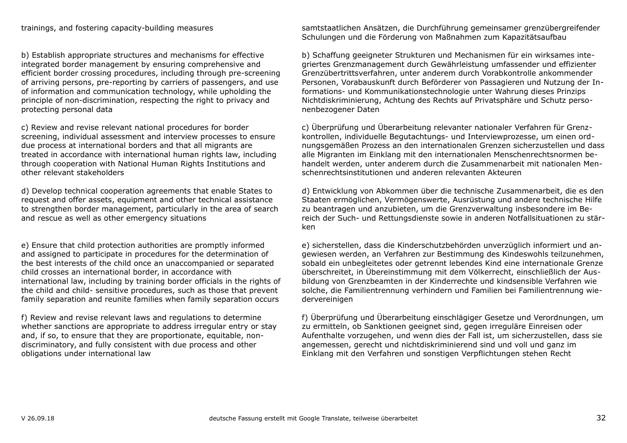b) Establish appropriate structures and mechanisms for effective integrated border management by ensuring comprehensive and efficient border crossing procedures, including through pre-screening of arriving persons, pre-reporting by carriers of passengers, and use of information and communication technology, while upholding the principle of non-discrimination, respecting the right to privacy and protecting personal data

c) Review and revise relevant national procedures for border screening, individual assessment and interview processes to ensure due process at international borders and that all migrants are treated in accordance with international human rights law, including through cooperation with National Human Rights Institutions and other relevant stakeholders

d) Develop technical cooperation agreements that enable States to request and offer assets, equipment and other technical assistance to strengthen border management, particularly in the area of search and rescue as well as other emergency situations

e) Ensure that child protection authorities are promptly informed and assigned to participate in procedures for the determination of the best interests of the child once an unaccompanied or separated child crosses an international border, in accordance with international law, including by training border officials in the rights of the child and child- sensitive procedures, such as those that prevent family separation and reunite families when family separation occurs

f) Review and revise relevant laws and regulations to determine whether sanctions are appropriate to address irregular entry or stay and, if so, to ensure that they are proportionate, equitable, nondiscriminatory, and fully consistent with due process and other obligations under international law

samtstaatlichen Ansätzen, die Durchführung gemeinsamer grenzübergreifender Schulungen und die Förderung von Maßnahmen zum Kapazitätsaufbau

b) Schaffung geeigneter Strukturen und Mechanismen für ein wirksames integriertes Grenzmanagement durch Gewährleistung umfassender und effizienter Grenzübertrittsverfahren, unter anderem durch Vorabkontrolle ankommender Personen, Vorabauskunft durch Beförderer von Passagieren und Nutzung der Informations- und Kommunikationstechnologie unter Wahrung dieses Prinzips Nichtdiskriminierung, Achtung des Rechts auf Privatsphäre und Schutz personenbezogener Daten

c) Überprüfung und Überarbeitung relevanter nationaler Verfahren für Grenzkontrollen, individuelle Begutachtungs- und Interviewprozesse, um einen ordnungsgemäßen Prozess an den internationalen Grenzen sicherzustellen und dass alle Migranten im Einklang mit den internationalen Menschenrechtsnormen behandelt werden, unter anderem durch die Zusammenarbeit mit nationalen Menschenrechtsinstitutionen und anderen relevanten Akteuren

d) Entwicklung von Abkommen über die technische Zusammenarbeit, die es den Staaten ermöglichen, Vermögenswerte, Ausrüstung und andere technische Hilfe zu beantragen und anzubieten, um die Grenzverwaltung insbesondere im Bereich der Such- und Rettungsdienste sowie in anderen Notfallsituationen zu stärken

e) sicherstellen, dass die Kinderschutzbehörden unverzüglich informiert und angewiesen werden, an Verfahren zur Bestimmung des Kindeswohls teilzunehmen, sobald ein unbegleitetes oder getrennt lebendes Kind eine internationale Grenze überschreitet, in Übereinstimmung mit dem Völkerrecht, einschließlich der Ausbildung von Grenzbeamten in der Kinderrechte und kindsensible Verfahren wie solche, die Familientrennung verhindern und Familien bei Familientrennung wiedervereinigen

f) Überprüfung und Überarbeitung einschlägiger Gesetze und Verordnungen, um zu ermitteln, ob Sanktionen geeignet sind, gegen irreguläre Einreisen oder Aufenthalte vorzugehen, und wenn dies der Fall ist, um sicherzustellen, dass sie angemessen, gerecht und nichtdiskriminierend sind und voll und ganz im Einklang mit den Verfahren und sonstigen Verpflichtungen stehen Recht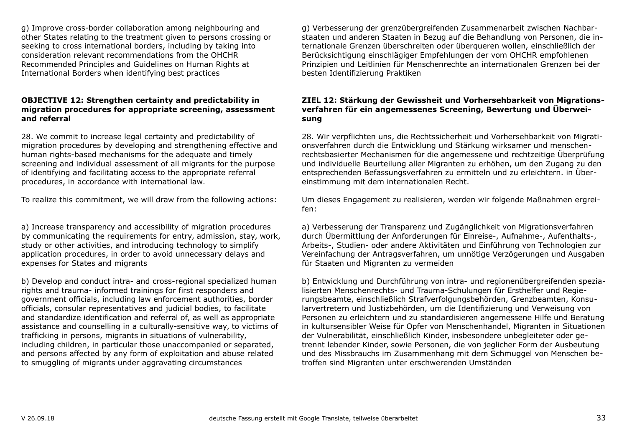g) Improve cross-border collaboration among neighbouring and other States relating to the treatment given to persons crossing or seeking to cross international borders, including by taking into consideration relevant recommendations from the OHCHR Recommended Principles and Guidelines on Human Rights at International Borders when identifying best practices

#### **OBJECTIVE 12: Strengthen certainty and predictability in migration procedures for appropriate screening, assessment and referral**

28. We commit to increase legal certainty and predictability of migration procedures by developing and strengthening effective and human rights-based mechanisms for the adequate and timely screening and individual assessment of all migrants for the purpose of identifying and facilitating access to the appropriate referral procedures, in accordance with international law.

To realize this commitment, we will draw from the following actions:

a) Increase transparency and accessibility of migration procedures by communicating the requirements for entry, admission, stay, work, study or other activities, and introducing technology to simplify application procedures, in order to avoid unnecessary delays and expenses for States and migrants

b) Develop and conduct intra- and cross-regional specialized human rights and trauma- informed trainings for first responders and government officials, including law enforcement authorities, border officials, consular representatives and judicial bodies, to facilitate and standardize identification and referral of, as well as appropriate assistance and counselling in a culturally-sensitive way, to victims of trafficking in persons, migrants in situations of vulnerability, including children, in particular those unaccompanied or separated, and persons affected by any form of exploitation and abuse related to smuggling of migrants under aggravating circumstances

g) Verbesserung der grenzübergreifenden Zusammenarbeit zwischen Nachbarstaaten und anderen Staaten in Bezug auf die Behandlung von Personen, die internationale Grenzen überschreiten oder überqueren wollen, einschließlich der Berücksichtigung einschlägiger Empfehlungen der vom OHCHR empfohlenen Prinzipien und Leitlinien für Menschenrechte an internationalen Grenzen bei der besten Identifizierung Praktiken

### **ZIEL 12: Stärkung der Gewissheit und Vorhersehbarkeit von Migrationsverfahren für ein angemessenes Screening, Bewertung und Überweisung**

28. Wir verpflichten uns, die Rechtssicherheit und Vorhersehbarkeit von Migrationsverfahren durch die Entwicklung und Stärkung wirksamer und menschenrechtsbasierter Mechanismen für die angemessene und rechtzeitige Überprüfung und individuelle Beurteilung aller Migranten zu erhöhen, um den Zugang zu den entsprechenden Befassungsverfahren zu ermitteln und zu erleichtern. in Übereinstimmung mit dem internationalen Recht.

Um dieses Engagement zu realisieren, werden wir folgende Maßnahmen ergreifen:

a) Verbesserung der Transparenz und Zugänglichkeit von Migrationsverfahren durch Übermittlung der Anforderungen für Einreise-, Aufnahme-, Aufenthalts-, Arbeits-, Studien- oder andere Aktivitäten und Einführung von Technologien zur Vereinfachung der Antragsverfahren, um unnötige Verzögerungen und Ausgaben für Staaten und Migranten zu vermeiden

b) Entwicklung und Durchführung von intra- und regionenübergreifenden spezialisierten Menschenrechts- und Trauma-Schulungen für Ersthelfer und Regierungsbeamte, einschließlich Strafverfolgungsbehörden, Grenzbeamten, Konsularvertretern und Justizbehörden, um die Identifizierung und Verweisung von Personen zu erleichtern und zu standardisieren angemessene Hilfe und Beratung in kultursensibler Weise für Opfer von Menschenhandel, Migranten in Situationen der Vulnerabilität, einschließlich Kinder, insbesondere unbegleiteter oder getrennt lebender Kinder, sowie Personen, die von jeglicher Form der Ausbeutung und des Missbrauchs im Zusammenhang mit dem Schmuggel von Menschen betroffen sind Migranten unter erschwerenden Umständen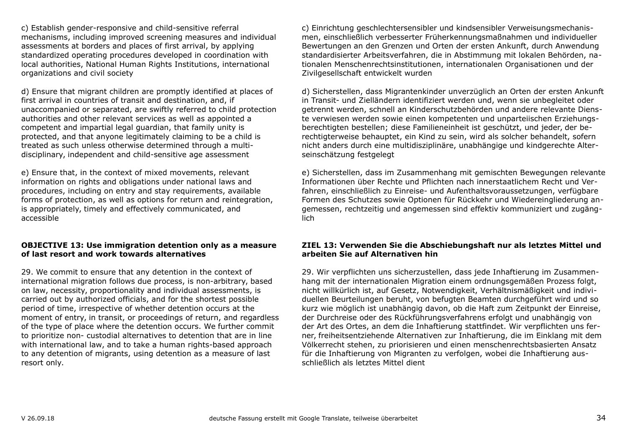c) Establish gender-responsive and child-sensitive referral mechanisms, including improved screening measures and individual assessments at borders and places of first arrival, by applying standardized operating procedures developed in coordination with local authorities, National Human Rights Institutions, international organizations and civil society

d) Ensure that migrant children are promptly identified at places of first arrival in countries of transit and destination, and, if unaccompanied or separated, are swiftly referred to child protection authorities and other relevant services as well as appointed a competent and impartial legal guardian, that family unity is protected, and that anyone legitimately claiming to be a child is treated as such unless otherwise determined through a multidisciplinary, independent and child-sensitive age assessment

e) Ensure that, in the context of mixed movements, relevant information on rights and obligations under national laws and procedures, including on entry and stay requirements, available forms of protection, as well as options for return and reintegration, is appropriately, timely and effectively communicated, and accessible

### **OBJECTIVE 13: Use immigration detention only as a measure of last resort and work towards alternatives**

29. We commit to ensure that any detention in the context of international migration follows due process, is non-arbitrary, based on law, necessity, proportionality and individual assessments, is carried out by authorized officials, and for the shortest possible period of time, irrespective of whether detention occurs at the moment of entry, in transit, or proceedings of return, and regardless of the type of place where the detention occurs. We further commit to prioritize non- custodial alternatives to detention that are in line with international law, and to take a human rights-based approach to any detention of migrants, using detention as a measure of last resort only.

c) Einrichtung geschlechtersensibler und kindsensibler Verweisungsmechanismen, einschließlich verbesserter Früherkennungsmaßnahmen und individueller Bewertungen an den Grenzen und Orten der ersten Ankunft, durch Anwendung standardisierter Arbeitsverfahren, die in Abstimmung mit lokalen Behörden, nationalen Menschenrechtsinstitutionen, internationalen Organisationen und der Zivilgesellschaft entwickelt wurden

d) Sicherstellen, dass Migrantenkinder unverzüglich an Orten der ersten Ankunft in Transit- und Zielländern identifiziert werden und, wenn sie unbegleitet oder getrennt werden, schnell an Kinderschutzbehörden und andere relevante Dienste verwiesen werden sowie einen kompetenten und unparteiischen Erziehungsberechtigten bestellen; diese Familieneinheit ist geschützt, und jeder, der berechtigterweise behauptet, ein Kind zu sein, wird als solcher behandelt, sofern nicht anders durch eine multidisziplinäre, unabhängige und kindgerechte Alterseinschätzung festgelegt

e) Sicherstellen, dass im Zusammenhang mit gemischten Bewegungen relevante Informationen über Rechte und Pflichten nach innerstaatlichem Recht und Verfahren, einschließlich zu Einreise- und Aufenthaltsvoraussetzungen, verfügbare Formen des Schutzes sowie Optionen für Rückkehr und Wiedereingliederung angemessen, rechtzeitig und angemessen sind effektiv kommuniziert und zugänglich

### **ZIEL 13: Verwenden Sie die Abschiebungshaft nur als letztes Mittel und arbeiten Sie auf Alternativen hin**

29. Wir verpflichten uns sicherzustellen, dass jede Inhaftierung im Zusammenhang mit der internationalen Migration einem ordnungsgemäßen Prozess folgt, nicht willkürlich ist, auf Gesetz, Notwendigkeit, Verhältnismäßigkeit und individuellen Beurteilungen beruht, von befugten Beamten durchgeführt wird und so kurz wie möglich ist unabhängig davon, ob die Haft zum Zeitpunkt der Einreise, der Durchreise oder des Rückführungsverfahrens erfolgt und unabhängig von der Art des Ortes, an dem die Inhaftierung stattfindet. Wir verpflichten uns ferner, freiheitsentziehende Alternativen zur Inhaftierung, die im Einklang mit dem Völkerrecht stehen, zu priorisieren und einen menschenrechtsbasierten Ansatz für die Inhaftierung von Migranten zu verfolgen, wobei die Inhaftierung ausschließlich als letztes Mittel dient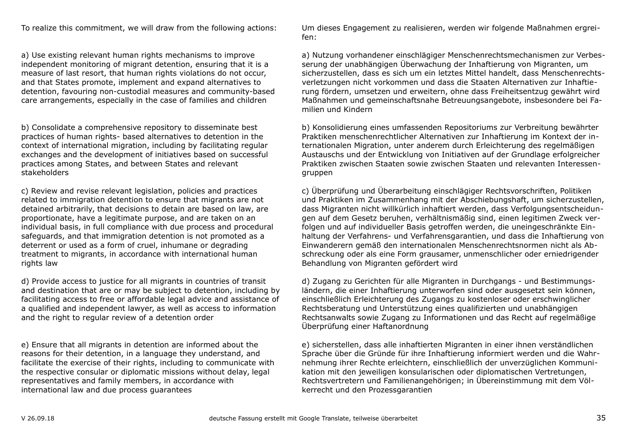To realize this commitment, we will draw from the following actions:

a) Use existing relevant human rights mechanisms to improve independent monitoring of migrant detention, ensuring that it is a measure of last resort, that human rights violations do not occur, and that States promote, implement and expand alternatives to detention, favouring non-custodial measures and community-based care arrangements, especially in the case of families and children

b) Consolidate a comprehensive repository to disseminate best practices of human rights- based alternatives to detention in the context of international migration, including by facilitating regular exchanges and the development of initiatives based on successful practices among States, and between States and relevant stakeholders

c) Review and revise relevant legislation, policies and practices related to immigration detention to ensure that migrants are not detained arbitrarily, that decisions to detain are based on law, are proportionate, have a legitimate purpose, and are taken on an individual basis, in full compliance with due process and procedural safeguards, and that immigration detention is not promoted as a deterrent or used as a form of cruel, inhumane or degrading treatment to migrants, in accordance with international human rights law

d) Provide access to justice for all migrants in countries of transit and destination that are or may be subject to detention, including by facilitating access to free or affordable legal advice and assistance of a qualified and independent lawyer, as well as access to information and the right to regular review of a detention order

e) Ensure that all migrants in detention are informed about the reasons for their detention, in a language they understand, and facilitate the exercise of their rights, including to communicate with the respective consular or diplomatic missions without delay, legal representatives and family members, in accordance with international law and due process guarantees

Um dieses Engagement zu realisieren, werden wir folgende Maßnahmen ergreifen:

a) Nutzung vorhandener einschlägiger Menschenrechtsmechanismen zur Verbesserung der unabhängigen Überwachung der Inhaftierung von Migranten, um sicherzustellen, dass es sich um ein letztes Mittel handelt, dass Menschenrechtsverletzungen nicht vorkommen und dass die Staaten Alternativen zur Inhaftierung fördern, umsetzen und erweitern, ohne dass Freiheitsentzug gewährt wird Maßnahmen und gemeinschaftsnahe Betreuungsangebote, insbesondere bei Familien und Kindern

b) Konsolidierung eines umfassenden Repositoriums zur Verbreitung bewährter Praktiken menschenrechtlicher Alternativen zur Inhaftierung im Kontext der internationalen Migration, unter anderem durch Erleichterung des regelmäßigen Austauschs und der Entwicklung von Initiativen auf der Grundlage erfolgreicher Praktiken zwischen Staaten sowie zwischen Staaten und relevanten Interessengruppen

c) Überprüfung und Überarbeitung einschlägiger Rechtsvorschriften, Politiken und Praktiken im Zusammenhang mit der Abschiebungshaft, um sicherzustellen, dass Migranten nicht willkürlich inhaftiert werden, dass Verfolgungsentscheidungen auf dem Gesetz beruhen, verhältnismäßig sind, einen legitimen Zweck verfolgen und auf individueller Basis getroffen werden, die uneingeschränkte Einhaltung der Verfahrens- und Verfahrensgarantien, und dass die Inhaftierung von Einwanderern gemäß den internationalen Menschenrechtsnormen nicht als Abschreckung oder als eine Form grausamer, unmenschlicher oder erniedrigender Behandlung von Migranten gefördert wird

d) Zugang zu Gerichten für alle Migranten in Durchgangs - und Bestimmungsländern, die einer Inhaftierung unterworfen sind oder ausgesetzt sein können, einschließlich Erleichterung des Zugangs zu kostenloser oder erschwinglicher Rechtsberatung und Unterstützung eines qualifizierten und unabhängigen Rechtsanwalts sowie Zugang zu Informationen und das Recht auf regelmäßige Überprüfung einer Haftanordnung

e) sicherstellen, dass alle inhaftierten Migranten in einer ihnen verständlichen Sprache über die Gründe für ihre Inhaftierung informiert werden und die Wahrnehmung ihrer Rechte erleichtern, einschließlich der unverzüglichen Kommunikation mit den jeweiligen konsularischen oder diplomatischen Vertretungen, Rechtsvertretern und Familienangehörigen; in Übereinstimmung mit dem Völkerrecht und den Prozessgarantien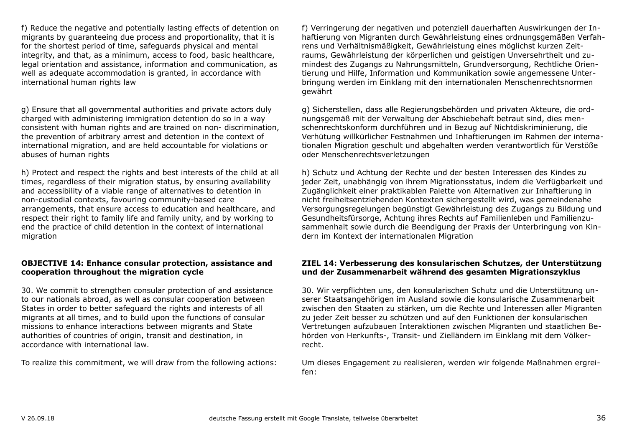f) Reduce the negative and potentially lasting effects of detention on migrants by guaranteeing due process and proportionality, that it is for the shortest period of time, safeguards physical and mental integrity, and that, as a minimum, access to food, basic healthcare, legal orientation and assistance, information and communication, as well as adequate accommodation is granted, in accordance with international human rights law

g) Ensure that all governmental authorities and private actors duly charged with administering immigration detention do so in a way consistent with human rights and are trained on non- discrimination, the prevention of arbitrary arrest and detention in the context of international migration, and are held accountable for violations or abuses of human rights

h) Protect and respect the rights and best interests of the child at all times, regardless of their migration status, by ensuring availability and accessibility of a viable range of alternatives to detention in non-custodial contexts, favouring community-based care arrangements, that ensure access to education and healthcare, and respect their right to family life and family unity, and by working to end the practice of child detention in the context of international migration

### **OBJECTIVE 14: Enhance consular protection, assistance and cooperation throughout the migration cycle**

30. We commit to strengthen consular protection of and assistance to our nationals abroad, as well as consular cooperation between States in order to better safeguard the rights and interests of all migrants at all times, and to build upon the functions of consular missions to enhance interactions between migrants and State authorities of countries of origin, transit and destination, in accordance with international law.

To realize this commitment, we will draw from the following actions:

f) Verringerung der negativen und potenziell dauerhaften Auswirkungen der Inhaftierung von Migranten durch Gewährleistung eines ordnungsgemäßen Verfahrens und Verhältnismäßigkeit, Gewährleistung eines möglichst kurzen Zeitraums, Gewährleistung der körperlichen und geistigen Unversehrtheit und zumindest des Zugangs zu Nahrungsmitteln, Grundversorgung, Rechtliche Orientierung und Hilfe, Information und Kommunikation sowie angemessene Unterbringung werden im Einklang mit den internationalen Menschenrechtsnormen gewährt

g) Sicherstellen, dass alle Regierungsbehörden und privaten Akteure, die ordnungsgemäß mit der Verwaltung der Abschiebehaft betraut sind, dies menschenrechtskonform durchführen und in Bezug auf Nichtdiskriminierung, die Verhütung willkürlicher Festnahmen und Inhaftierungen im Rahmen der internationalen Migration geschult und abgehalten werden verantwortlich für Verstöße oder Menschenrechtsverletzungen

h) Schutz und Achtung der Rechte und der besten Interessen des Kindes zu jeder Zeit, unabhängig von ihrem Migrationsstatus, indem die Verfügbarkeit und Zugänglichkeit einer praktikablen Palette von Alternativen zur Inhaftierung in nicht freiheitsentziehenden Kontexten sichergestellt wird, was gemeindenahe Versorgungsregelungen begünstigt Gewährleistung des Zugangs zu Bildung und Gesundheitsfürsorge, Achtung ihres Rechts auf Familienleben und Familienzusammenhalt sowie durch die Beendigung der Praxis der Unterbringung von Kindern im Kontext der internationalen Migration

### **ZIEL 14: Verbesserung des konsularischen Schutzes, der Unterstützung und der Zusammenarbeit während des gesamten Migrationszyklus**

30. Wir verpflichten uns, den konsularischen Schutz und die Unterstützung unserer Staatsangehörigen im Ausland sowie die konsularische Zusammenarbeit zwischen den Staaten zu stärken, um die Rechte und Interessen aller Migranten zu jeder Zeit besser zu schützen und auf den Funktionen der konsularischen Vertretungen aufzubauen Interaktionen zwischen Migranten und staatlichen Behörden von Herkunfts-, Transit- und Zielländern im Einklang mit dem Völkerrecht.

Um dieses Engagement zu realisieren, werden wir folgende Maßnahmen ergreifen: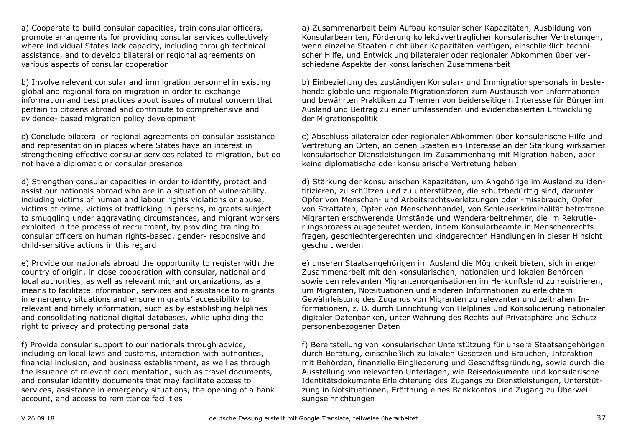a) Cooperate to build consular capacities, train consular officers, promote arrangements for providing consular services collectively where individual States lack capacity, including through technical assistance, and to develop bilateral or regional agreements on various aspects of consular cooperation

b) Involve relevant consular and immigration personnel in existing global and regional fora on migration in order to exchange information and best practices about issues of mutual concern that pertain to citizens abroad and contribute to comprehensive and evidence- based migration policy development

c) Conclude bilateral or regional agreements on consular assistance and representation in places where States have an interest in strengthening effective consular services related to migration, but do not have a diplomatic or consular presence

d) Strengthen consular capacities in order to identify, protect and assist our nationals abroad who are in a situation of vulnerability, including victims of human and labour rights violations or abuse, victims of crime, victims of trafficking in persons, migrants subject to smuggling under aggravating circumstances, and migrant workers exploited in the process of recruitment, by providing training to consular officers on human rights-based, gender- responsive and child-sensitive actions in this regard

e) Provide our nationals abroad the opportunity to register with the country of origin, in close cooperation with consular, national and local authorities, as well as relevant migrant organizations, as a means to facilitate information, services and assistance to migrants in emergency situations and ensure migrants' accessibility to relevant and timely information, such as by establishing helplines and consolidating national digital databases, while upholding the right to privacy and protecting personal data

f) Provide consular support to our nationals through advice, including on local laws and customs, interaction with authorities, financial inclusion, and business establishment, as well as through the issuance of relevant documentation, such as travel documents, and consular identity documents that may facilitate access to services, assistance in emergency situations, the opening of a bank account, and access to remittance facilities

a) Zusammenarbeit beim Aufbau konsularischer Kapazitäten, Ausbildung von Konsularbeamten, Förderung kollektivvertraglicher konsularischer Vertretungen, wenn einzelne Staaten nicht über Kapazitäten verfügen, einschließlich technischer Hilfe, und Entwicklung bilateraler oder regionaler Abkommen über verschiedene Aspekte der konsularischen Zusammenarbeit

b) Einbeziehung des zuständigen Konsular- und Immigrationspersonals in bestehende globale und regionale Migrationsforen zum Austausch von Informationen und bewährten Praktiken zu Themen von beiderseitigem Interesse für Bürger im Ausland und Beitrag zu einer umfassenden und evidenzbasierten Entwicklung der Migrationspolitik

c) Abschluss bilateraler oder regionaler Abkommen über konsularische Hilfe und Vertretung an Orten, an denen Staaten ein Interesse an der Stärkung wirksamer konsularischer Dienstleistungen im Zusammenhang mit Migration haben, aber keine diplomatische oder konsularische Vertretung haben

d) Stärkung der konsularischen Kapazitäten, um Angehörige im Ausland zu identifizieren, zu schützen und zu unterstützen, die schutzbedürftig sind, darunter Opfer von Menschen- und Arbeitsrechtsverletzungen oder -missbrauch, Opfer von Straftaten, Opfer von Menschenhandel, von Schleuserkriminalität betroffene Migranten erschwerende Umstände und Wanderarbeitnehmer, die im Rekrutierungsprozess ausgebeutet werden, indem Konsularbeamte in Menschenrechtsfragen, geschlechtergerechten und kindgerechten Handlungen in dieser Hinsicht geschult werden

e) unseren Staatsangehörigen im Ausland die Möglichkeit bieten, sich in enger Zusammenarbeit mit den konsularischen, nationalen und lokalen Behörden sowie den relevanten Migrantenorganisationen im Herkunftsland zu registrieren, um Migranten, Notsituationen und anderen Informationen zu erleichtern Gewährleistung des Zugangs von Migranten zu relevanten und zeitnahen Informationen, z. B. durch Einrichtung von Helplines und Konsolidierung nationaler digitaler Datenbanken, unter Wahrung des Rechts auf Privatsphäre und Schutz personenbezogener Daten

f) Bereitstellung von konsularischer Unterstützung für unsere Staatsangehörigen durch Beratung, einschließlich zu lokalen Gesetzen und Bräuchen, Interaktion mit Behörden, finanzielle Eingliederung und Geschäftsgründung, sowie durch die Ausstellung von relevanten Unterlagen, wie Reisedokumente und konsularische Identitätsdokumente Erleichterung des Zugangs zu Dienstleistungen, Unterstützung in Notsituationen, Eröffnung eines Bankkontos und Zugang zu Überweisungseinrichtungen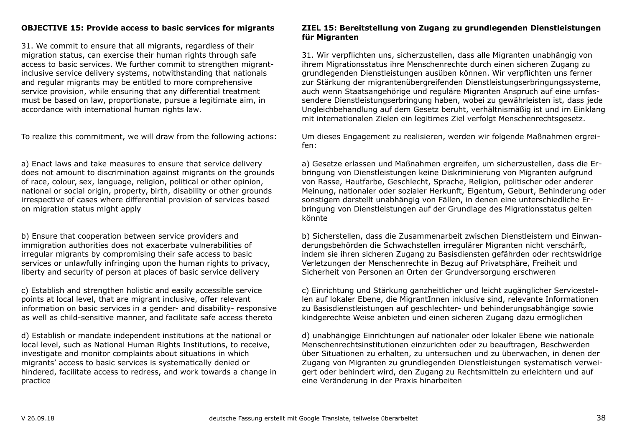### **OBJECTIVE 15: Provide access to basic services for migrants**

31. We commit to ensure that all migrants, regardless of their migration status, can exercise their human rights through safe access to basic services. We further commit to strengthen migrantinclusive service delivery systems, notwithstanding that nationals and regular migrants may be entitled to more comprehensive service provision, while ensuring that any differential treatment must be based on law, proportionate, pursue a legitimate aim, in accordance with international human rights law.

To realize this commitment, we will draw from the following actions:

a) Enact laws and take measures to ensure that service delivery does not amount to discrimination against migrants on the grounds of race, colour, sex, language, religion, political or other opinion, national or social origin, property, birth, disability or other grounds irrespective of cases where differential provision of services based on migration status might apply

b) Ensure that cooperation between service providers and immigration authorities does not exacerbate vulnerabilities of irregular migrants by compromising their safe access to basic services or unlawfully infringing upon the human rights to privacy, liberty and security of person at places of basic service delivery

c) Establish and strengthen holistic and easily accessible service points at local level, that are migrant inclusive, offer relevant information on basic services in a gender- and disability- responsive as well as child-sensitive manner, and facilitate safe access thereto

d) Establish or mandate independent institutions at the national or local level, such as National Human Rights Institutions, to receive, investigate and monitor complaints about situations in which migrants' access to basic services is systematically denied or hindered, facilitate access to redress, and work towards a change in practice

#### **ZIEL 15: Bereitstellung von Zugang zu grundlegenden Dienstleistungen für Migranten**

31. Wir verpflichten uns, sicherzustellen, dass alle Migranten unabhängig von ihrem Migrationsstatus ihre Menschenrechte durch einen sicheren Zugang zu grundlegenden Dienstleistungen ausüben können. Wir verpflichten uns ferner zur Stärkung der migrantenübergreifenden Dienstleistungserbringungssysteme, auch wenn Staatsangehörige und reguläre Migranten Anspruch auf eine umfassendere Dienstleistungserbringung haben, wobei zu gewährleisten ist, dass jede Ungleichbehandlung auf dem Gesetz beruht, verhältnismäßig ist und im Einklang mit internationalen Zielen ein legitimes Ziel verfolgt Menschenrechtsgesetz.

Um dieses Engagement zu realisieren, werden wir folgende Maßnahmen ergreifen:

a) Gesetze erlassen und Maßnahmen ergreifen, um sicherzustellen, dass die Erbringung von Dienstleistungen keine Diskriminierung von Migranten aufgrund von Rasse, Hautfarbe, Geschlecht, Sprache, Religion, politischer oder anderer Meinung, nationaler oder sozialer Herkunft, Eigentum, Geburt, Behinderung oder sonstigem darstellt unabhängig von Fällen, in denen eine unterschiedliche Erbringung von Dienstleistungen auf der Grundlage des Migrationsstatus gelten könnte

b) Sicherstellen, dass die Zusammenarbeit zwischen Dienstleistern und Einwanderungsbehörden die Schwachstellen irregulärer Migranten nicht verschärft, indem sie ihren sicheren Zugang zu Basisdiensten gefährden oder rechtswidrige Verletzungen der Menschenrechte in Bezug auf Privatsphäre, Freiheit und Sicherheit von Personen an Orten der Grundversorgung erschweren

c) Einrichtung und Stärkung ganzheitlicher und leicht zugänglicher Servicestellen auf lokaler Ebene, die MigrantInnen inklusive sind, relevante Informationen zu Basisdienstleistungen auf geschlechter- und behinderungsabhängige sowie kindgerechte Weise anbieten und einen sicheren Zugang dazu ermöglichen

d) unabhängige Einrichtungen auf nationaler oder lokaler Ebene wie nationale Menschenrechtsinstitutionen einzurichten oder zu beauftragen, Beschwerden über Situationen zu erhalten, zu untersuchen und zu überwachen, in denen der Zugang von Migranten zu grundlegenden Dienstleistungen systematisch verweigert oder behindert wird, den Zugang zu Rechtsmitteln zu erleichtern und auf eine Veränderung in der Praxis hinarbeiten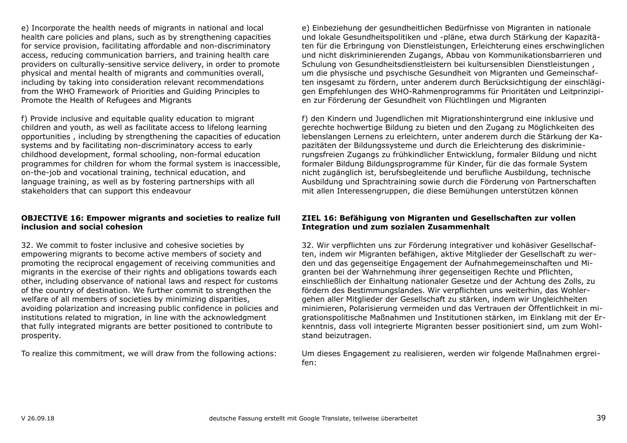e) Incorporate the health needs of migrants in national and local health care policies and plans, such as by strengthening capacities for service provision, facilitating affordable and non-discriminatory access, reducing communication barriers, and training health care providers on culturally-sensitive service delivery, in order to promote physical and mental health of migrants and communities overall, including by taking into consideration relevant recommendations from the WHO Framework of Priorities and Guiding Principles to Promote the Health of Refugees and Migrants

f) Provide inclusive and equitable quality education to migrant children and youth, as well as facilitate access to lifelong learning opportunities , including by strengthening the capacities of education systems and by facilitating non-discriminatory access to early childhood development, formal schooling, non-formal education programmes for children for whom the formal system is inaccessible, on-the-job and vocational training, technical education, and language training, as well as by fostering partnerships with all stakeholders that can support this endeavour

### **OBJECTIVE 16: Empower migrants and societies to realize full inclusion and social cohesion**

32. We commit to foster inclusive and cohesive societies by empowering migrants to become active members of society and promoting the reciprocal engagement of receiving communities and migrants in the exercise of their rights and obligations towards each other, including observance of national laws and respect for customs of the country of destination. We further commit to strengthen the welfare of all members of societies by minimizing disparities, avoiding polarization and increasing public confidence in policies and institutions related to migration, in line with the acknowledgment that fully integrated migrants are better positioned to contribute to prosperity.

To realize this commitment, we will draw from the following actions:

e) Einbeziehung der gesundheitlichen Bedürfnisse von Migranten in nationale und lokale Gesundheitspolitiken und -pläne, etwa durch Stärkung der Kapazitäten für die Erbringung von Dienstleistungen, Erleichterung eines erschwinglichen und nicht diskriminierenden Zugangs, Abbau von Kommunikationsbarrieren und Schulung von Gesundheitsdienstleistern bei kultursensiblen Dienstleistungen , um die physische und psychische Gesundheit von Migranten und Gemeinschaften insgesamt zu fördern, unter anderem durch Berücksichtigung der einschlägigen Empfehlungen des WHO-Rahmenprogramms für Prioritäten und Leitprinzipien zur Förderung der Gesundheit von Flüchtlingen und Migranten

f) den Kindern und Jugendlichen mit Migrationshintergrund eine inklusive und gerechte hochwertige Bildung zu bieten und den Zugang zu Möglichkeiten des lebenslangen Lernens zu erleichtern, unter anderem durch die Stärkung der Kapazitäten der Bildungssysteme und durch die Erleichterung des diskriminierungsfreien Zugangs zu frühkindlicher Entwicklung, formaler Bildung und nicht formaler Bildung Bildungsprogramme für Kinder, für die das formale System nicht zugänglich ist, berufsbegleitende und berufliche Ausbildung, technische Ausbildung und Sprachtraining sowie durch die Förderung von Partnerschaften mit allen Interessengruppen, die diese Bemühungen unterstützen können

### **ZIEL 16: Befähigung von Migranten und Gesellschaften zur vollen Integration und zum sozialen Zusammenhalt**

32. Wir verpflichten uns zur Förderung integrativer und kohäsiver Gesellschaften, indem wir Migranten befähigen, aktive Mitglieder der Gesellschaft zu werden und das gegenseitige Engagement der Aufnahmegemeinschaften und Migranten bei der Wahrnehmung ihrer gegenseitigen Rechte und Pflichten, einschließlich der Einhaltung nationaler Gesetze und der Achtung des Zolls, zu fördern des Bestimmungslandes. Wir verpflichten uns weiterhin, das Wohlergehen aller Mitglieder der Gesellschaft zu stärken, indem wir Ungleichheiten minimieren, Polarisierung vermeiden und das Vertrauen der Öffentlichkeit in migrationspolitische Maßnahmen und Institutionen stärken, im Einklang mit der Erkenntnis, dass voll integrierte Migranten besser positioniert sind, um zum Wohlstand beizutragen.

Um dieses Engagement zu realisieren, werden wir folgende Maßnahmen ergreifen: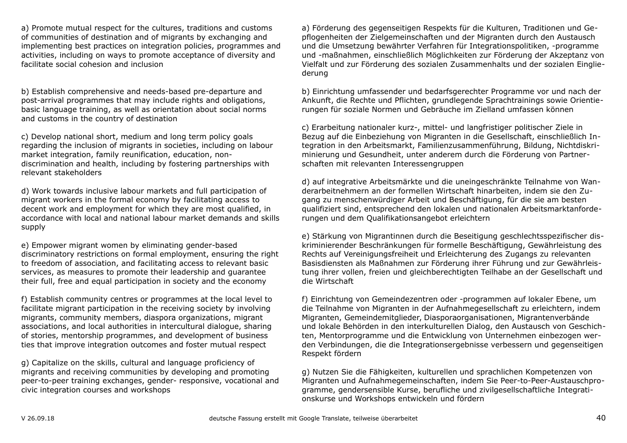a) Promote mutual respect for the cultures, traditions and customs of communities of destination and of migrants by exchanging and implementing best practices on integration policies, programmes and activities, including on ways to promote acceptance of diversity and facilitate social cohesion and inclusion

b) Establish comprehensive and needs-based pre-departure and post-arrival programmes that may include rights and obligations, basic language training, as well as orientation about social norms and customs in the country of destination

c) Develop national short, medium and long term policy goals regarding the inclusion of migrants in societies, including on labour market integration, family reunification, education, nondiscrimination and health, including by fostering partnerships with relevant stakeholders

d) Work towards inclusive labour markets and full participation of migrant workers in the formal economy by facilitating access to decent work and employment for which they are most qualified, in accordance with local and national labour market demands and skills supply

e) Empower migrant women by eliminating gender-based discriminatory restrictions on formal employment, ensuring the right to freedom of association, and facilitating access to relevant basic services, as measures to promote their leadership and guarantee their full, free and equal participation in society and the economy

f) Establish community centres or programmes at the local level to facilitate migrant participation in the receiving society by involving migrants, community members, diaspora organizations, migrant associations, and local authorities in intercultural dialogue, sharing of stories, mentorship programmes, and development of business ties that improve integration outcomes and foster mutual respect

g) Capitalize on the skills, cultural and language proficiency of migrants and receiving communities by developing and promoting peer-to-peer training exchanges, gender- responsive, vocational and civic integration courses and workshops

a) Förderung des gegenseitigen Respekts für die Kulturen, Traditionen und Gepflogenheiten der Zielgemeinschaften und der Migranten durch den Austausch und die Umsetzung bewährter Verfahren für Integrationspolitiken, -programme und -maßnahmen, einschließlich Möglichkeiten zur Förderung der Akzeptanz von Vielfalt und zur Förderung des sozialen Zusammenhalts und der sozialen Eingliederung

b) Einrichtung umfassender und bedarfsgerechter Programme vor und nach der Ankunft, die Rechte und Pflichten, grundlegende Sprachtrainings sowie Orientierungen für soziale Normen und Gebräuche im Zielland umfassen können

c) Erarbeitung nationaler kurz-, mittel- und langfristiger politischer Ziele in Bezug auf die Einbeziehung von Migranten in die Gesellschaft, einschließlich Integration in den Arbeitsmarkt, Familienzusammenführung, Bildung, Nichtdiskriminierung und Gesundheit, unter anderem durch die Förderung von Partnerschaften mit relevanten Interessengruppen

d) auf integrative Arbeitsmärkte und die uneingeschränkte Teilnahme von Wanderarbeitnehmern an der formellen Wirtschaft hinarbeiten, indem sie den Zugang zu menschenwürdiger Arbeit und Beschäftigung, für die sie am besten qualifiziert sind, entsprechend den lokalen und nationalen Arbeitsmarktanforderungen und dem Qualifikationsangebot erleichtern

e) Stärkung von Migrantinnen durch die Beseitigung geschlechtsspezifischer diskriminierender Beschränkungen für formelle Beschäftigung, Gewährleistung des Rechts auf Vereinigungsfreiheit und Erleichterung des Zugangs zu relevanten Basisdiensten als Maßnahmen zur Förderung ihrer Führung und zur Gewährleistung ihrer vollen, freien und gleichberechtigten Teilhabe an der Gesellschaft und die Wirtschaft

f) Einrichtung von Gemeindezentren oder -programmen auf lokaler Ebene, um die Teilnahme von Migranten in der Aufnahmegesellschaft zu erleichtern, indem Migranten, Gemeindemitglieder, Diasporaorganisationen, Migrantenverbände und lokale Behörden in den interkulturellen Dialog, den Austausch von Geschichten, Mentorprogramme und die Entwicklung von Unternehmen einbezogen werden Verbindungen, die die Integrationsergebnisse verbessern und gegenseitigen Respekt fördern

g) Nutzen Sie die Fähigkeiten, kulturellen und sprachlichen Kompetenzen von Migranten und Aufnahmegemeinschaften, indem Sie Peer-to-Peer-Austauschprogramme, gendersensible Kurse, berufliche und zivilgesellschaftliche Integrationskurse und Workshops entwickeln und fördern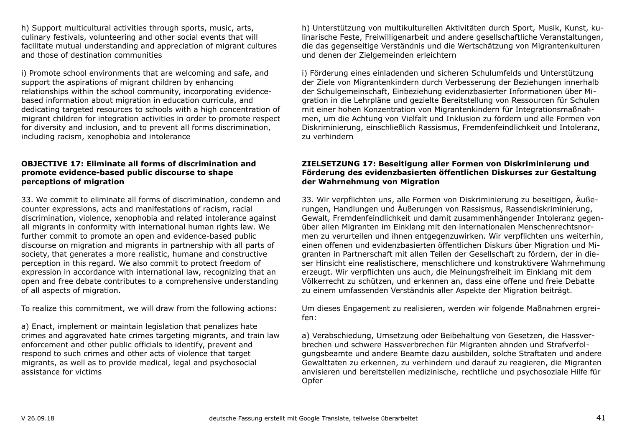h) Support multicultural activities through sports, music, arts, culinary festivals, volunteering and other social events that will facilitate mutual understanding and appreciation of migrant cultures and those of destination communities

i) Promote school environments that are welcoming and safe, and support the aspirations of migrant children by enhancing relationships within the school community, incorporating evidencebased information about migration in education curricula, and dedicating targeted resources to schools with a high concentration of migrant children for integration activities in order to promote respect for diversity and inclusion, and to prevent all forms discrimination, including racism, xenophobia and intolerance

### **OBJECTIVE 17: Eliminate all forms of discrimination and promote evidence-based public discourse to shape perceptions of migration**

33. We commit to eliminate all forms of discrimination, condemn and counter expressions, acts and manifestations of racism, racial discrimination, violence, xenophobia and related intolerance against all migrants in conformity with international human rights law. We further commit to promote an open and evidence-based public discourse on migration and migrants in partnership with all parts of society, that generates a more realistic, humane and constructive perception in this regard. We also commit to protect freedom of expression in accordance with international law, recognizing that an open and free debate contributes to a comprehensive understanding of all aspects of migration.

To realize this commitment, we will draw from the following actions:

a) Enact, implement or maintain legislation that penalizes hate crimes and aggravated hate crimes targeting migrants, and train law enforcement and other public officials to identify, prevent and respond to such crimes and other acts of violence that target migrants, as well as to provide medical, legal and psychosocial assistance for victims

h) Unterstützung von multikulturellen Aktivitäten durch Sport, Musik, Kunst, kulinarische Feste, Freiwilligenarbeit und andere gesellschaftliche Veranstaltungen, die das gegenseitige Verständnis und die Wertschätzung von Migrantenkulturen und denen der Zielgemeinden erleichtern

i) Förderung eines einladenden und sicheren Schulumfelds und Unterstützung der Ziele von Migrantenkindern durch Verbesserung der Beziehungen innerhalb der Schulgemeinschaft, Einbeziehung evidenzbasierter Informationen über Migration in die Lehrpläne und gezielte Bereitstellung von Ressourcen für Schulen mit einer hohen Konzentration von Migrantenkindern für Integrationsmaßnahmen, um die Achtung von Vielfalt und Inklusion zu fördern und alle Formen von Diskriminierung, einschließlich Rassismus, Fremdenfeindlichkeit und Intoleranz, zu verhindern

### **ZIELSETZUNG 17: Beseitigung aller Formen von Diskriminierung und Förderung des evidenzbasierten öffentlichen Diskurses zur Gestaltung der Wahrnehmung von Migration**

33. Wir verpflichten uns, alle Formen von Diskriminierung zu beseitigen, Äußerungen, Handlungen und Äußerungen von Rassismus, Rassendiskriminierung, Gewalt, Fremdenfeindlichkeit und damit zusammenhängender Intoleranz gegenüber allen Migranten im Einklang mit den internationalen Menschenrechtsnormen zu verurteilen und ihnen entgegenzuwirken. Wir verpflichten uns weiterhin, einen offenen und evidenzbasierten öffentlichen Diskurs über Migration und Migranten in Partnerschaft mit allen Teilen der Gesellschaft zu fördern, der in dieser Hinsicht eine realistischere, menschlichere und konstruktivere Wahrnehmung erzeugt. Wir verpflichten uns auch, die Meinungsfreiheit im Einklang mit dem Völkerrecht zu schützen, und erkennen an, dass eine offene und freie Debatte zu einem umfassenden Verständnis aller Aspekte der Migration beiträgt.

Um dieses Engagement zu realisieren, werden wir folgende Maßnahmen ergreifen:

a) Verabschiedung, Umsetzung oder Beibehaltung von Gesetzen, die Hassverbrechen und schwere Hassverbrechen für Migranten ahnden und Strafverfolgungsbeamte und andere Beamte dazu ausbilden, solche Straftaten und andere Gewalttaten zu erkennen, zu verhindern und darauf zu reagieren, die Migranten anvisieren und bereitstellen medizinische, rechtliche und psychosoziale Hilfe für Opfer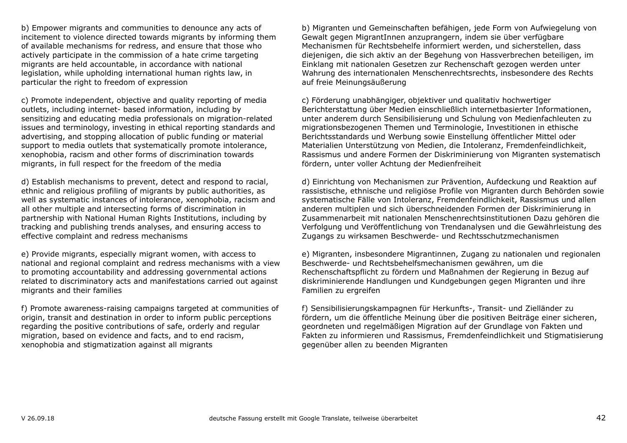b) Empower migrants and communities to denounce any acts of incitement to violence directed towards migrants by informing them of available mechanisms for redress, and ensure that those who actively participate in the commission of a hate crime targeting migrants are held accountable, in accordance with national legislation, while upholding international human rights law, in particular the right to freedom of expression

c) Promote independent, objective and quality reporting of media outlets, including internet- based information, including by sensitizing and educating media professionals on migration-related issues and terminology, investing in ethical reporting standards and advertising, and stopping allocation of public funding or material support to media outlets that systematically promote intolerance, xenophobia, racism and other forms of discrimination towards migrants, in full respect for the freedom of the media

d) Establish mechanisms to prevent, detect and respond to racial, ethnic and religious profiling of migrants by public authorities, as well as systematic instances of intolerance, xenophobia, racism and all other multiple and intersecting forms of discrimination in partnership with National Human Rights Institutions, including by tracking and publishing trends analyses, and ensuring access to effective complaint and redress mechanisms

e) Provide migrants, especially migrant women, with access to national and regional complaint and redress mechanisms with a view to promoting accountability and addressing governmental actions related to discriminatory acts and manifestations carried out against migrants and their families

f) Promote awareness-raising campaigns targeted at communities of origin, transit and destination in order to inform public perceptions regarding the positive contributions of safe, orderly and regular migration, based on evidence and facts, and to end racism, xenophobia and stigmatization against all migrants

b) Migranten und Gemeinschaften befähigen, jede Form von Aufwiegelung von Gewalt gegen MigrantInnen anzuprangern, indem sie über verfügbare Mechanismen für Rechtsbehelfe informiert werden, und sicherstellen, dass diejenigen, die sich aktiv an der Begehung von Hassverbrechen beteiligen, im Einklang mit nationalen Gesetzen zur Rechenschaft gezogen werden unter Wahrung des internationalen Menschenrechtsrechts, insbesondere des Rechts auf freie Meinungsäußerung

c) Förderung unabhängiger, objektiver und qualitativ hochwertiger Berichterstattung über Medien einschließlich internetbasierter Informationen, unter anderem durch Sensibilisierung und Schulung von Medienfachleuten zu migrationsbezogenen Themen und Terminologie, Investitionen in ethische Berichtsstandards und Werbung sowie Einstellung öffentlicher Mittel oder Materialien Unterstützung von Medien, die Intoleranz, Fremdenfeindlichkeit, Rassismus und andere Formen der Diskriminierung von Migranten systematisch fördern, unter voller Achtung der Medienfreiheit

d) Einrichtung von Mechanismen zur Prävention, Aufdeckung und Reaktion auf rassistische, ethnische und religiöse Profile von Migranten durch Behörden sowie systematische Fälle von Intoleranz, Fremdenfeindlichkeit, Rassismus und allen anderen multiplen und sich überschneidenden Formen der Diskriminierung in Zusammenarbeit mit nationalen Menschenrechtsinstitutionen Dazu gehören die Verfolgung und Veröffentlichung von Trendanalysen und die Gewährleistung des Zugangs zu wirksamen Beschwerde- und Rechtsschutzmechanismen

e) Migranten, insbesondere Migrantinnen, Zugang zu nationalen und regionalen Beschwerde- und Rechtsbehelfsmechanismen gewähren, um die Rechenschaftspflicht zu fördern und Maßnahmen der Regierung in Bezug auf diskriminierende Handlungen und Kundgebungen gegen Migranten und ihre Familien zu ergreifen

f) Sensibilisierungskampagnen für Herkunfts-, Transit- und Zielländer zu fördern, um die öffentliche Meinung über die positiven Beiträge einer sicheren, geordneten und regelmäßigen Migration auf der Grundlage von Fakten und Fakten zu informieren und Rassismus, Fremdenfeindlichkeit und Stigmatisierung gegenüber allen zu beenden Migranten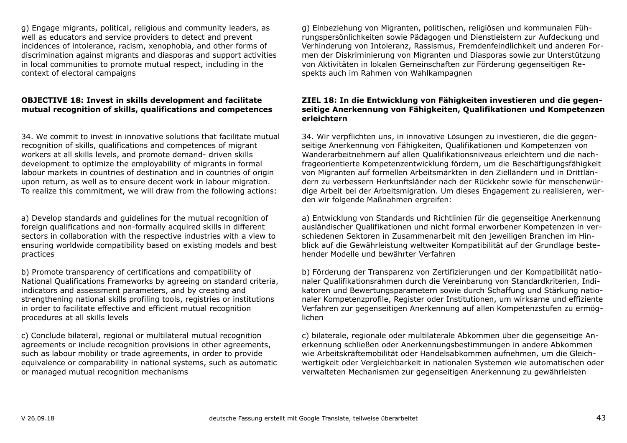g) Engage migrants, political, religious and community leaders, as well as educators and service providers to detect and prevent incidences of intolerance, racism, xenophobia, and other forms of discrimination against migrants and diasporas and support activities in local communities to promote mutual respect, including in the context of electoral campaigns

### **OBJECTIVE 18: Invest in skills development and facilitate mutual recognition of skills, qualifications and competences**

34. We commit to invest in innovative solutions that facilitate mutual recognition of skills, qualifications and competences of migrant workers at all skills levels, and promote demand- driven skills development to optimize the employability of migrants in formal labour markets in countries of destination and in countries of origin upon return, as well as to ensure decent work in labour migration. To realize this commitment, we will draw from the following actions:

a) Develop standards and guidelines for the mutual recognition of foreign qualifications and non-formally acquired skills in different sectors in collaboration with the respective industries with a view to ensuring worldwide compatibility based on existing models and best practices

b) Promote transparency of certifications and compatibility of National Qualifications Frameworks by agreeing on standard criteria, indicators and assessment parameters, and by creating and strengthening national skills profiling tools, registries or institutions in order to facilitate effective and efficient mutual recognition procedures at all skills levels

c) Conclude bilateral, regional or multilateral mutual recognition agreements or include recognition provisions in other agreements, such as labour mobility or trade agreements, in order to provide equivalence or comparability in national systems, such as automatic or managed mutual recognition mechanisms

g) Einbeziehung von Migranten, politischen, religiösen und kommunalen Führungspersönlichkeiten sowie Pädagogen und Dienstleistern zur Aufdeckung und Verhinderung von Intoleranz, Rassismus, Fremdenfeindlichkeit und anderen Formen der Diskriminierung von Migranten und Diasporas sowie zur Unterstützung von Aktivitäten in lokalen Gemeinschaften zur Förderung gegenseitigen Respekts auch im Rahmen von Wahlkampagnen

### **ZIEL 18: In die Entwicklung von Fähigkeiten investieren und die gegenseitige Anerkennung von Fähigkeiten, Qualifikationen und Kompetenzen erleichtern**

34. Wir verpflichten uns, in innovative Lösungen zu investieren, die die gegenseitige Anerkennung von Fähigkeiten, Qualifikationen und Kompetenzen von Wanderarbeitnehmern auf allen Qualifikationsniveaus erleichtern und die nachfrageorientierte Kompetenzentwicklung fördern, um die Beschäftigungsfähigkeit von Migranten auf formellen Arbeitsmärkten in den Zielländern und in Drittländern zu verbessern Herkunftsländer nach der Rückkehr sowie für menschenwürdige Arbeit bei der Arbeitsmigration. Um dieses Engagement zu realisieren, werden wir folgende Maßnahmen ergreifen:

a) Entwicklung von Standards und Richtlinien für die gegenseitige Anerkennung ausländischer Qualifikationen und nicht formal erworbener Kompetenzen in verschiedenen Sektoren in Zusammenarbeit mit den jeweiligen Branchen im Hinblick auf die Gewährleistung weltweiter Kompatibilität auf der Grundlage bestehender Modelle und bewährter Verfahren

b) Förderung der Transparenz von Zertifizierungen und der Kompatibilität nationaler Qualifikationsrahmen durch die Vereinbarung von Standardkriterien, Indikatoren und Bewertungsparametern sowie durch Schaffung und Stärkung nationaler Kompetenzprofile, Register oder Institutionen, um wirksame und effiziente Verfahren zur gegenseitigen Anerkennung auf allen Kompetenzstufen zu ermöglichen

c) bilaterale, regionale oder multilaterale Abkommen über die gegenseitige Anerkennung schließen oder Anerkennungsbestimmungen in andere Abkommen wie Arbeitskräftemobilität oder Handelsabkommen aufnehmen, um die Gleichwertigkeit oder Vergleichbarkeit in nationalen Systemen wie automatischen oder verwalteten Mechanismen zur gegenseitigen Anerkennung zu gewährleisten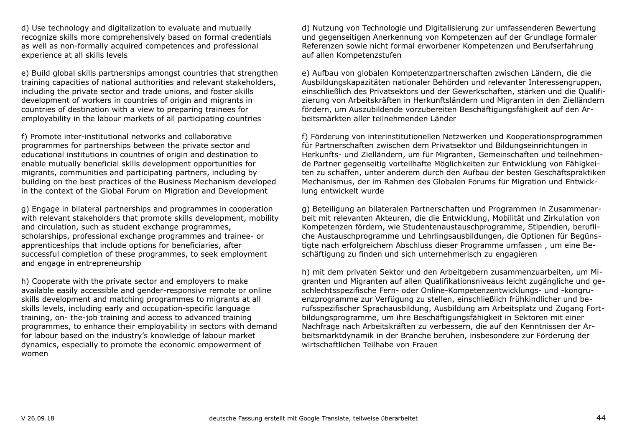d) Use technology and digitalization to evaluate and mutually recognize skills more comprehensively based on formal credentials as well as non-formally acquired competences and professional experience at all skills levels

e) Build global skills partnerships amongst countries that strengthen training capacities of national authorities and relevant stakeholders, including the private sector and trade unions, and foster skills development of workers in countries of origin and migrants in countries of destination with a view to preparing trainees for employability in the labour markets of all participating countries

f) Promote inter-institutional networks and collaborative programmes for partnerships between the private sector and educational institutions in countries of origin and destination to enable mutually beneficial skills development opportunities for migrants, communities and participating partners, including by building on the best practices of the Business Mechanism developed in the context of the Global Forum on Migration and Development

g) Engage in bilateral partnerships and programmes in cooperation with relevant stakeholders that promote skills development, mobility and circulation, such as student exchange programmes, scholarships, professional exchange programmes and trainee- or apprenticeships that include options for beneficiaries, after successful completion of these programmes, to seek employment and engage in entrepreneurship

h) Cooperate with the private sector and employers to make available easily accessible and gender-responsive remote or online skills development and matching programmes to migrants at all skills levels, including early and occupation-specific language training, on- the-job training and access to advanced training programmes, to enhance their employability in sectors with demand for labour based on the industry's knowledge of labour market dynamics, especially to promote the economic empowerment of women

d) Nutzung von Technologie und Digitalisierung zur umfassenderen Bewertung und gegenseitigen Anerkennung von Kompetenzen auf der Grundlage formaler Referenzen sowie nicht formal erworbener Kompetenzen und Berufserfahrung auf allen Kompetenzstufen

e) Aufbau von globalen Kompetenzpartnerschaften zwischen Ländern, die die Ausbildungskapazitäten nationaler Behörden und relevanter Interessengruppen, einschließlich des Privatsektors und der Gewerkschaften, stärken und die Qualifizierung von Arbeitskräften in Herkunftsländern und Migranten in den Zielländern fördern, um Auszubildende vorzubereiten Beschäftigungsfähigkeit auf den Arbeitsmärkten aller teilnehmenden Länder

f) Förderung von interinstitutionellen Netzwerken und Kooperationsprogrammen für Partnerschaften zwischen dem Privatsektor und Bildungseinrichtungen in Herkunfts- und Zielländern, um für Migranten, Gemeinschaften und teilnehmende Partner gegenseitig vorteilhafte Möglichkeiten zur Entwicklung von Fähigkeiten zu schaffen, unter anderem durch den Aufbau der besten Geschäftspraktiken Mechanismus, der im Rahmen des Globalen Forums für Migration und Entwicklung entwickelt wurde

g) Beteiligung an bilateralen Partnerschaften und Programmen in Zusammenarbeit mit relevanten Akteuren, die die Entwicklung, Mobilität und Zirkulation von Kompetenzen fördern, wie Studentenaustauschprogramme, Stipendien, berufliche Austauschprogramme und Lehrlingsausbildungen, die Optionen für Begünstigte nach erfolgreichem Abschluss dieser Programme umfassen , um eine Beschäftigung zu finden und sich unternehmerisch zu engagieren

h) mit dem privaten Sektor und den Arbeitgebern zusammenzuarbeiten, um Migranten und Migranten auf allen Qualifikationsniveaus leicht zugängliche und geschlechtsspezifische Fern- oder Online-Kompetenzentwicklungs- und -kongruenzprogramme zur Verfügung zu stellen, einschließlich frühkindlicher und berufsspezifischer Sprachausbildung, Ausbildung am Arbeitsplatz und Zugang Fortbildungsprogramme, um ihre Beschäftigungsfähigkeit in Sektoren mit einer Nachfrage nach Arbeitskräften zu verbessern, die auf den Kenntnissen der Arbeitsmarktdynamik in der Branche beruhen, insbesondere zur Förderung der wirtschaftlichen Teilhabe von Frauen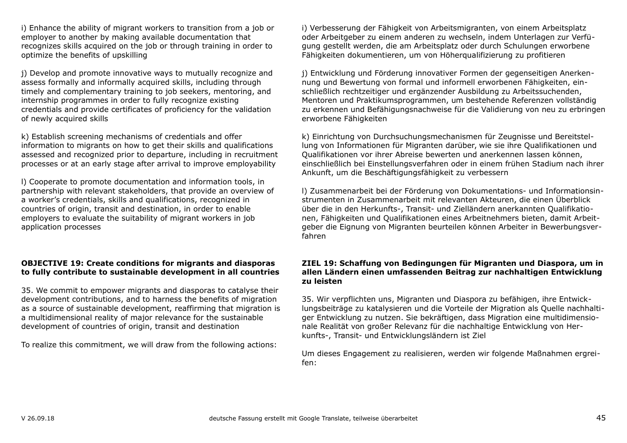i) Enhance the ability of migrant workers to transition from a job or employer to another by making available documentation that recognizes skills acquired on the job or through training in order to optimize the benefits of upskilling

j) Develop and promote innovative ways to mutually recognize and assess formally and informally acquired skills, including through timely and complementary training to job seekers, mentoring, and internship programmes in order to fully recognize existing credentials and provide certificates of proficiency for the validation of newly acquired skills

k) Establish screening mechanisms of credentials and offer information to migrants on how to get their skills and qualifications assessed and recognized prior to departure, including in recruitment processes or at an early stage after arrival to improve employability

l) Cooperate to promote documentation and information tools, in partnership with relevant stakeholders, that provide an overview of a worker's credentials, skills and qualifications, recognized in countries of origin, transit and destination, in order to enable employers to evaluate the suitability of migrant workers in job application processes

### **OBJECTIVE 19: Create conditions for migrants and diasporas to fully contribute to sustainable development in all countries**

35. We commit to empower migrants and diasporas to catalyse their development contributions, and to harness the benefits of migration as a source of sustainable development, reaffirming that migration is a multidimensional reality of major relevance for the sustainable development of countries of origin, transit and destination

To realize this commitment, we will draw from the following actions:

i) Verbesserung der Fähigkeit von Arbeitsmigranten, von einem Arbeitsplatz oder Arbeitgeber zu einem anderen zu wechseln, indem Unterlagen zur Verfügung gestellt werden, die am Arbeitsplatz oder durch Schulungen erworbene Fähigkeiten dokumentieren, um von Höherqualifizierung zu profitieren

j) Entwicklung und Förderung innovativer Formen der gegenseitigen Anerkennung und Bewertung von formal und informell erworbenen Fähigkeiten, einschließlich rechtzeitiger und ergänzender Ausbildung zu Arbeitssuchenden, Mentoren und Praktikumsprogrammen, um bestehende Referenzen vollständig zu erkennen und Befähigungsnachweise für die Validierung von neu zu erbringen erworbene Fähigkeiten

k) Einrichtung von Durchsuchungsmechanismen für Zeugnisse und Bereitstellung von Informationen für Migranten darüber, wie sie ihre Qualifikationen und Qualifikationen vor ihrer Abreise bewerten und anerkennen lassen können, einschließlich bei Einstellungsverfahren oder in einem frühen Stadium nach ihrer Ankunft, um die Beschäftigungsfähigkeit zu verbessern

l) Zusammenarbeit bei der Förderung von Dokumentations- und Informationsinstrumenten in Zusammenarbeit mit relevanten Akteuren, die einen Überblick über die in den Herkunfts-, Transit- und Zielländern anerkannten Qualifikationen, Fähigkeiten und Qualifikationen eines Arbeitnehmers bieten, damit Arbeitgeber die Eignung von Migranten beurteilen können Arbeiter in Bewerbungsverfahren

#### **ZIEL 19: Schaffung von Bedingungen für Migranten und Diaspora, um in allen Ländern einen umfassenden Beitrag zur nachhaltigen Entwicklung zu leisten**

35. Wir verpflichten uns, Migranten und Diaspora zu befähigen, ihre Entwicklungsbeiträge zu katalysieren und die Vorteile der Migration als Quelle nachhaltiger Entwicklung zu nutzen. Sie bekräftigen, dass Migration eine multidimensionale Realität von großer Relevanz für die nachhaltige Entwicklung von Herkunfts-, Transit- und Entwicklungsländern ist Ziel

Um dieses Engagement zu realisieren, werden wir folgende Maßnahmen ergreifen: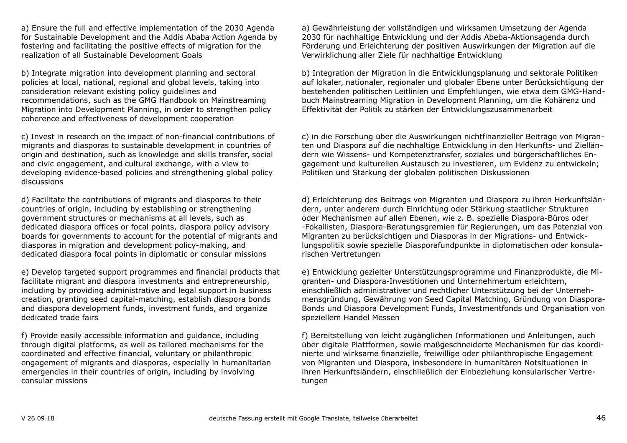a) Ensure the full and effective implementation of the 2030 Agenda for Sustainable Development and the Addis Ababa Action Agenda by fostering and facilitating the positive effects of migration for the realization of all Sustainable Development Goals

b) Integrate migration into development planning and sectoral policies at local, national, regional and global levels, taking into consideration relevant existing policy guidelines and recommendations, such as the GMG Handbook on Mainstreaming Migration into Development Planning, in order to strengthen policy coherence and effectiveness of development cooperation

c) Invest in research on the impact of non-financial contributions of migrants and diasporas to sustainable development in countries of origin and destination, such as knowledge and skills transfer, social and civic engagement, and cultural exchange, with a view to developing evidence-based policies and strengthening global policy discussions

d) Facilitate the contributions of migrants and diasporas to their countries of origin, including by establishing or strengthening government structures or mechanisms at all levels, such as dedicated diaspora offices or focal points, diaspora policy advisory boards for governments to account for the potential of migrants and diasporas in migration and development policy-making, and dedicated diaspora focal points in diplomatic or consular missions

e) Develop targeted support programmes and financial products that facilitate migrant and diaspora investments and entrepreneurship, including by providing administrative and legal support in business creation, granting seed capital-matching, establish diaspora bonds and diaspora development funds, investment funds, and organize dedicated trade fairs

f) Provide easily accessible information and guidance, including through digital platforms, as well as tailored mechanisms for the coordinated and effective financial, voluntary or philanthropic engagement of migrants and diasporas, especially in humanitarian emergencies in their countries of origin, including by involving consular missions

a) Gewährleistung der vollständigen und wirksamen Umsetzung der Agenda 2030 für nachhaltige Entwicklung und der Addis Abeba-Aktionsagenda durch Förderung und Erleichterung der positiven Auswirkungen der Migration auf die Verwirklichung aller Ziele für nachhaltige Entwicklung

b) Integration der Migration in die Entwicklungsplanung und sektorale Politiken auf lokaler, nationaler, regionaler und globaler Ebene unter Berücksichtigung der bestehenden politischen Leitlinien und Empfehlungen, wie etwa dem GMG-Handbuch Mainstreaming Migration in Development Planning, um die Kohärenz und Effektivität der Politik zu stärken der Entwicklungszusammenarbeit

c) in die Forschung über die Auswirkungen nichtfinanzieller Beiträge von Migranten und Diaspora auf die nachhaltige Entwicklung in den Herkunfts- und Zielländern wie Wissens- und Kompetenztransfer, soziales und bürgerschaftliches Engagement und kulturellen Austausch zu investieren, um Evidenz zu entwickeln; Politiken und Stärkung der globalen politischen Diskussionen

d) Erleichterung des Beitrags von Migranten und Diaspora zu ihren Herkunftsländern, unter anderem durch Einrichtung oder Stärkung staatlicher Strukturen oder Mechanismen auf allen Ebenen, wie z. B. spezielle Diaspora-Büros oder -Fokallisten, Diaspora-Beratungsgremien für Regierungen, um das Potenzial von Migranten zu berücksichtigen und Diasporas in der Migrations- und Entwicklungspolitik sowie spezielle Diasporafundpunkte in diplomatischen oder konsularischen Vertretungen

e) Entwicklung gezielter Unterstützungsprogramme und Finanzprodukte, die Migranten- und Diaspora-Investitionen und Unternehmertum erleichtern, einschließlich administrativer und rechtlicher Unterstützung bei der Unternehmensgründung, Gewährung von Seed Capital Matching, Gründung von Diaspora-Bonds und Diaspora Development Funds, Investmentfonds und Organisation von speziellem Handel Messen

f) Bereitstellung von leicht zugänglichen Informationen und Anleitungen, auch über digitale Plattformen, sowie maßgeschneiderte Mechanismen für das koordinierte und wirksame finanzielle, freiwillige oder philanthropische Engagement von Migranten und Diaspora, insbesondere in humanitären Notsituationen in ihren Herkunftsländern, einschließlich der Einbeziehung konsularischer Vertretungen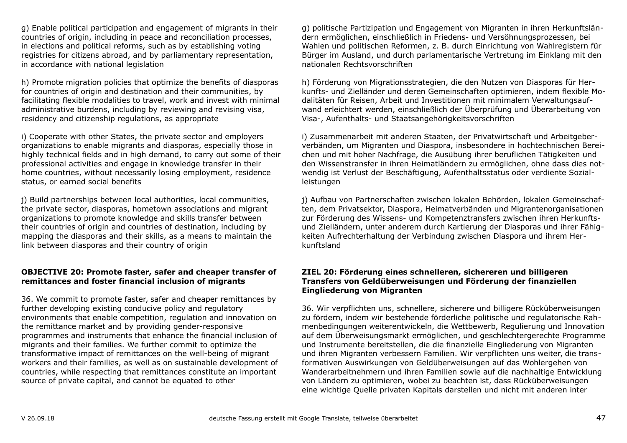g) Enable political participation and engagement of migrants in their countries of origin, including in peace and reconciliation processes, in elections and political reforms, such as by establishing voting registries for citizens abroad, and by parliamentary representation, in accordance with national legislation

h) Promote migration policies that optimize the benefits of diasporas for countries of origin and destination and their communities, by facilitating flexible modalities to travel, work and invest with minimal administrative burdens, including by reviewing and revising visa, residency and citizenship regulations, as appropriate

i) Cooperate with other States, the private sector and employers organizations to enable migrants and diasporas, especially those in highly technical fields and in high demand, to carry out some of their professional activities and engage in knowledge transfer in their home countries, without necessarily losing employment, residence status, or earned social benefits

j) Build partnerships between local authorities, local communities, the private sector, diasporas, hometown associations and migrant organizations to promote knowledge and skills transfer between their countries of origin and countries of destination, including by mapping the diasporas and their skills, as a means to maintain the link between diasporas and their country of origin

### **OBJECTIVE 20: Promote faster, safer and cheaper transfer of remittances and foster financial inclusion of migrants**

36. We commit to promote faster, safer and cheaper remittances by further developing existing conducive policy and regulatory environments that enable competition, regulation and innovation on the remittance market and by providing gender-responsive programmes and instruments that enhance the financial inclusion of migrants and their families. We further commit to optimize the transformative impact of remittances on the well-being of migrant workers and their families, as well as on sustainable development of countries, while respecting that remittances constitute an important source of private capital, and cannot be equated to other

g) politische Partizipation und Engagement von Migranten in ihren Herkunftsländern ermöglichen, einschließlich in Friedens- und Versöhnungsprozessen, bei Wahlen und politischen Reformen, z. B. durch Einrichtung von Wahlregistern für Bürger im Ausland, und durch parlamentarische Vertretung im Einklang mit den nationalen Rechtsvorschriften

h) Förderung von Migrationsstrategien, die den Nutzen von Diasporas für Herkunfts- und Zielländer und deren Gemeinschaften optimieren, indem flexible Modalitäten für Reisen, Arbeit und Investitionen mit minimalem Verwaltungsaufwand erleichtert werden, einschließlich der Überprüfung und Überarbeitung von Visa-, Aufenthalts- und Staatsangehörigkeitsvorschriften

i) Zusammenarbeit mit anderen Staaten, der Privatwirtschaft und Arbeitgeberverbänden, um Migranten und Diaspora, insbesondere in hochtechnischen Bereichen und mit hoher Nachfrage, die Ausübung ihrer beruflichen Tätigkeiten und den Wissenstransfer in ihren Heimatländern zu ermöglichen, ohne dass dies notwendig ist Verlust der Beschäftigung, Aufenthaltsstatus oder verdiente Sozialleistungen

j) Aufbau von Partnerschaften zwischen lokalen Behörden, lokalen Gemeinschaften, dem Privatsektor, Diaspora, Heimatverbänden und Migrantenorganisationen zur Förderung des Wissens- und Kompetenztransfers zwischen ihren Herkunftsund Zielländern, unter anderem durch Kartierung der Diasporas und ihrer Fähigkeiten Aufrechterhaltung der Verbindung zwischen Diaspora und ihrem Herkunftsland

### **ZIEL 20: Förderung eines schnelleren, sichereren und billigeren Transfers von Geldüberweisungen und Förderung der finanziellen Eingliederung von Migranten**

36. Wir verpflichten uns, schnellere, sicherere und billigere Rücküberweisungen zu fördern, indem wir bestehende förderliche politische und regulatorische Rahmenbedingungen weiterentwickeln, die Wettbewerb, Regulierung und Innovation auf dem Überweisungsmarkt ermöglichen, und geschlechtergerechte Programme und Instrumente bereitstellen, die die finanzielle Eingliederung von Migranten und ihren Migranten verbessern Familien. Wir verpflichten uns weiter, die transformativen Auswirkungen von Geldüberweisungen auf das Wohlergehen von Wanderarbeitnehmern und ihren Familien sowie auf die nachhaltige Entwicklung von Ländern zu optimieren, wobei zu beachten ist, dass Rücküberweisungen eine wichtige Quelle privaten Kapitals darstellen und nicht mit anderen inter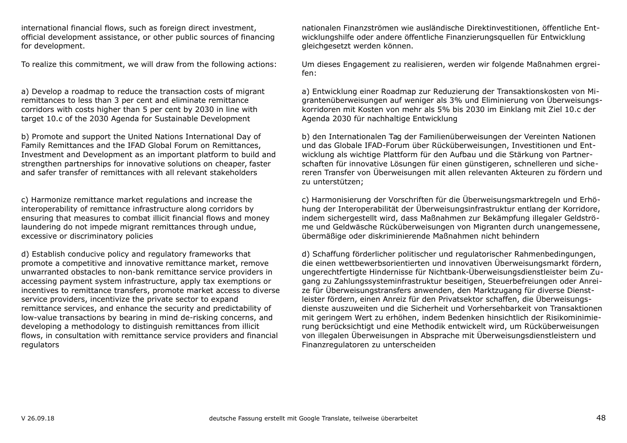international financial flows, such as foreign direct investment, official development assistance, or other public sources of financing for development.

To realize this commitment, we will draw from the following actions:

a) Develop a roadmap to reduce the transaction costs of migrant remittances to less than 3 per cent and eliminate remittance corridors with costs higher than 5 per cent by 2030 in line with target 10.c of the 2030 Agenda for Sustainable Development

b) Promote and support the United Nations International Day of Family Remittances and the IFAD Global Forum on Remittances, Investment and Development as an important platform to build and strengthen partnerships for innovative solutions on cheaper, faster and safer transfer of remittances with all relevant stakeholders

c) Harmonize remittance market regulations and increase the interoperability of remittance infrastructure along corridors by ensuring that measures to combat illicit financial flows and money laundering do not impede migrant remittances through undue, excessive or discriminatory policies

d) Establish conducive policy and regulatory frameworks that promote a competitive and innovative remittance market, remove unwarranted obstacles to non-bank remittance service providers in accessing payment system infrastructure, apply tax exemptions or incentives to remittance transfers, promote market access to diverse service providers, incentivize the private sector to expand remittance services, and enhance the security and predictability of low-value transactions by bearing in mind de-risking concerns, and developing a methodology to distinguish remittances from illicit flows, in consultation with remittance service providers and financial regulators

nationalen Finanzströmen wie ausländische Direktinvestitionen, öffentliche Entwicklungshilfe oder andere öffentliche Finanzierungsquellen für Entwicklung gleichgesetzt werden können.

Um dieses Engagement zu realisieren, werden wir folgende Maßnahmen ergreifen:

a) Entwicklung einer Roadmap zur Reduzierung der Transaktionskosten von Migrantenüberweisungen auf weniger als 3% und Eliminierung von Überweisungskorridoren mit Kosten von mehr als 5% bis 2030 im Einklang mit Ziel 10.c der Agenda 2030 für nachhaltige Entwicklung

b) den Internationalen Tag der Familienüberweisungen der Vereinten Nationen und das Globale IFAD-Forum über Rücküberweisungen, Investitionen und Entwicklung als wichtige Plattform für den Aufbau und die Stärkung von Partnerschaften für innovative Lösungen für einen günstigeren, schnelleren und sichereren Transfer von Überweisungen mit allen relevanten Akteuren zu fördern und zu unterstützen;

c) Harmonisierung der Vorschriften für die Überweisungsmarktregeln und Erhöhung der Interoperabilität der Überweisungsinfrastruktur entlang der Korridore, indem sichergestellt wird, dass Maßnahmen zur Bekämpfung illegaler Geldströme und Geldwäsche Rücküberweisungen von Migranten durch unangemessene, übermäßige oder diskriminierende Maßnahmen nicht behindern

d) Schaffung förderlicher politischer und regulatorischer Rahmenbedingungen, die einen wettbewerbsorientierten und innovativen Überweisungsmarkt fördern, ungerechtfertigte Hindernisse für Nichtbank-Überweisungsdienstleister beim Zugang zu Zahlungssysteminfrastruktur beseitigen, Steuerbefreiungen oder Anreize für Überweisungstransfers anwenden, den Marktzugang für diverse Dienstleister fördern, einen Anreiz für den Privatsektor schaffen, die Überweisungsdienste auszuweiten und die Sicherheit und Vorhersehbarkeit von Transaktionen mit geringem Wert zu erhöhen, indem Bedenken hinsichtlich der Risikominimierung berücksichtigt und eine Methodik entwickelt wird, um Rücküberweisungen von illegalen Überweisungen in Absprache mit Überweisungsdienstleistern und Finanzregulatoren zu unterscheiden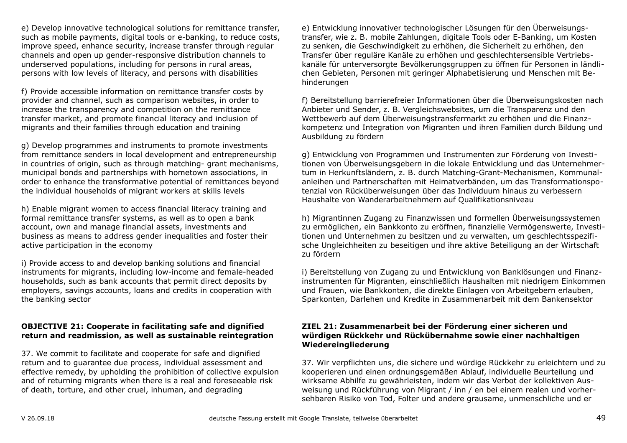e) Develop innovative technological solutions for remittance transfer, such as mobile payments, digital tools or e-banking, to reduce costs, improve speed, enhance security, increase transfer through regular channels and open up gender-responsive distribution channels to underserved populations, including for persons in rural areas, persons with low levels of literacy, and persons with disabilities

f) Provide accessible information on remittance transfer costs by provider and channel, such as comparison websites, in order to increase the transparency and competition on the remittance transfer market, and promote financial literacy and inclusion of migrants and their families through education and training

g) Develop programmes and instruments to promote investments from remittance senders in local development and entrepreneurship in countries of origin, such as through matching- grant mechanisms, municipal bonds and partnerships with hometown associations, in order to enhance the transformative potential of remittances beyond the individual households of migrant workers at skills levels

h) Enable migrant women to access financial literacy training and formal remittance transfer systems, as well as to open a bank account, own and manage financial assets, investments and business as means to address gender inequalities and foster their active participation in the economy

i) Provide access to and develop banking solutions and financial instruments for migrants, including low-income and female-headed households, such as bank accounts that permit direct deposits by employers, savings accounts, loans and credits in cooperation with the banking sector

### **OBJECTIVE 21: Cooperate in facilitating safe and dignified return and readmission, as well as sustainable reintegration**

37. We commit to facilitate and cooperate for safe and dignified return and to guarantee due process, individual assessment and effective remedy, by upholding the prohibition of collective expulsion and of returning migrants when there is a real and foreseeable risk of death, torture, and other cruel, inhuman, and degrading

e) Entwicklung innovativer technologischer Lösungen für den Überweisungstransfer, wie z. B. mobile Zahlungen, digitale Tools oder E-Banking, um Kosten zu senken, die Geschwindigkeit zu erhöhen, die Sicherheit zu erhöhen, den Transfer über reguläre Kanäle zu erhöhen und geschlechtersensible Vertriebskanäle für unterversorgte Bevölkerungsgruppen zu öffnen für Personen in ländlichen Gebieten, Personen mit geringer Alphabetisierung und Menschen mit Behinderungen

f) Bereitstellung barrierefreier Informationen über die Überweisungskosten nach Anbieter und Sender, z. B. Vergleichswebsites, um die Transparenz und den Wettbewerb auf dem Überweisungstransfermarkt zu erhöhen und die Finanzkompetenz und Integration von Migranten und ihren Familien durch Bildung und Ausbildung zu fördern

g) Entwicklung von Programmen und Instrumenten zur Förderung von Investitionen von Überweisungsgebern in die lokale Entwicklung und das Unternehmertum in Herkunftsländern, z. B. durch Matching-Grant-Mechanismen, Kommunalanleihen und Partnerschaften mit Heimatverbänden, um das Transformationspotenzial von Rücküberweisungen über das Individuum hinaus zu verbessern Haushalte von Wanderarbeitnehmern auf Qualifikationsniveau

h) Migrantinnen Zugang zu Finanzwissen und formellen Überweisungssystemen zu ermöglichen, ein Bankkonto zu eröffnen, finanzielle Vermögenswerte, Investitionen und Unternehmen zu besitzen und zu verwalten, um geschlechtsspezifische Ungleichheiten zu beseitigen und ihre aktive Beteiligung an der Wirtschaft zu fördern

i) Bereitstellung von Zugang zu und Entwicklung von Banklösungen und Finanzinstrumenten für Migranten, einschließlich Haushalten mit niedrigem Einkommen und Frauen, wie Bankkonten, die direkte Einlagen von Arbeitgebern erlauben, Sparkonten, Darlehen und Kredite in Zusammenarbeit mit dem Bankensektor

### **ZIEL 21: Zusammenarbeit bei der Förderung einer sicheren und würdigen Rückkehr und Rückübernahme sowie einer nachhaltigen Wiedereingliederung**

37. Wir verpflichten uns, die sichere und würdige Rückkehr zu erleichtern und zu kooperieren und einen ordnungsgemäßen Ablauf, individuelle Beurteilung und wirksame Abhilfe zu gewährleisten, indem wir das Verbot der kollektiven Ausweisung und Rückführung von Migrant / inn / en bei einem realen und vorhersehbaren Risiko von Tod, Folter und andere grausame, unmenschliche und er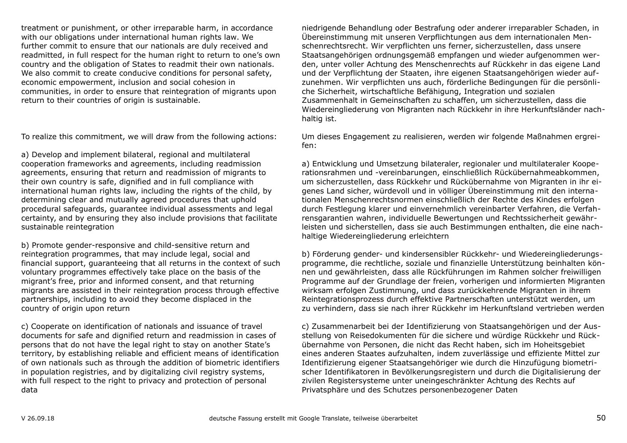treatment or punishment, or other irreparable harm, in accordance with our obligations under international human rights law. We further commit to ensure that our nationals are duly received and readmitted, in full respect for the human right to return to one's own country and the obligation of States to readmit their own nationals. We also commit to create conducive conditions for personal safety, economic empowerment, inclusion and social cohesion in communities, in order to ensure that reintegration of migrants upon return to their countries of origin is sustainable.

To realize this commitment, we will draw from the following actions:

a) Develop and implement bilateral, regional and multilateral cooperation frameworks and agreements, including readmission agreements, ensuring that return and readmission of migrants to their own country is safe, dignified and in full compliance with international human rights law, including the rights of the child, by determining clear and mutually agreed procedures that uphold procedural safeguards, guarantee individual assessments and legal certainty, and by ensuring they also include provisions that facilitate sustainable reintegration

b) Promote gender-responsive and child-sensitive return and reintegration programmes, that may include legal, social and financial support, guaranteeing that all returns in the context of such voluntary programmes effectively take place on the basis of the migrant's free, prior and informed consent, and that returning migrants are assisted in their reintegration process through effective partnerships, including to avoid they become displaced in the country of origin upon return

c) Cooperate on identification of nationals and issuance of travel documents for safe and dignified return and readmission in cases of persons that do not have the legal right to stay on another State's territory, by establishing reliable and efficient means of identification of own nationals such as through the addition of biometric identifiers in population registries, and by digitalizing civil registry systems, with full respect to the right to privacy and protection of personal data

niedrigende Behandlung oder Bestrafung oder anderer irreparabler Schaden, in Übereinstimmung mit unseren Verpflichtungen aus dem internationalen Menschenrechtsrecht. Wir verpflichten uns ferner, sicherzustellen, dass unsere Staatsangehörigen ordnungsgemäß empfangen und wieder aufgenommen werden, unter voller Achtung des Menschenrechts auf Rückkehr in das eigene Land und der Verpflichtung der Staaten, ihre eigenen Staatsangehörigen wieder aufzunehmen. Wir verpflichten uns auch, förderliche Bedingungen für die persönliche Sicherheit, wirtschaftliche Befähigung, Integration und sozialen Zusammenhalt in Gemeinschaften zu schaffen, um sicherzustellen, dass die Wiedereingliederung von Migranten nach Rückkehr in ihre Herkunftsländer nachhaltig ist.

Um dieses Engagement zu realisieren, werden wir folgende Maßnahmen ergreifen:

a) Entwicklung und Umsetzung bilateraler, regionaler und multilateraler Kooperationsrahmen und -vereinbarungen, einschließlich Rückübernahmeabkommen, um sicherzustellen, dass Rückkehr und Rückübernahme von Migranten in ihr eigenes Land sicher, würdevoll und in völliger Übereinstimmung mit den internationalen Menschenrechtsnormen einschließlich der Rechte des Kindes erfolgen durch Festlegung klarer und einvernehmlich vereinbarter Verfahren, die Verfahrensgarantien wahren, individuelle Bewertungen und Rechtssicherheit gewährleisten und sicherstellen, dass sie auch Bestimmungen enthalten, die eine nachhaltige Wiedereingliederung erleichtern

b) Förderung gender- und kindersensibler Rückkehr- und Wiedereingliederungsprogramme, die rechtliche, soziale und finanzielle Unterstützung beinhalten können und gewährleisten, dass alle Rückführungen im Rahmen solcher freiwilligen Programme auf der Grundlage der freien, vorherigen und informierten Migranten wirksam erfolgen Zustimmung, und dass zurückkehrende Migranten in ihrem Reintegrationsprozess durch effektive Partnerschaften unterstützt werden, um zu verhindern, dass sie nach ihrer Rückkehr im Herkunftsland vertrieben werden

c) Zusammenarbeit bei der Identifizierung von Staatsangehörigen und der Ausstellung von Reisedokumenten für die sichere und würdige Rückkehr und Rückübernahme von Personen, die nicht das Recht haben, sich im Hoheitsgebiet eines anderen Staates aufzuhalten, indem zuverlässige und effiziente Mittel zur Identifizierung eigener Staatsangehöriger wie durch die Hinzufügung biometrischer Identifikatoren in Bevölkerungsregistern und durch die Digitalisierung der zivilen Registersysteme unter uneingeschränkter Achtung des Rechts auf Privatsphäre und des Schutzes personenbezogener Daten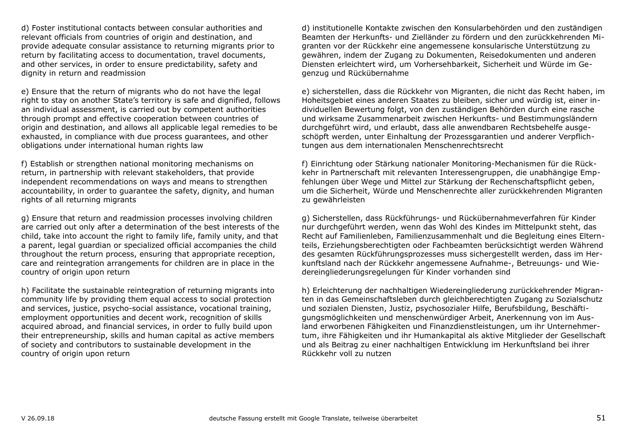d) Foster institutional contacts between consular authorities and relevant officials from countries of origin and destination, and provide adequate consular assistance to returning migrants prior to return by facilitating access to documentation, travel documents, and other services, in order to ensure predictability, safety and dignity in return and readmission

e) Ensure that the return of migrants who do not have the legal right to stay on another State's territory is safe and dignified, follows an individual assessment, is carried out by competent authorities through prompt and effective cooperation between countries of origin and destination, and allows all applicable legal remedies to be exhausted, in compliance with due process guarantees, and other obligations under international human rights law

f) Establish or strengthen national monitoring mechanisms on return, in partnership with relevant stakeholders, that provide independent recommendations on ways and means to strengthen accountability, in order to guarantee the safety, dignity, and human rights of all returning migrants

g) Ensure that return and readmission processes involving children are carried out only after a determination of the best interests of the child, take into account the right to family life, family unity, and that a parent, legal guardian or specialized official accompanies the child throughout the return process, ensuring that appropriate reception, care and reintegration arrangements for children are in place in the country of origin upon return

h) Facilitate the sustainable reintegration of returning migrants into community life by providing them equal access to social protection and services, justice, psycho-social assistance, vocational training, employment opportunities and decent work, recognition of skills acquired abroad, and financial services, in order to fully build upon their entrepreneurship, skills and human capital as active members of society and contributors to sustainable development in the country of origin upon return

d) institutionelle Kontakte zwischen den Konsularbehörden und den zuständigen Beamten der Herkunfts- und Zielländer zu fördern und den zurückkehrenden Migranten vor der Rückkehr eine angemessene konsularische Unterstützung zu gewähren, indem der Zugang zu Dokumenten, Reisedokumenten und anderen Diensten erleichtert wird, um Vorhersehbarkeit, Sicherheit und Würde im Gegenzug und Rückübernahme

e) sicherstellen, dass die Rückkehr von Migranten, die nicht das Recht haben, im Hoheitsgebiet eines anderen Staates zu bleiben, sicher und würdig ist, einer individuellen Bewertung folgt, von den zuständigen Behörden durch eine rasche und wirksame Zusammenarbeit zwischen Herkunfts- und Bestimmungsländern durchgeführt wird, und erlaubt, dass alle anwendbaren Rechtsbehelfe ausgeschöpft werden, unter Einhaltung der Prozessgarantien und anderer Verpflichtungen aus dem internationalen Menschenrechtsrecht

f) Einrichtung oder Stärkung nationaler Monitoring-Mechanismen für die Rückkehr in Partnerschaft mit relevanten Interessengruppen, die unabhängige Empfehlungen über Wege und Mittel zur Stärkung der Rechenschaftspflicht geben, um die Sicherheit, Würde und Menschenrechte aller zurückkehrenden Migranten zu gewährleisten

g) Sicherstellen, dass Rückführungs- und Rückübernahmeverfahren für Kinder nur durchgeführt werden, wenn das Wohl des Kindes im Mittelpunkt steht, das Recht auf Familienleben, Familienzusammenhalt und die Begleitung eines Elternteils, Erziehungsberechtigten oder Fachbeamten berücksichtigt werden Während des gesamten Rückführungsprozesses muss sichergestellt werden, dass im Herkunftsland nach der Rückkehr angemessene Aufnahme-, Betreuungs- und Wiedereingliederungsregelungen für Kinder vorhanden sind

h) Erleichterung der nachhaltigen Wiedereingliederung zurückkehrender Migranten in das Gemeinschaftsleben durch gleichberechtigten Zugang zu Sozialschutz und sozialen Diensten, Justiz, psychosozialer Hilfe, Berufsbildung, Beschäftigungsmöglichkeiten und menschenwürdiger Arbeit, Anerkennung von im Ausland erworbenen Fähigkeiten und Finanzdienstleistungen, um ihr Unternehmertum, ihre Fähigkeiten und ihr Humankapital als aktive Mitglieder der Gesellschaft und als Beitrag zu einer nachhaltigen Entwicklung im Herkunftsland bei ihrer Rückkehr voll zu nutzen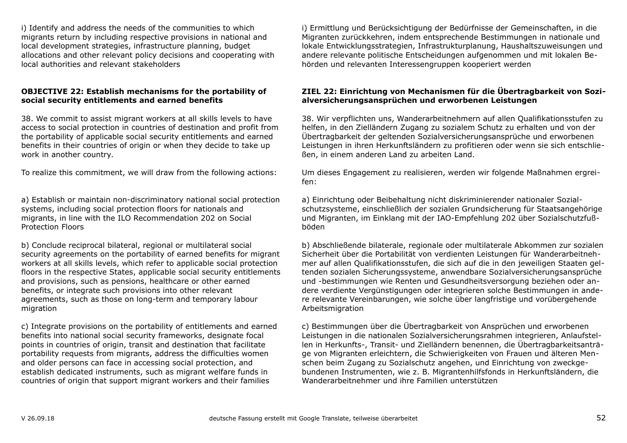i) Identify and address the needs of the communities to which migrants return by including respective provisions in national and local development strategies, infrastructure planning, budget allocations and other relevant policy decisions and cooperating with local authorities and relevant stakeholders

#### **OBJECTIVE 22: Establish mechanisms for the portability of social security entitlements and earned benefits**

38. We commit to assist migrant workers at all skills levels to have access to social protection in countries of destination and profit from the portability of applicable social security entitlements and earned benefits in their countries of origin or when they decide to take up work in another country.

To realize this commitment, we will draw from the following actions:

a) Establish or maintain non-discriminatory national social protection systems, including social protection floors for nationals and migrants, in line with the ILO Recommendation 202 on Social Protection Floors

b) Conclude reciprocal bilateral, regional or multilateral social security agreements on the portability of earned benefits for migrant workers at all skills levels, which refer to applicable social protection floors in the respective States, applicable social security entitlements and provisions, such as pensions, healthcare or other earned benefits, or integrate such provisions into other relevant agreements, such as those on long-term and temporary labour migration

c) Integrate provisions on the portability of entitlements and earned benefits into national social security frameworks, designate focal points in countries of origin, transit and destination that facilitate portability requests from migrants, address the difficulties women and older persons can face in accessing social protection, and establish dedicated instruments, such as migrant welfare funds in countries of origin that support migrant workers and their families

i) Ermittlung und Berücksichtigung der Bedürfnisse der Gemeinschaften, in die Migranten zurückkehren, indem entsprechende Bestimmungen in nationale und lokale Entwicklungsstrategien, Infrastrukturplanung, Haushaltszuweisungen und andere relevante politische Entscheidungen aufgenommen und mit lokalen Behörden und relevanten Interessengruppen kooperiert werden

### **ZIEL 22: Einrichtung von Mechanismen für die Übertragbarkeit von Sozialversicherungsansprüchen und erworbenen Leistungen**

38. Wir verpflichten uns, Wanderarbeitnehmern auf allen Qualifikationsstufen zu helfen, in den Zielländern Zugang zu sozialem Schutz zu erhalten und von der Übertragbarkeit der geltenden Sozialversicherungsansprüche und erworbenen Leistungen in ihren Herkunftsländern zu profitieren oder wenn sie sich entschließen, in einem anderen Land zu arbeiten Land.

Um dieses Engagement zu realisieren, werden wir folgende Maßnahmen ergreifen:

a) Einrichtung oder Beibehaltung nicht diskriminierender nationaler Sozialschutzsysteme, einschließlich der sozialen Grundsicherung für Staatsangehörige und Migranten, im Einklang mit der IAO-Empfehlung 202 über Sozialschutzfußböden

b) Abschließende bilaterale, regionale oder multilaterale Abkommen zur sozialen Sicherheit über die Portabilität von verdienten Leistungen für Wanderarbeitnehmer auf allen Qualifikationsstufen, die sich auf die in den jeweiligen Staaten geltenden sozialen Sicherungssysteme, anwendbare Sozialversicherungsansprüche und -bestimmungen wie Renten und Gesundheitsversorgung beziehen oder andere verdiente Vergünstigungen oder integrieren solche Bestimmungen in andere relevante Vereinbarungen, wie solche über langfristige und vorübergehende Arbeitsmigration

c) Bestimmungen über die Übertragbarkeit von Ansprüchen und erworbenen Leistungen in die nationalen Sozialversicherungsrahmen integrieren, Anlaufstellen in Herkunfts-, Transit- und Zielländern benennen, die Übertragbarkeitsanträge von Migranten erleichtern, die Schwierigkeiten von Frauen und älteren Menschen beim Zugang zu Sozialschutz angehen, und Einrichtung von zweckgebundenen Instrumenten, wie z. B. Migrantenhilfsfonds in Herkunftsländern, die Wanderarbeitnehmer und ihre Familien unterstützen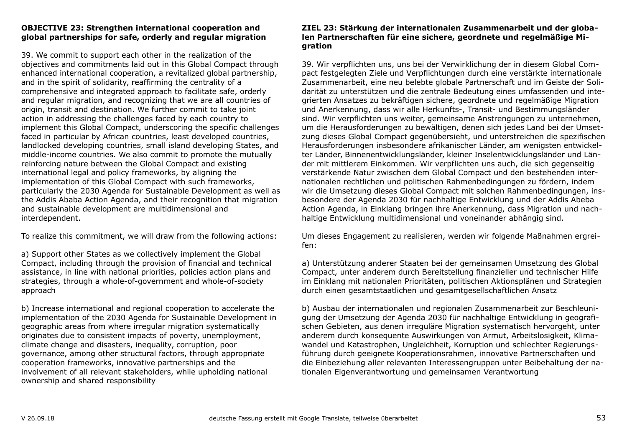### **OBJECTIVE 23: Strengthen international cooperation and global partnerships for safe, orderly and regular migration**

39. We commit to support each other in the realization of the objectives and commitments laid out in this Global Compact through enhanced international cooperation, a revitalized global partnership, and in the spirit of solidarity, reaffirming the centrality of a comprehensive and integrated approach to facilitate safe, orderly and regular migration, and recognizing that we are all countries of origin, transit and destination. We further commit to take joint action in addressing the challenges faced by each country to implement this Global Compact, underscoring the specific challenges faced in particular by African countries, least developed countries, landlocked developing countries, small island developing States, and middle-income countries. We also commit to promote the mutually reinforcing nature between the Global Compact and existing international legal and policy frameworks, by aligning the implementation of this Global Compact with such frameworks, particularly the 2030 Agenda for Sustainable Development as well as the Addis Ababa Action Agenda, and their recognition that migration and sustainable development are multidimensional and interdependent.

To realize this commitment, we will draw from the following actions:

a) Support other States as we collectively implement the Global Compact, including through the provision of financial and technical assistance, in line with national priorities, policies action plans and strategies, through a whole-of-government and whole-of-society approach

b) Increase international and regional cooperation to accelerate the implementation of the 2030 Agenda for Sustainable Development in geographic areas from where irregular migration systematically originates due to consistent impacts of poverty, unemployment, climate change and disasters, inequality, corruption, poor governance, among other structural factors, through appropriate cooperation frameworks, innovative partnerships and the involvement of all relevant stakeholders, while upholding national ownership and shared responsibility

### **ZIEL 23: Stärkung der internationalen Zusammenarbeit und der globalen Partnerschaften für eine sichere, geordnete und regelmäßige Migration**

39. Wir verpflichten uns, uns bei der Verwirklichung der in diesem Global Compact festgelegten Ziele und Verpflichtungen durch eine verstärkte internationale Zusammenarbeit, eine neu belebte globale Partnerschaft und im Geiste der Solidarität zu unterstützen und die zentrale Bedeutung eines umfassenden und integrierten Ansatzes zu bekräftigen sichere, geordnete und regelmäßige Migration und Anerkennung, dass wir alle Herkunfts-, Transit- und Bestimmungsländer sind. Wir verpflichten uns weiter, gemeinsame Anstrengungen zu unternehmen, um die Herausforderungen zu bewältigen, denen sich jedes Land bei der Umsetzung dieses Global Compact gegenübersieht, und unterstreichen die spezifischen Herausforderungen insbesondere afrikanischer Länder, am wenigsten entwickelter Länder, Binnenentwicklungsländer, kleiner Inselentwicklungsländer und Länder mit mittlerem Einkommen. Wir verpflichten uns auch, die sich gegenseitig verstärkende Natur zwischen dem Global Compact und den bestehenden internationalen rechtlichen und politischen Rahmenbedingungen zu fördern, indem wir die Umsetzung dieses Global Compact mit solchen Rahmenbedingungen, insbesondere der Agenda 2030 für nachhaltige Entwicklung und der Addis Abeba Action Agenda, in Einklang bringen ihre Anerkennung, dass Migration und nachhaltige Entwicklung multidimensional und voneinander abhängig sind.

Um dieses Engagement zu realisieren, werden wir folgende Maßnahmen ergreifen:

a) Unterstützung anderer Staaten bei der gemeinsamen Umsetzung des Global Compact, unter anderem durch Bereitstellung finanzieller und technischer Hilfe im Einklang mit nationalen Prioritäten, politischen Aktionsplänen und Strategien durch einen gesamtstaatlichen und gesamtgesellschaftlichen Ansatz

b) Ausbau der internationalen und regionalen Zusammenarbeit zur Beschleunigung der Umsetzung der Agenda 2030 für nachhaltige Entwicklung in geografischen Gebieten, aus denen irreguläre Migration systematisch hervorgeht, unter anderem durch konsequente Auswirkungen von Armut, Arbeitslosigkeit, Klimawandel und Katastrophen, Ungleichheit, Korruption und schlechter Regierungsführung durch geeignete Kooperationsrahmen, innovative Partnerschaften und die Einbeziehung aller relevanten Interessengruppen unter Beibehaltung der nationalen Eigenverantwortung und gemeinsamen Verantwortung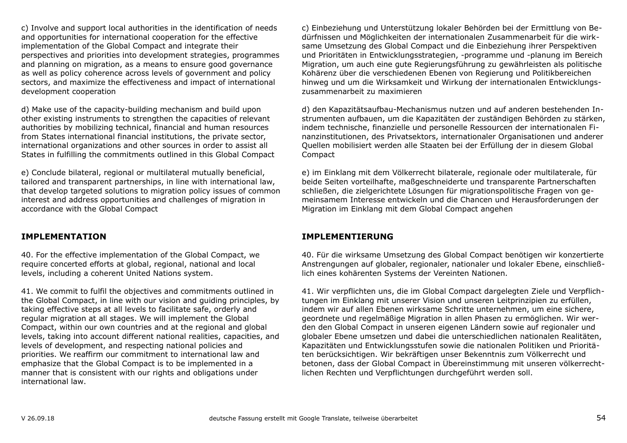c) Involve and support local authorities in the identification of needs and opportunities for international cooperation for the effective implementation of the Global Compact and integrate their perspectives and priorities into development strategies, programmes and planning on migration, as a means to ensure good governance as well as policy coherence across levels of government and policy sectors, and maximize the effectiveness and impact of international development cooperation

d) Make use of the capacity-building mechanism and build upon other existing instruments to strengthen the capacities of relevant authorities by mobilizing technical, financial and human resources from States international financial institutions, the private sector, international organizations and other sources in order to assist all States in fulfilling the commitments outlined in this Global Compact

e) Conclude bilateral, regional or multilateral mutually beneficial, tailored and transparent partnerships, in line with international law, that develop targeted solutions to migration policy issues of common interest and address opportunities and challenges of migration in accordance with the Global Compact

# **IMPLEMENTATION**

40. For the effective implementation of the Global Compact, we require concerted efforts at global, regional, national and local levels, including a coherent United Nations system.

41. We commit to fulfil the objectives and commitments outlined in the Global Compact, in line with our vision and guiding principles, by taking effective steps at all levels to facilitate safe, orderly and regular migration at all stages. We will implement the Global Compact, within our own countries and at the regional and global levels, taking into account different national realities, capacities, and levels of development, and respecting national policies and priorities. We reaffirm our commitment to international law and emphasize that the Global Compact is to be implemented in a manner that is consistent with our rights and obligations under international law.

c) Einbeziehung und Unterstützung lokaler Behörden bei der Ermittlung von Bedürfnissen und Möglichkeiten der internationalen Zusammenarbeit für die wirksame Umsetzung des Global Compact und die Einbeziehung ihrer Perspektiven und Prioritäten in Entwicklungsstrategien, -programme und -planung im Bereich Migration, um auch eine gute Regierungsführung zu gewährleisten als politische Kohärenz über die verschiedenen Ebenen von Regierung und Politikbereichen hinweg und um die Wirksamkeit und Wirkung der internationalen Entwicklungszusammenarbeit zu maximieren

d) den Kapazitätsaufbau-Mechanismus nutzen und auf anderen bestehenden Instrumenten aufbauen, um die Kapazitäten der zuständigen Behörden zu stärken, indem technische, finanzielle und personelle Ressourcen der internationalen Finanzinstitutionen, des Privatsektors, internationaler Organisationen und anderer Quellen mobilisiert werden alle Staaten bei der Erfüllung der in diesem Global **Compact** 

e) im Einklang mit dem Völkerrecht bilaterale, regionale oder multilaterale, für beide Seiten vorteilhafte, maßgeschneiderte und transparente Partnerschaften schließen, die zielgerichtete Lösungen für migrationspolitische Fragen von gemeinsamem Interesse entwickeln und die Chancen und Herausforderungen der Migration im Einklang mit dem Global Compact angehen

# **IMPLEMENTIERUNG**

40. Für die wirksame Umsetzung des Global Compact benötigen wir konzertierte Anstrengungen auf globaler, regionaler, nationaler und lokaler Ebene, einschließlich eines kohärenten Systems der Vereinten Nationen.

41. Wir verpflichten uns, die im Global Compact dargelegten Ziele und Verpflichtungen im Einklang mit unserer Vision und unseren Leitprinzipien zu erfüllen, indem wir auf allen Ebenen wirksame Schritte unternehmen, um eine sichere, geordnete und regelmäßige Migration in allen Phasen zu ermöglichen. Wir werden den Global Compact in unseren eigenen Ländern sowie auf regionaler und globaler Ebene umsetzen und dabei die unterschiedlichen nationalen Realitäten, Kapazitäten und Entwicklungsstufen sowie die nationalen Politiken und Prioritäten berücksichtigen. Wir bekräftigen unser Bekenntnis zum Völkerrecht und betonen, dass der Global Compact in Übereinstimmung mit unseren völkerrechtlichen Rechten und Verpflichtungen durchgeführt werden soll.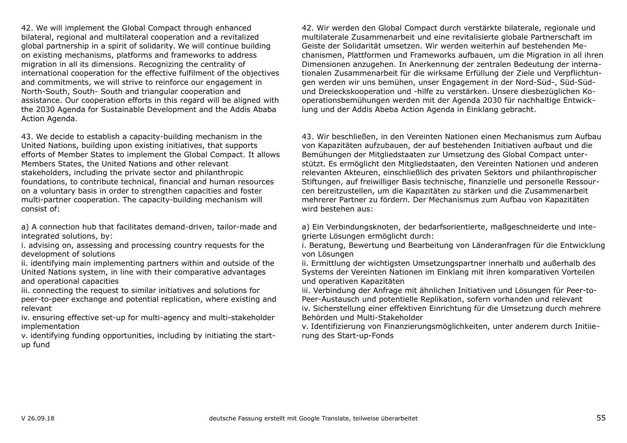42. We will implement the Global Compact through enhanced bilateral, regional and multilateral cooperation and a revitalized global partnership in a spirit of solidarity. We will continue building on existing mechanisms, platforms and frameworks to address migration in all its dimensions. Recognizing the centrality of international cooperation for the effective fulfilment of the objectives and commitments, we will strive to reinforce our engagement in North-South, South- South and triangular cooperation and assistance. Our cooperation efforts in this regard will be aligned with the 2030 Agenda for Sustainable Development and the Addis Ababa Action Agenda.

43. We decide to establish a capacity-building mechanism in the United Nations, building upon existing initiatives, that supports efforts of Member States to implement the Global Compact. It allows Members States, the United Nations and other relevant stakeholders, including the private sector and philanthropic foundations, to contribute technical, financial and human resources on a voluntary basis in order to strengthen capacities and foster multi-partner cooperation. The capacity-building mechanism will consist of:

a) A connection hub that facilitates demand-driven, tailor-made and integrated solutions, by:

i. advising on, assessing and processing country requests for the development of solutions

ii. identifying main implementing partners within and outside of the United Nations system, in line with their comparative advantages and operational capacities

iii. connecting the request to similar initiatives and solutions for peer-to-peer exchange and potential replication, where existing and relevant

iv. ensuring effective set-up for multi-agency and multi-stakeholder implementation

v. identifying funding opportunities, including by initiating the startup fund

42. Wir werden den Global Compact durch verstärkte bilaterale, regionale und multilaterale Zusammenarbeit und eine revitalisierte globale Partnerschaft im Geiste der Solidarität umsetzen. Wir werden weiterhin auf bestehenden Mechanismen, Plattformen und Frameworks aufbauen, um die Migration in all ihren Dimensionen anzugehen. In Anerkennung der zentralen Bedeutung der internationalen Zusammenarbeit für die wirksame Erfüllung der Ziele und Verpflichtungen werden wir uns bemühen, unser Engagement in der Nord-Süd-, Süd-Südund Dreieckskooperation und -hilfe zu verstärken. Unsere diesbezüglichen Kooperationsbemühungen werden mit der Agenda 2030 für nachhaltige Entwicklung und der Addis Abeba Action Agenda in Einklang gebracht.

43. Wir beschließen, in den Vereinten Nationen einen Mechanismus zum Aufbau von Kapazitäten aufzubauen, der auf bestehenden Initiativen aufbaut und die Bemühungen der Mitgliedstaaten zur Umsetzung des Global Compact unterstützt. Es ermöglicht den Mitgliedstaaten, den Vereinten Nationen und anderen relevanten Akteuren, einschließlich des privaten Sektors und philanthropischer Stiftungen, auf freiwilliger Basis technische, finanzielle und personelle Ressourcen bereitzustellen, um die Kapazitäten zu stärken und die Zusammenarbeit mehrerer Partner zu fördern. Der Mechanismus zum Aufbau von Kapazitäten wird bestehen aus:

a) Ein Verbindungsknoten, der bedarfsorientierte, maßgeschneiderte und integrierte Lösungen ermöglicht durch:

i. Beratung, Bewertung und Bearbeitung von Länderanfragen für die Entwicklung von Lösungen

ii. Ermittlung der wichtigsten Umsetzungspartner innerhalb und außerhalb des Systems der Vereinten Nationen im Einklang mit ihren komparativen Vorteilen und operativen Kapazitäten

iii. Verbindung der Anfrage mit ähnlichen Initiativen und Lösungen für Peer-to-Peer-Austausch und potentielle Replikation, sofern vorhanden und relevant iv. Sicherstellung einer effektiven Einrichtung für die Umsetzung durch mehrere Behörden und Multi-Stakeholder

v. Identifizierung von Finanzierungsmöglichkeiten, unter anderem durch Initiierung des Start-up-Fonds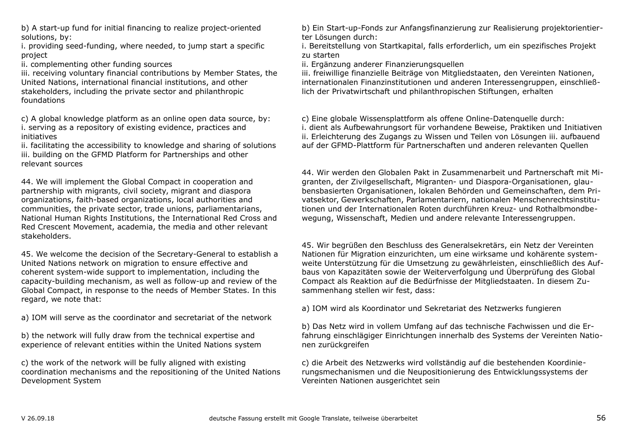b) A start-up fund for initial financing to realize project-oriented solutions, by:

i. providing seed-funding, where needed, to jump start a specific project

ii. complementing other funding sources

iii. receiving voluntary financial contributions by Member States, the United Nations, international financial institutions, and other stakeholders, including the private sector and philanthropic foundations

c) A global knowledge platform as an online open data source, by: i. serving as a repository of existing evidence, practices and initiatives

ii. facilitating the accessibility to knowledge and sharing of solutions iii. building on the GFMD Platform for Partnerships and other relevant sources

44. We will implement the Global Compact in cooperation and partnership with migrants, civil society, migrant and diaspora organizations, faith-based organizations, local authorities and communities, the private sector, trade unions, parliamentarians, National Human Rights Institutions, the International Red Cross and Red Crescent Movement, academia, the media and other relevant stakeholders.

45. We welcome the decision of the Secretary-General to establish a United Nations network on migration to ensure effective and coherent system-wide support to implementation, including the capacity-building mechanism, as well as follow-up and review of the Global Compact, in response to the needs of Member States. In this regard, we note that:

a) IOM will serve as the coordinator and secretariat of the network

b) the network will fully draw from the technical expertise and experience of relevant entities within the United Nations system

c) the work of the network will be fully aligned with existing coordination mechanisms and the repositioning of the United Nations Development System

b) Ein Start-up-Fonds zur Anfangsfinanzierung zur Realisierung projektorientierter Lösungen durch:

i. Bereitstellung von Startkapital, falls erforderlich, um ein spezifisches Projekt zu starten

ii. Ergänzung anderer Finanzierungsquellen

iii. freiwillige finanzielle Beiträge von Mitgliedstaaten, den Vereinten Nationen, internationalen Finanzinstitutionen und anderen Interessengruppen, einschließlich der Privatwirtschaft und philanthropischen Stiftungen, erhalten

c) Eine globale Wissensplattform als offene Online-Datenquelle durch: i. dient als Aufbewahrungsort für vorhandene Beweise, Praktiken und Initiativen ii. Erleichterung des Zugangs zu Wissen und Teilen von Lösungen iii. aufbauend auf der GFMD-Plattform für Partnerschaften und anderen relevanten Quellen

44. Wir werden den Globalen Pakt in Zusammenarbeit und Partnerschaft mit Migranten, der Zivilgesellschaft, Migranten- und Diaspora-Organisationen, glaubensbasierten Organisationen, lokalen Behörden und Gemeinschaften, dem Privatsektor, Gewerkschaften, Parlamentariern, nationalen Menschenrechtsinstitutionen und der Internationalen Roten durchführen Kreuz- und Rothalbmondbewegung, Wissenschaft, Medien und andere relevante Interessengruppen.

45. Wir begrüßen den Beschluss des Generalsekretärs, ein Netz der Vereinten Nationen für Migration einzurichten, um eine wirksame und kohärente systemweite Unterstützung für die Umsetzung zu gewährleisten, einschließlich des Aufbaus von Kapazitäten sowie der Weiterverfolgung und Überprüfung des Global Compact als Reaktion auf die Bedürfnisse der Mitgliedstaaten. In diesem Zusammenhang stellen wir fest, dass:

a) IOM wird als Koordinator und Sekretariat des Netzwerks fungieren

b) Das Netz wird in vollem Umfang auf das technische Fachwissen und die Erfahrung einschlägiger Einrichtungen innerhalb des Systems der Vereinten Nationen zurückgreifen

c) die Arbeit des Netzwerks wird vollständig auf die bestehenden Koordinierungsmechanismen und die Neupositionierung des Entwicklungssystems der Vereinten Nationen ausgerichtet sein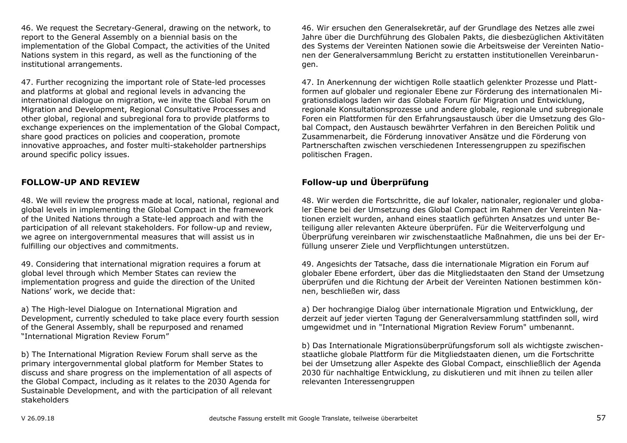46. We request the Secretary-General, drawing on the network, to report to the General Assembly on a biennial basis on the implementation of the Global Compact, the activities of the United Nations system in this regard, as well as the functioning of the institutional arrangements.

47. Further recognizing the important role of State-led processes and platforms at global and regional levels in advancing the international dialogue on migration, we invite the Global Forum on Migration and Development, Regional Consultative Processes and other global, regional and subregional fora to provide platforms to exchange experiences on the implementation of the Global Compact, share good practices on policies and cooperation, promote innovative approaches, and foster multi-stakeholder partnerships around specific policy issues.

# **FOLLOW-UP AND REVIEW**

48. We will review the progress made at local, national, regional and global levels in implementing the Global Compact in the framework of the United Nations through a State-led approach and with the participation of all relevant stakeholders. For follow-up and review, we agree on intergovernmental measures that will assist us in fulfilling our objectives and commitments.

49. Considering that international migration requires a forum at global level through which Member States can review the implementation progress and guide the direction of the United Nations' work, we decide that:

a) The High-level Dialogue on International Migration and Development, currently scheduled to take place every fourth session of the General Assembly, shall be repurposed and renamed "International Migration Review Forum"

b) The International Migration Review Forum shall serve as the primary intergovernmental global platform for Member States to discuss and share progress on the implementation of all aspects of the Global Compact, including as it relates to the 2030 Agenda for Sustainable Development, and with the participation of all relevant stakeholders

46. Wir ersuchen den Generalsekretär, auf der Grundlage des Netzes alle zwei Jahre über die Durchführung des Globalen Pakts, die diesbezüglichen Aktivitäten des Systems der Vereinten Nationen sowie die Arbeitsweise der Vereinten Nationen der Generalversammlung Bericht zu erstatten institutionellen Vereinbarungen.

47. In Anerkennung der wichtigen Rolle staatlich gelenkter Prozesse und Plattformen auf globaler und regionaler Ebene zur Förderung des internationalen Migrationsdialogs laden wir das Globale Forum für Migration und Entwicklung, regionale Konsultationsprozesse und andere globale, regionale und subregionale Foren ein Plattformen für den Erfahrungsaustausch über die Umsetzung des Global Compact, den Austausch bewährter Verfahren in den Bereichen Politik und Zusammenarbeit, die Förderung innovativer Ansätze und die Förderung von Partnerschaften zwischen verschiedenen Interessengruppen zu spezifischen politischen Fragen.

# **Follow-up und Überprüfung**

48. Wir werden die Fortschritte, die auf lokaler, nationaler, regionaler und globaler Ebene bei der Umsetzung des Global Compact im Rahmen der Vereinten Nationen erzielt wurden, anhand eines staatlich geführten Ansatzes und unter Beteiligung aller relevanten Akteure überprüfen. Für die Weiterverfolgung und Überprüfung vereinbaren wir zwischenstaatliche Maßnahmen, die uns bei der Erfüllung unserer Ziele und Verpflichtungen unterstützen.

49. Angesichts der Tatsache, dass die internationale Migration ein Forum auf globaler Ebene erfordert, über das die Mitgliedstaaten den Stand der Umsetzung überprüfen und die Richtung der Arbeit der Vereinten Nationen bestimmen können, beschließen wir, dass

a) Der hochrangige Dialog über internationale Migration und Entwicklung, der derzeit auf jeder vierten Tagung der Generalversammlung stattfinden soll, wird umgewidmet und in "International Migration Review Forum" umbenannt.

b) Das Internationale Migrationsüberprüfungsforum soll als wichtigste zwischenstaatliche globale Plattform für die Mitgliedstaaten dienen, um die Fortschritte bei der Umsetzung aller Aspekte des Global Compact, einschließlich der Agenda 2030 für nachhaltige Entwicklung, zu diskutieren und mit ihnen zu teilen aller relevanten Interessengruppen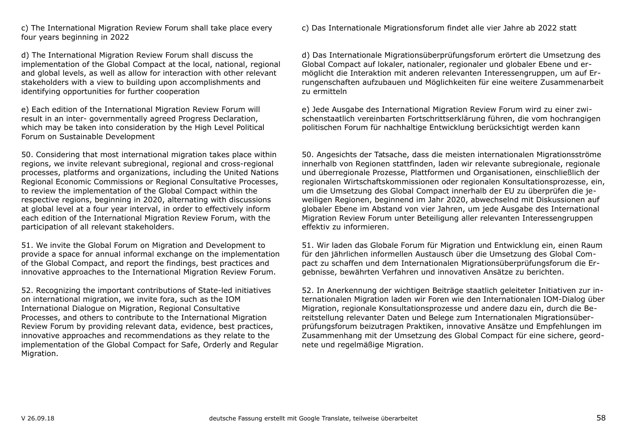c) The International Migration Review Forum shall take place every four years beginning in 2022

d) The International Migration Review Forum shall discuss the implementation of the Global Compact at the local, national, regional and global levels, as well as allow for interaction with other relevant stakeholders with a view to building upon accomplishments and identifying opportunities for further cooperation

e) Each edition of the International Migration Review Forum will result in an inter- governmentally agreed Progress Declaration, which may be taken into consideration by the High Level Political Forum on Sustainable Development

50. Considering that most international migration takes place within regions, we invite relevant subregional, regional and cross-regional processes, platforms and organizations, including the United Nations Regional Economic Commissions or Regional Consultative Processes, to review the implementation of the Global Compact within the respective regions, beginning in 2020, alternating with discussions at global level at a four year interval, in order to effectively inform each edition of the International Migration Review Forum, with the participation of all relevant stakeholders.

51. We invite the Global Forum on Migration and Development to provide a space for annual informal exchange on the implementation of the Global Compact, and report the findings, best practices and innovative approaches to the International Migration Review Forum.

52. Recognizing the important contributions of State-led initiatives on international migration, we invite fora, such as the IOM International Dialogue on Migration, Regional Consultative Processes, and others to contribute to the International Migration Review Forum by providing relevant data, evidence, best practices, innovative approaches and recommendations as they relate to the implementation of the Global Compact for Safe, Orderly and Regular Migration.

c) Das Internationale Migrationsforum findet alle vier Jahre ab 2022 statt

d) Das Internationale Migrationsüberprüfungsforum erörtert die Umsetzung des Global Compact auf lokaler, nationaler, regionaler und globaler Ebene und ermöglicht die Interaktion mit anderen relevanten Interessengruppen, um auf Errungenschaften aufzubauen und Möglichkeiten für eine weitere Zusammenarbeit zu ermitteln

e) Jede Ausgabe des International Migration Review Forum wird zu einer zwischenstaatlich vereinbarten Fortschrittserklärung führen, die vom hochrangigen politischen Forum für nachhaltige Entwicklung berücksichtigt werden kann

50. Angesichts der Tatsache, dass die meisten internationalen Migrationsströme innerhalb von Regionen stattfinden, laden wir relevante subregionale, regionale und überregionale Prozesse, Plattformen und Organisationen, einschließlich der regionalen Wirtschaftskommissionen oder regionalen Konsultationsprozesse, ein, um die Umsetzung des Global Compact innerhalb der EU zu überprüfen die jeweiligen Regionen, beginnend im Jahr 2020, abwechselnd mit Diskussionen auf globaler Ebene im Abstand von vier Jahren, um jede Ausgabe des International Migration Review Forum unter Beteiligung aller relevanten Interessengruppen effektiv zu informieren.

51. Wir laden das Globale Forum für Migration und Entwicklung ein, einen Raum für den jährlichen informellen Austausch über die Umsetzung des Global Compact zu schaffen und dem Internationalen Migrationsüberprüfungsforum die Ergebnisse, bewährten Verfahren und innovativen Ansätze zu berichten.

52. In Anerkennung der wichtigen Beiträge staatlich geleiteter Initiativen zur internationalen Migration laden wir Foren wie den Internationalen IOM-Dialog über Migration, regionale Konsultationsprozesse und andere dazu ein, durch die Bereitstellung relevanter Daten und Belege zum Internationalen Migrationsüberprüfungsforum beizutragen Praktiken, innovative Ansätze und Empfehlungen im Zusammenhang mit der Umsetzung des Global Compact für eine sichere, geordnete und regelmäßige Migration.